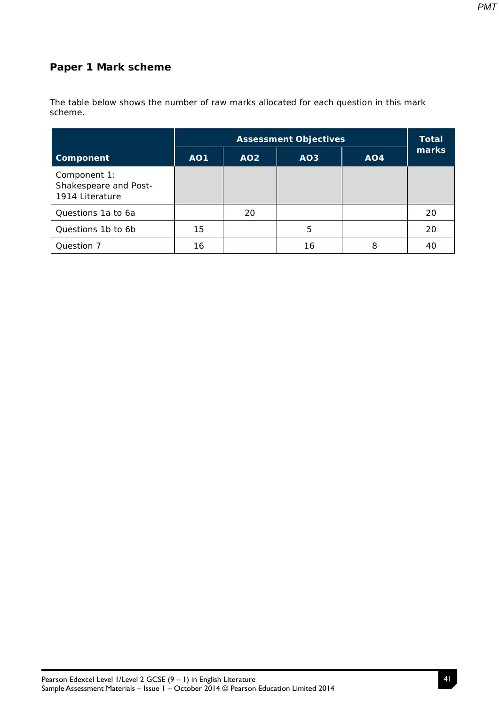*PMT*

## **Paper 1 Mark scheme**

The table below shows the number of raw marks allocated for each question in this mark scheme.

|                                                          | <b>Assessment Objectives</b> |                 |                 | <b>Total</b> |       |
|----------------------------------------------------------|------------------------------|-----------------|-----------------|--------------|-------|
| <b>Component</b>                                         | <b>AO1</b>                   | AO <sub>2</sub> | AO <sub>3</sub> | AO4          | marks |
| Component 1:<br>Shakespeare and Post-<br>1914 Literature |                              |                 |                 |              |       |
| Questions 1a to 6a                                       |                              | 20              |                 |              | 20    |
| Questions 1b to 6b                                       | 15                           |                 | 5               |              | 20    |
| Question 7                                               | 16                           |                 | 16              | 8            | 40    |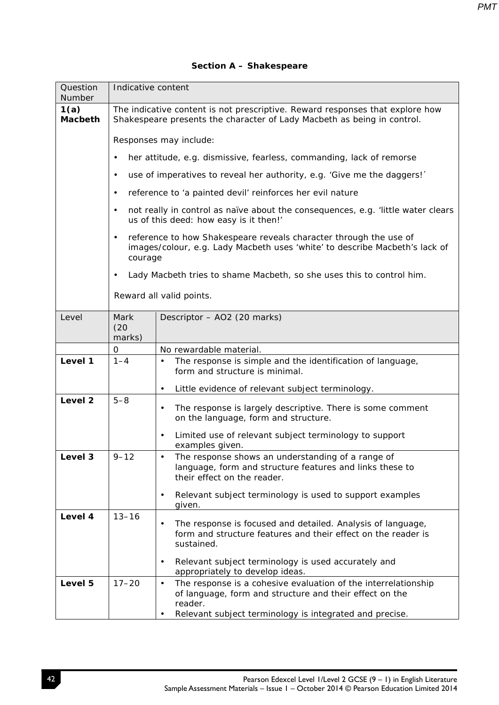## **Section A – Shakespeare**

| Question<br>Number     | Indicative content                                                                                                                                       |                                                                                                                                                                                                                           |  |  |
|------------------------|----------------------------------------------------------------------------------------------------------------------------------------------------------|---------------------------------------------------------------------------------------------------------------------------------------------------------------------------------------------------------------------------|--|--|
| 1(a)<br><b>Macbeth</b> | The indicative content is not prescriptive. Reward responses that explore how<br>Shakespeare presents the character of Lady Macbeth as being in control. |                                                                                                                                                                                                                           |  |  |
|                        | Responses may include:                                                                                                                                   |                                                                                                                                                                                                                           |  |  |
|                        |                                                                                                                                                          | her attitude, e.g. dismissive, fearless, commanding, lack of remorse                                                                                                                                                      |  |  |
|                        | $\bullet$                                                                                                                                                | use of imperatives to reveal her authority, e.g. 'Give me the daggers!'                                                                                                                                                   |  |  |
|                        | $\bullet$                                                                                                                                                | reference to 'a painted devil' reinforces her evil nature                                                                                                                                                                 |  |  |
|                        | $\bullet$                                                                                                                                                | not really in control as naïve about the consequences, e.g. 'little water clears<br>us of this deed: how easy is it then!'                                                                                                |  |  |
|                        | $\bullet$<br>courage                                                                                                                                     | reference to how Shakespeare reveals character through the use of<br>images/colour, e.g. Lady Macbeth uses 'white' to describe Macbeth's lack of                                                                          |  |  |
|                        | $\bullet$                                                                                                                                                | Lady Macbeth tries to shame Macbeth, so she uses this to control him.                                                                                                                                                     |  |  |
|                        |                                                                                                                                                          | Reward all valid points.                                                                                                                                                                                                  |  |  |
| Level                  | Mark<br>(20)<br>marks)                                                                                                                                   | Descriptor - AO2 (20 marks)                                                                                                                                                                                               |  |  |
|                        | 0                                                                                                                                                        | No rewardable material.                                                                                                                                                                                                   |  |  |
| Level 1                | $1 - 4$                                                                                                                                                  | The response is simple and the identification of language,<br>form and structure is minimal.                                                                                                                              |  |  |
|                        |                                                                                                                                                          | Little evidence of relevant subject terminology.<br>$\bullet$                                                                                                                                                             |  |  |
| Level <sub>2</sub>     | $5 - 8$                                                                                                                                                  | The response is largely descriptive. There is some comment<br>$\bullet$<br>on the language, form and structure.                                                                                                           |  |  |
|                        |                                                                                                                                                          | Limited use of relevant subject terminology to support<br>$\bullet$<br>examples given.                                                                                                                                    |  |  |
| Level 3                | $9 - 12$                                                                                                                                                 | The response shows an understanding of a range of<br>language, form and structure features and links these to<br>their effect on the reader.                                                                              |  |  |
|                        |                                                                                                                                                          | Relevant subject terminology is used to support examples<br>$\bullet$<br>given.                                                                                                                                           |  |  |
| Level 4                | $13 - 16$                                                                                                                                                | The response is focused and detailed. Analysis of language,<br>$\bullet$<br>form and structure features and their effect on the reader is<br>sustained.                                                                   |  |  |
|                        |                                                                                                                                                          | Relevant subject terminology is used accurately and<br>$\bullet$<br>appropriately to develop ideas.                                                                                                                       |  |  |
| Level 5                | $17 - 20$                                                                                                                                                | The response is a cohesive evaluation of the interrelationship<br>$\bullet$<br>of language, form and structure and their effect on the<br>reader.<br>Relevant subject terminology is integrated and precise.<br>$\bullet$ |  |  |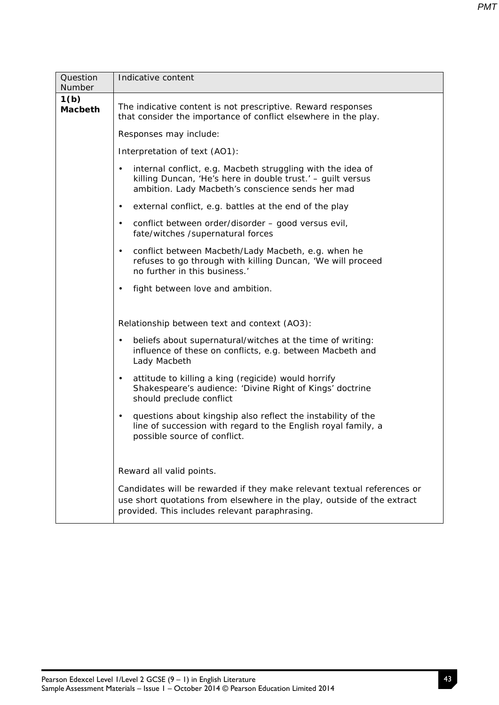| Question<br>Number     | Indicative content                                                                                                                                                                                   |  |  |  |  |
|------------------------|------------------------------------------------------------------------------------------------------------------------------------------------------------------------------------------------------|--|--|--|--|
| 1(b)<br><b>Macbeth</b> | The indicative content is not prescriptive. Reward responses<br>that consider the importance of conflict elsewhere in the play.                                                                      |  |  |  |  |
|                        | Responses may include:                                                                                                                                                                               |  |  |  |  |
|                        | Interpretation of text (AO1):                                                                                                                                                                        |  |  |  |  |
|                        | internal conflict, e.g. Macbeth struggling with the idea of<br>$\bullet$<br>killing Duncan, 'He's here in double trust.' - guilt versus<br>ambition. Lady Macbeth's conscience sends her mad         |  |  |  |  |
|                        | external conflict, e.g. battles at the end of the play<br>$\bullet$                                                                                                                                  |  |  |  |  |
|                        | conflict between order/disorder - good versus evil,<br>$\bullet$<br>fate/witches /supernatural forces                                                                                                |  |  |  |  |
|                        | conflict between Macbeth/Lady Macbeth, e.g. when he<br>$\bullet$<br>refuses to go through with killing Duncan, 'We will proceed<br>no further in this business.'                                     |  |  |  |  |
|                        | fight between love and ambition.<br>$\bullet$                                                                                                                                                        |  |  |  |  |
|                        |                                                                                                                                                                                                      |  |  |  |  |
|                        | Relationship between text and context (AO3):                                                                                                                                                         |  |  |  |  |
|                        | beliefs about supernatural/witches at the time of writing:<br>$\bullet$<br>influence of these on conflicts, e.g. between Macbeth and<br>Lady Macbeth                                                 |  |  |  |  |
|                        | attitude to killing a king (regicide) would horrify<br>$\bullet$<br>Shakespeare's audience: 'Divine Right of Kings' doctrine<br>should preclude conflict                                             |  |  |  |  |
|                        | questions about kingship also reflect the instability of the<br>$\bullet$<br>line of succession with regard to the English royal family, a<br>possible source of conflict.                           |  |  |  |  |
|                        |                                                                                                                                                                                                      |  |  |  |  |
|                        | Reward all valid points.                                                                                                                                                                             |  |  |  |  |
|                        | Candidates will be rewarded if they make relevant textual references or<br>use short quotations from elsewhere in the play, outside of the extract<br>provided. This includes relevant paraphrasing. |  |  |  |  |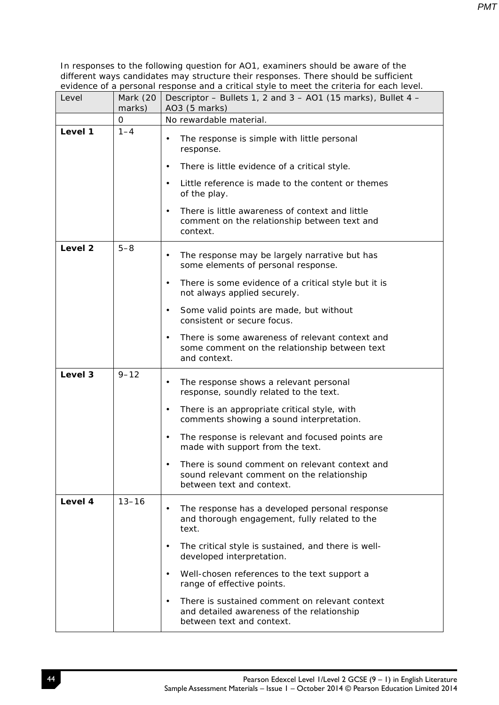| Level   | Mark (20<br>marks) | Descriptor – Bullets 1, 2 and $3 - A01$ (15 marks), Bullet 4 –<br>AO3 (5 marks)                                                        |  |  |
|---------|--------------------|----------------------------------------------------------------------------------------------------------------------------------------|--|--|
|         | 0                  | No rewardable material.                                                                                                                |  |  |
| Level 1 | $1 - 4$            | The response is simple with little personal<br>$\bullet$<br>response.                                                                  |  |  |
|         |                    | There is little evidence of a critical style.<br>$\bullet$                                                                             |  |  |
|         |                    | Little reference is made to the content or themes<br>$\bullet$<br>of the play.                                                         |  |  |
|         |                    | There is little awareness of context and little<br>$\bullet$<br>comment on the relationship between text and<br>context.               |  |  |
| Level 2 | $5 - 8$            | The response may be largely narrative but has<br>$\bullet$<br>some elements of personal response.                                      |  |  |
|         |                    | There is some evidence of a critical style but it is<br>$\bullet$<br>not always applied securely.                                      |  |  |
|         |                    | Some valid points are made, but without<br>$\bullet$<br>consistent or secure focus.                                                    |  |  |
|         |                    | There is some awareness of relevant context and<br>$\bullet$<br>some comment on the relationship between text<br>and context.          |  |  |
| Level 3 | $9 - 12$           | The response shows a relevant personal<br>$\bullet$<br>response, soundly related to the text.                                          |  |  |
|         |                    | There is an appropriate critical style, with<br>$\bullet$<br>comments showing a sound interpretation.                                  |  |  |
|         |                    | The response is relevant and focused points are<br>$\bullet$<br>made with support from the text.                                       |  |  |
|         |                    | There is sound comment on relevant context and<br>sound relevant comment on the relationship<br>between text and context.              |  |  |
| Level 4 | $13 - 16$          | The response has a developed personal response<br>$\bullet$<br>and thorough engagement, fully related to the<br>text.                  |  |  |
|         |                    | The critical style is sustained, and there is well-<br>$\bullet$<br>developed interpretation.                                          |  |  |
|         |                    | Well-chosen references to the text support a<br>$\bullet$<br>range of effective points.                                                |  |  |
|         |                    | There is sustained comment on relevant context<br>$\bullet$<br>and detailed awareness of the relationship<br>between text and context. |  |  |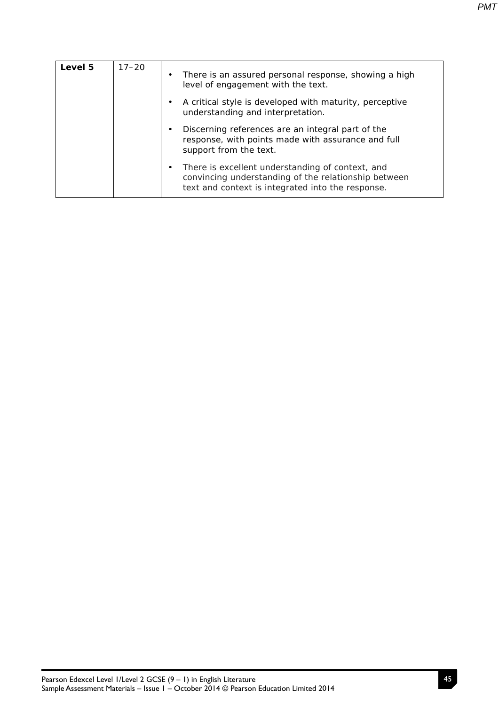| Level 5 | $17 - 20$ | ٠ | There is an assured personal response, showing a high<br>level of engagement with the text.                                                                   |
|---------|-----------|---|---------------------------------------------------------------------------------------------------------------------------------------------------------------|
|         |           |   | A critical style is developed with maturity, perceptive<br>understanding and interpretation.                                                                  |
|         |           |   | Discerning references are an integral part of the<br>response, with points made with assurance and full<br>support from the text.                             |
|         |           |   | There is excellent understanding of context, and<br>convincing understanding of the relationship between<br>text and context is integrated into the response. |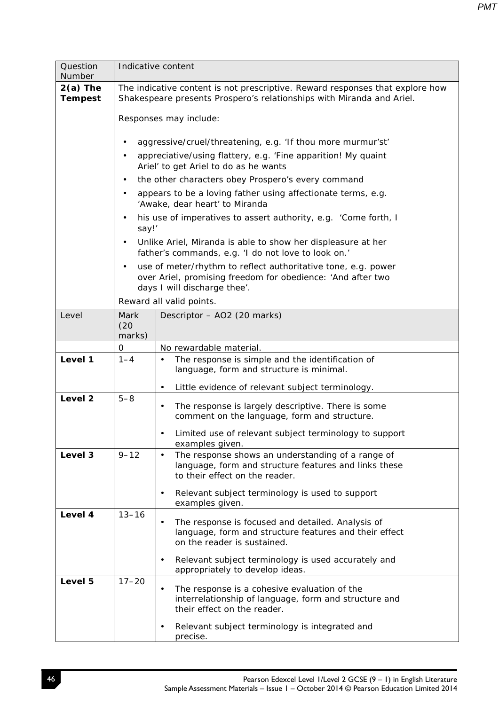| Question<br>Number           |                                                                                                                                                        | Indicative content                                                                                                                                           |  |  |  |
|------------------------------|--------------------------------------------------------------------------------------------------------------------------------------------------------|--------------------------------------------------------------------------------------------------------------------------------------------------------------|--|--|--|
| $2(a)$ The<br><b>Tempest</b> | The indicative content is not prescriptive. Reward responses that explore how<br>Shakespeare presents Prospero's relationships with Miranda and Ariel. |                                                                                                                                                              |  |  |  |
|                              | Responses may include:                                                                                                                                 |                                                                                                                                                              |  |  |  |
|                              |                                                                                                                                                        | aggressive/cruel/threatening, e.g. 'If thou more murmur'st'                                                                                                  |  |  |  |
|                              |                                                                                                                                                        | appreciative/using flattery, e.g. 'Fine apparition! My quaint<br>Ariel' to get Ariel to do as he wants                                                       |  |  |  |
|                              |                                                                                                                                                        | the other characters obey Prospero's every command                                                                                                           |  |  |  |
|                              | $\bullet$                                                                                                                                              | appears to be a loving father using affectionate terms, e.g.<br>'Awake, dear heart' to Miranda                                                               |  |  |  |
|                              | say!'                                                                                                                                                  | his use of imperatives to assert authority, e.g. 'Come forth, I                                                                                              |  |  |  |
|                              | $\bullet$                                                                                                                                              | Unlike Ariel, Miranda is able to show her displeasure at her<br>father's commands, e.g. 'I do not love to look on.'                                          |  |  |  |
|                              |                                                                                                                                                        | use of meter/rhythm to reflect authoritative tone, e.g. power<br>over Ariel, promising freedom for obedience: 'And after two<br>days I will discharge thee'. |  |  |  |
|                              |                                                                                                                                                        | Reward all valid points.                                                                                                                                     |  |  |  |
| Level                        | Mark<br>(20)<br>marks)                                                                                                                                 | Descriptor - AO2 (20 marks)                                                                                                                                  |  |  |  |
|                              | 0                                                                                                                                                      | No rewardable material.                                                                                                                                      |  |  |  |
| Level 1                      | $1 - 4$                                                                                                                                                | The response is simple and the identification of<br>$\bullet$<br>language, form and structure is minimal.                                                    |  |  |  |
|                              |                                                                                                                                                        | Little evidence of relevant subject terminology.<br>$\bullet$                                                                                                |  |  |  |
| Level <sub>2</sub>           | $5 - 8$                                                                                                                                                | The response is largely descriptive. There is some<br>$\bullet$<br>comment on the language, form and structure.                                              |  |  |  |
|                              |                                                                                                                                                        | Limited use of relevant subject terminology to support<br>examples given.                                                                                    |  |  |  |
| Level 3                      | $9 - 12$                                                                                                                                               | The response shows an understanding of a range of<br>$\bullet$<br>language, form and structure features and links these<br>to their effect on the reader.    |  |  |  |
|                              |                                                                                                                                                        | Relevant subject terminology is used to support<br>$\bullet$<br>examples given.                                                                              |  |  |  |
| Level 4                      | $13 - 16$                                                                                                                                              | The response is focused and detailed. Analysis of<br>$\bullet$<br>language, form and structure features and their effect<br>on the reader is sustained.      |  |  |  |
|                              |                                                                                                                                                        | Relevant subject terminology is used accurately and<br>$\bullet$<br>appropriately to develop ideas.                                                          |  |  |  |
| Level 5                      | $17 - 20$                                                                                                                                              | The response is a cohesive evaluation of the<br>$\bullet$<br>interrelationship of language, form and structure and<br>their effect on the reader.            |  |  |  |
|                              |                                                                                                                                                        | Relevant subject terminology is integrated and<br>precise.                                                                                                   |  |  |  |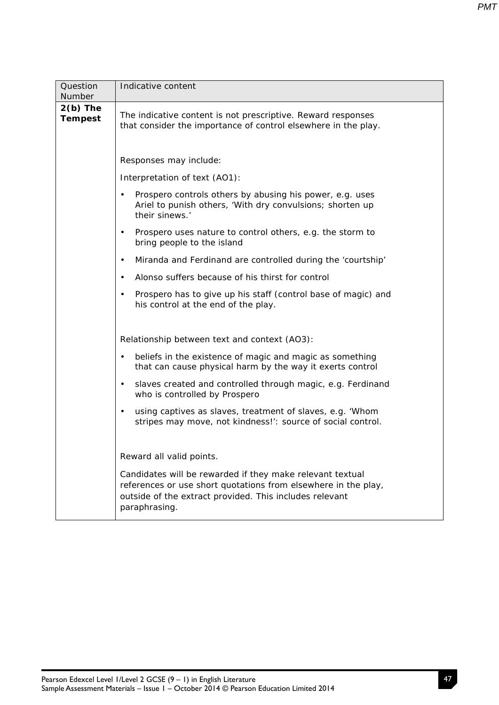| Question<br>Number           | Indicative content                                                                                                                                                                                      |  |  |
|------------------------------|---------------------------------------------------------------------------------------------------------------------------------------------------------------------------------------------------------|--|--|
| $2(b)$ The<br><b>Tempest</b> | The indicative content is not prescriptive. Reward responses<br>that consider the importance of control elsewhere in the play.                                                                          |  |  |
|                              | Responses may include:                                                                                                                                                                                  |  |  |
|                              | Interpretation of text (AO1):                                                                                                                                                                           |  |  |
|                              | Prospero controls others by abusing his power, e.g. uses<br>Ariel to punish others, 'With dry convulsions; shorten up<br>their sinews.'                                                                 |  |  |
|                              | Prospero uses nature to control others, e.g. the storm to<br>$\bullet$<br>bring people to the island                                                                                                    |  |  |
|                              | Miranda and Ferdinand are controlled during the 'courtship'<br>$\bullet$                                                                                                                                |  |  |
|                              | Alonso suffers because of his thirst for control<br>$\bullet$                                                                                                                                           |  |  |
|                              | Prospero has to give up his staff (control base of magic) and<br>$\bullet$<br>his control at the end of the play.                                                                                       |  |  |
|                              |                                                                                                                                                                                                         |  |  |
|                              | Relationship between text and context (AO3):                                                                                                                                                            |  |  |
|                              | beliefs in the existence of magic and magic as something<br>$\bullet$<br>that can cause physical harm by the way it exerts control                                                                      |  |  |
|                              | slaves created and controlled through magic, e.g. Ferdinand<br>$\bullet$<br>who is controlled by Prospero                                                                                               |  |  |
|                              | using captives as slaves, treatment of slaves, e.g. 'Whom<br>$\bullet$<br>stripes may move, not kindness!': source of social control.                                                                   |  |  |
|                              |                                                                                                                                                                                                         |  |  |
|                              | Reward all valid points.                                                                                                                                                                                |  |  |
|                              | Candidates will be rewarded if they make relevant textual<br>references or use short quotations from elsewhere in the play,<br>outside of the extract provided. This includes relevant<br>paraphrasing. |  |  |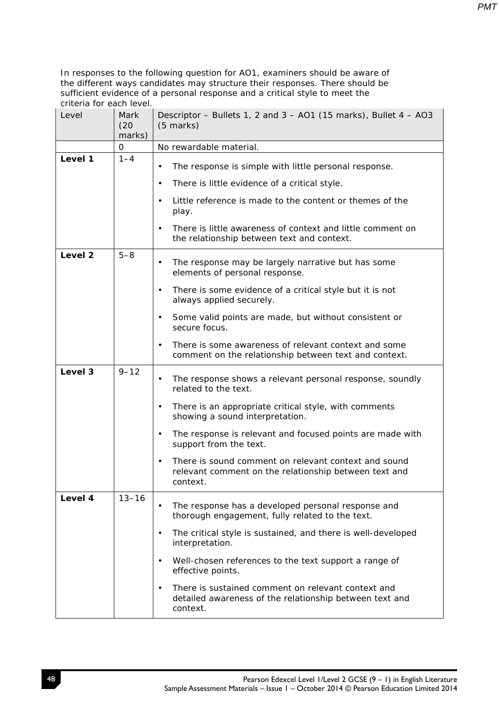| Level   | Mark<br>(20)<br>marks) | Descriptor - Bullets 1, 2 and 3 - AO1 (15 marks), Bullet 4 - AO3<br>$(5$ marks)                                                        |  |  |
|---------|------------------------|----------------------------------------------------------------------------------------------------------------------------------------|--|--|
|         | 0                      | No rewardable material.                                                                                                                |  |  |
| Level 1 | $1 - 4$                | The response is simple with little personal response.<br>$\bullet$                                                                     |  |  |
|         |                        | There is little evidence of a critical style.<br>$\bullet$                                                                             |  |  |
|         |                        | Little reference is made to the content or themes of the<br>$\bullet$<br>play.                                                         |  |  |
|         |                        | There is little awareness of context and little comment on<br>$\bullet$<br>the relationship between text and context.                  |  |  |
| Level 2 | $5 - 8$                | The response may be largely narrative but has some<br>elements of personal response.                                                   |  |  |
|         |                        | There is some evidence of a critical style but it is not<br>$\bullet$<br>always applied securely.                                      |  |  |
|         |                        | Some valid points are made, but without consistent or<br>$\bullet$<br>secure focus.                                                    |  |  |
|         |                        | There is some awareness of relevant context and some<br>comment on the relationship between text and context.                          |  |  |
| Level 3 | $9 - 12$               | The response shows a relevant personal response, soundly<br>$\bullet$<br>related to the text.                                          |  |  |
|         |                        | There is an appropriate critical style, with comments<br>$\bullet$<br>showing a sound interpretation.                                  |  |  |
|         |                        | The response is relevant and focused points are made with<br>$\bullet$<br>support from the text.                                       |  |  |
|         |                        | There is sound comment on relevant context and sound<br>$\bullet$<br>relevant comment on the relationship between text and<br>context. |  |  |
| Level 4 | $13 - 16$              | The response has a developed personal response and<br>thorough engagement, fully related to the text.                                  |  |  |
|         |                        | The critical style is sustained, and there is well-developed<br>interpretation.                                                        |  |  |
|         |                        | Well-chosen references to the text support a range of<br>$\bullet$<br>effective points.                                                |  |  |
|         |                        | There is sustained comment on relevant context and<br>$\bullet$<br>detailed awareness of the relationship between text and<br>context. |  |  |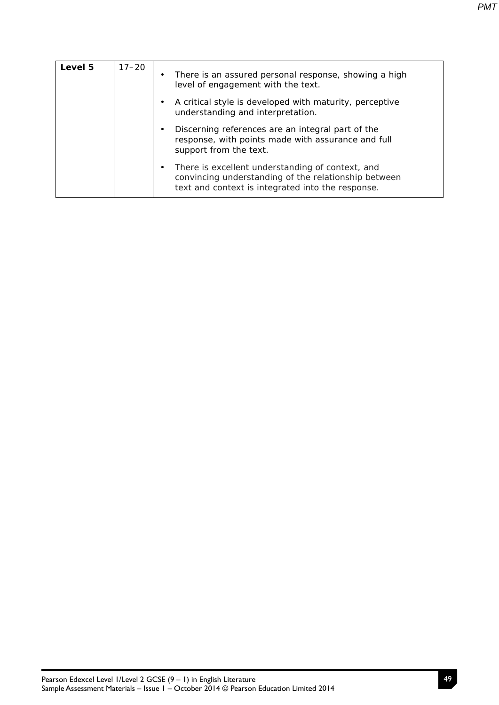| Level 5 | $17 - 20$ | There is an assured personal response, showing a high<br>٠<br>level of engagement with the text.                                                                           |
|---------|-----------|----------------------------------------------------------------------------------------------------------------------------------------------------------------------------|
|         |           | A critical style is developed with maturity, perceptive<br>$\bullet$<br>understanding and interpretation.                                                                  |
|         |           | Discerning references are an integral part of the<br>$\bullet$<br>response, with points made with assurance and full<br>support from the text.                             |
|         |           | There is excellent understanding of context, and<br>$\bullet$<br>convincing understanding of the relationship between<br>text and context is integrated into the response. |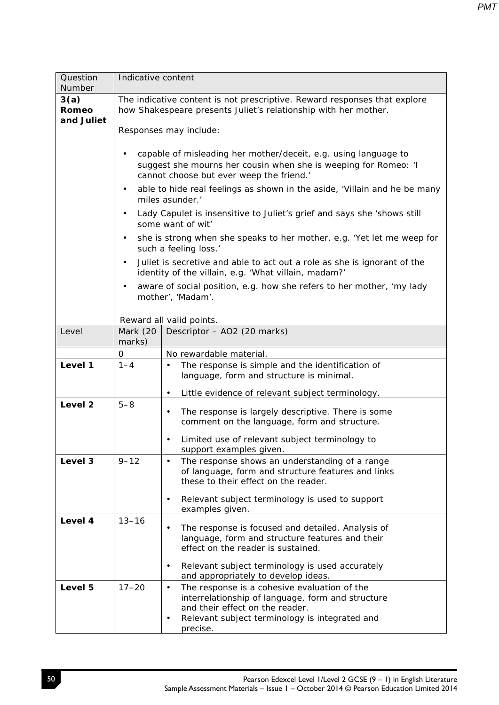| Question<br>Number          | Indicative content                                                                                                                                                                                                                                                                                                                                                                                                                                                                                                                                                                                                                                                                                                                                                  |                                                                                                                                                                                                                                                        |  |
|-----------------------------|---------------------------------------------------------------------------------------------------------------------------------------------------------------------------------------------------------------------------------------------------------------------------------------------------------------------------------------------------------------------------------------------------------------------------------------------------------------------------------------------------------------------------------------------------------------------------------------------------------------------------------------------------------------------------------------------------------------------------------------------------------------------|--------------------------------------------------------------------------------------------------------------------------------------------------------------------------------------------------------------------------------------------------------|--|
| 3(a)<br>Romeo<br>and Juliet | The indicative content is not prescriptive. Reward responses that explore<br>how Shakespeare presents Juliet's relationship with her mother.<br>Responses may include:<br>capable of misleading her mother/deceit, e.g. using language to<br>suggest she mourns her cousin when she is weeping for Romeo: 'I<br>cannot choose but ever weep the friend.'<br>able to hide real feelings as shown in the aside, 'Villain and he be many<br>٠<br>miles asunder.'<br>Lady Capulet is insensitive to Juliet's grief and says she 'shows still<br>٠<br>some want of wit'<br>she is strong when she speaks to her mother, e.g. 'Yet let me weep for<br>٠<br>such a feeling loss.'<br>Juliet is secretive and able to act out a role as she is ignorant of the<br>$\bullet$ |                                                                                                                                                                                                                                                        |  |
|                             |                                                                                                                                                                                                                                                                                                                                                                                                                                                                                                                                                                                                                                                                                                                                                                     | identity of the villain, e.g. 'What villain, madam?'<br>aware of social position, e.g. how she refers to her mother, 'my lady<br>mother', 'Madam'.                                                                                                     |  |
| Level                       | Reward all valid points.<br>Mark (20<br>Descriptor - AO2 (20 marks)                                                                                                                                                                                                                                                                                                                                                                                                                                                                                                                                                                                                                                                                                                 |                                                                                                                                                                                                                                                        |  |
|                             | marks)                                                                                                                                                                                                                                                                                                                                                                                                                                                                                                                                                                                                                                                                                                                                                              |                                                                                                                                                                                                                                                        |  |
|                             | 0                                                                                                                                                                                                                                                                                                                                                                                                                                                                                                                                                                                                                                                                                                                                                                   | No rewardable material.                                                                                                                                                                                                                                |  |
| Level 1                     | $1 - 4$                                                                                                                                                                                                                                                                                                                                                                                                                                                                                                                                                                                                                                                                                                                                                             | The response is simple and the identification of<br>language, form and structure is minimal.                                                                                                                                                           |  |
|                             |                                                                                                                                                                                                                                                                                                                                                                                                                                                                                                                                                                                                                                                                                                                                                                     | Little evidence of relevant subject terminology.<br>$\bullet$                                                                                                                                                                                          |  |
| Level <sub>2</sub>          | $5 - 8$                                                                                                                                                                                                                                                                                                                                                                                                                                                                                                                                                                                                                                                                                                                                                             | The response is largely descriptive. There is some<br>$\bullet$<br>comment on the language, form and structure.<br>Limited use of relevant subject terminology to<br>$\bullet$<br>support examples given.                                              |  |
| Level 3                     | $9 - 12$                                                                                                                                                                                                                                                                                                                                                                                                                                                                                                                                                                                                                                                                                                                                                            | The response shows an understanding of a range<br>$\bullet$<br>of language, form and structure features and links<br>these to their effect on the reader.<br>Relevant subject terminology is used to support<br>$\bullet$<br>examples given.           |  |
| Level 4                     | $13 - 16$                                                                                                                                                                                                                                                                                                                                                                                                                                                                                                                                                                                                                                                                                                                                                           | The response is focused and detailed. Analysis of<br>٠<br>language, form and structure features and their<br>effect on the reader is sustained.<br>Relevant subject terminology is used accurately<br>$\bullet$<br>and appropriately to develop ideas. |  |
| Level 5                     | $17 - 20$                                                                                                                                                                                                                                                                                                                                                                                                                                                                                                                                                                                                                                                                                                                                                           | The response is a cohesive evaluation of the<br>$\bullet$<br>interrelationship of language, form and structure<br>and their effect on the reader.<br>Relevant subject terminology is integrated and<br>$\bullet$<br>precise.                           |  |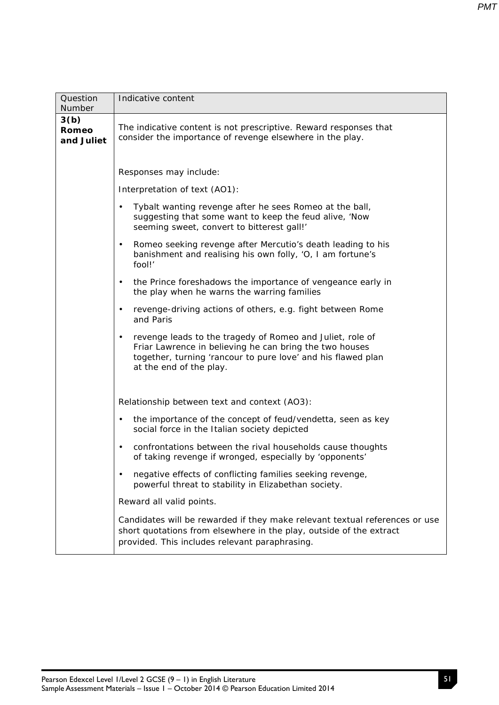| Question<br>Number                 | Indicative content                                                                                                                                                                                                           |  |  |  |
|------------------------------------|------------------------------------------------------------------------------------------------------------------------------------------------------------------------------------------------------------------------------|--|--|--|
| 3(b)<br><b>Romeo</b><br>and Juliet | The indicative content is not prescriptive. Reward responses that<br>consider the importance of revenge elsewhere in the play.                                                                                               |  |  |  |
|                                    | Responses may include:                                                                                                                                                                                                       |  |  |  |
|                                    | Interpretation of text (AO1):                                                                                                                                                                                                |  |  |  |
|                                    | Tybalt wanting revenge after he sees Romeo at the ball,<br>$\bullet$<br>suggesting that some want to keep the feud alive, 'Now<br>seeming sweet, convert to bitterest gall!'                                                 |  |  |  |
|                                    | Romeo seeking revenge after Mercutio's death leading to his<br>$\bullet$<br>banishment and realising his own folly, 'O, I am fortune's<br>fool!'                                                                             |  |  |  |
|                                    | the Prince foreshadows the importance of vengeance early in<br>$\bullet$<br>the play when he warns the warring families                                                                                                      |  |  |  |
|                                    | revenge-driving actions of others, e.g. fight between Rome<br>$\bullet$<br>and Paris                                                                                                                                         |  |  |  |
|                                    | revenge leads to the tragedy of Romeo and Juliet, role of<br>$\bullet$<br>Friar Lawrence in believing he can bring the two houses<br>together, turning 'rancour to pure love' and his flawed plan<br>at the end of the play. |  |  |  |
|                                    | Relationship between text and context (AO3):                                                                                                                                                                                 |  |  |  |
|                                    | the importance of the concept of feud/vendetta, seen as key<br>$\bullet$<br>social force in the Italian society depicted                                                                                                     |  |  |  |
|                                    | confrontations between the rival households cause thoughts<br>$\bullet$<br>of taking revenge if wronged, especially by 'opponents'                                                                                           |  |  |  |
|                                    | negative effects of conflicting families seeking revenge,<br>$\bullet$<br>powerful threat to stability in Elizabethan society.                                                                                               |  |  |  |
|                                    | Reward all valid points.                                                                                                                                                                                                     |  |  |  |
|                                    | Candidates will be rewarded if they make relevant textual references or use<br>short quotations from elsewhere in the play, outside of the extract<br>provided. This includes relevant paraphrasing.                         |  |  |  |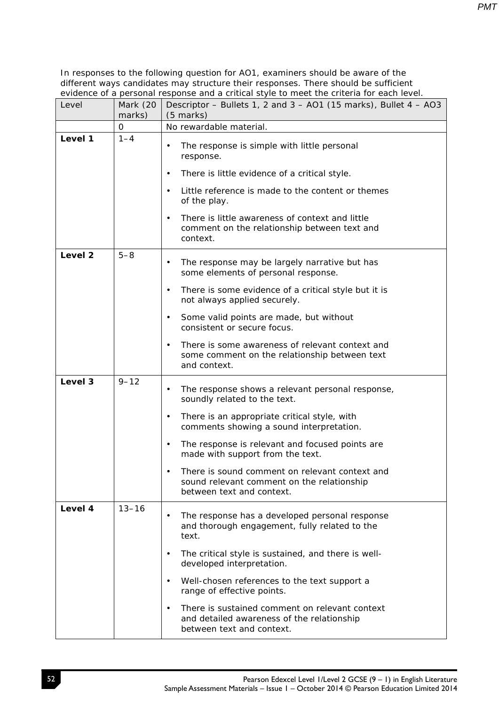| Level              | Mark (20<br>marks) | Descriptor - Bullets 1, 2 and 3 - AO1 (15 marks), Bullet 4 - AO3<br>(5 marks)                                                          |  |  |
|--------------------|--------------------|----------------------------------------------------------------------------------------------------------------------------------------|--|--|
|                    | 0                  | No rewardable material.                                                                                                                |  |  |
| Level 1            | $1 - 4$            | The response is simple with little personal<br>$\bullet$<br>response.                                                                  |  |  |
|                    |                    | There is little evidence of a critical style.<br>$\bullet$                                                                             |  |  |
|                    |                    | Little reference is made to the content or themes<br>$\bullet$<br>of the play.                                                         |  |  |
|                    |                    | There is little awareness of context and little<br>$\bullet$<br>comment on the relationship between text and<br>context.               |  |  |
| Level <sub>2</sub> | $5 - 8$            | The response may be largely narrative but has<br>$\bullet$<br>some elements of personal response.                                      |  |  |
|                    |                    | There is some evidence of a critical style but it is<br>٠<br>not always applied securely.                                              |  |  |
|                    |                    | Some valid points are made, but without<br>$\bullet$<br>consistent or secure focus.                                                    |  |  |
|                    |                    | There is some awareness of relevant context and<br>٠<br>some comment on the relationship between text<br>and context.                  |  |  |
| Level 3            | $9 - 12$           | The response shows a relevant personal response,<br>$\bullet$<br>soundly related to the text.                                          |  |  |
|                    |                    | There is an appropriate critical style, with<br>$\bullet$<br>comments showing a sound interpretation.                                  |  |  |
|                    |                    | The response is relevant and focused points are<br>$\bullet$<br>made with support from the text.                                       |  |  |
|                    |                    | There is sound comment on relevant context and<br>sound relevant comment on the relationship<br>between text and context.              |  |  |
| Level 4            | $13 - 16$          | The response has a developed personal response<br>$\bullet$<br>and thorough engagement, fully related to the<br>text.                  |  |  |
|                    |                    | The critical style is sustained, and there is well-<br>$\bullet$<br>developed interpretation.                                          |  |  |
|                    |                    | Well-chosen references to the text support a<br>٠<br>range of effective points.                                                        |  |  |
|                    |                    | There is sustained comment on relevant context<br>$\bullet$<br>and detailed awareness of the relationship<br>between text and context. |  |  |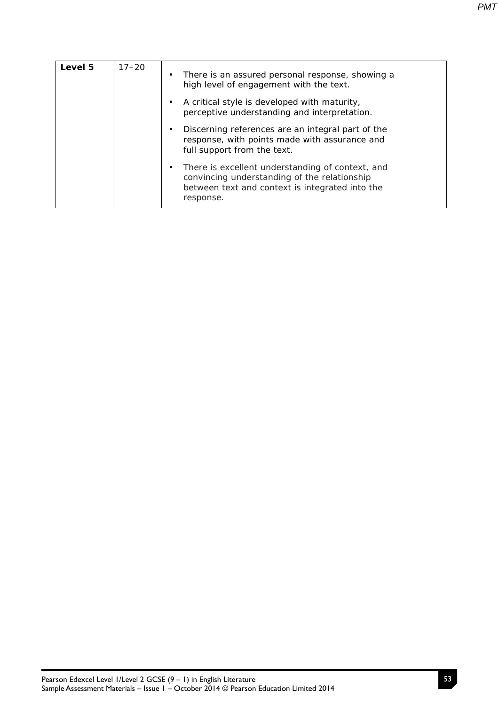| Level 5 | $17 - 20$ | $\bullet$ | There is an assured personal response, showing a<br>high level of engagement with the text.                                                                      |
|---------|-----------|-----------|------------------------------------------------------------------------------------------------------------------------------------------------------------------|
|         |           |           | A critical style is developed with maturity,<br>perceptive understanding and interpretation.                                                                     |
|         |           |           | Discerning references are an integral part of the<br>response, with points made with assurance and<br>full support from the text.                                |
|         |           |           | There is excellent understanding of context, and<br>convincing understanding of the relationship<br>between text and context is integrated into the<br>response. |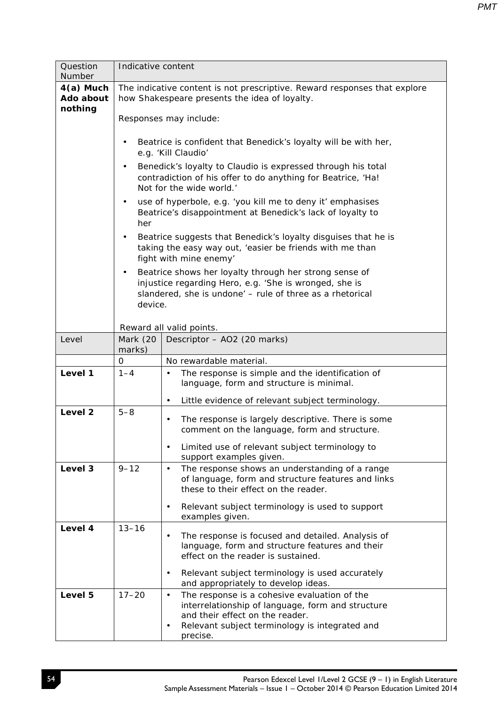| Question<br>Number                  | Indicative content |                                                                                                                                                                                          |  |  |  |  |
|-------------------------------------|--------------------|------------------------------------------------------------------------------------------------------------------------------------------------------------------------------------------|--|--|--|--|
| $4(a)$ Much<br>Ado about<br>nothing |                    | The indicative content is not prescriptive. Reward responses that explore<br>how Shakespeare presents the idea of loyalty.                                                               |  |  |  |  |
|                                     |                    | Responses may include:                                                                                                                                                                   |  |  |  |  |
|                                     | $\bullet$          | Beatrice is confident that Benedick's loyalty will be with her,<br>e.g. 'Kill Claudio'                                                                                                   |  |  |  |  |
|                                     | $\bullet$          | Benedick's loyalty to Claudio is expressed through his total<br>contradiction of his offer to do anything for Beatrice, 'Ha!<br>Not for the wide world.'                                 |  |  |  |  |
|                                     | $\bullet$<br>her   | use of hyperbole, e.g. 'you kill me to deny it' emphasises<br>Beatrice's disappointment at Benedick's lack of loyalty to                                                                 |  |  |  |  |
|                                     |                    | Beatrice suggests that Benedick's loyalty disguises that he is<br>taking the easy way out, 'easier be friends with me than<br>fight with mine enemy'                                     |  |  |  |  |
|                                     | $\bullet$          | Beatrice shows her loyalty through her strong sense of<br>injustice regarding Hero, e.g. 'She is wronged, she is<br>slandered, she is undone' - rule of three as a rhetorical<br>device. |  |  |  |  |
|                                     |                    | Reward all valid points.                                                                                                                                                                 |  |  |  |  |
| Level                               | Mark (20<br>marks) | Descriptor - AO2 (20 marks)                                                                                                                                                              |  |  |  |  |
|                                     | 0                  | No rewardable material.                                                                                                                                                                  |  |  |  |  |
| Level 1                             | $1 - 4$            | The response is simple and the identification of<br>$\bullet$                                                                                                                            |  |  |  |  |
|                                     |                    | language, form and structure is minimal.                                                                                                                                                 |  |  |  |  |
|                                     |                    | Little evidence of relevant subject terminology.<br>$\bullet$                                                                                                                            |  |  |  |  |
| Level 2                             | $5 - 8$            | The response is largely descriptive. There is some<br>comment on the language, form and structure.                                                                                       |  |  |  |  |
|                                     |                    | Limited use of relevant subject terminology to<br>$\bullet$<br>support examples given.                                                                                                   |  |  |  |  |
| Level 3                             | $9 - 12$           | The response shows an understanding of a range<br>$\bullet$<br>of language, form and structure features and links<br>these to their effect on the reader.                                |  |  |  |  |
|                                     |                    | Relevant subject terminology is used to support<br>$\bullet$<br>examples given.                                                                                                          |  |  |  |  |
| Level 4                             | $13 - 16$          | The response is focused and detailed. Analysis of<br>language, form and structure features and their<br>effect on the reader is sustained.                                               |  |  |  |  |
|                                     |                    | Relevant subject terminology is used accurately<br>$\bullet$<br>and appropriately to develop ideas.                                                                                      |  |  |  |  |
| Level 5                             | $17 - 20$          | The response is a cohesive evaluation of the<br>$\bullet$<br>interrelationship of language, form and structure                                                                           |  |  |  |  |
|                                     |                    | and their effect on the reader.                                                                                                                                                          |  |  |  |  |
|                                     |                    | Relevant subject terminology is integrated and<br>precise.                                                                                                                               |  |  |  |  |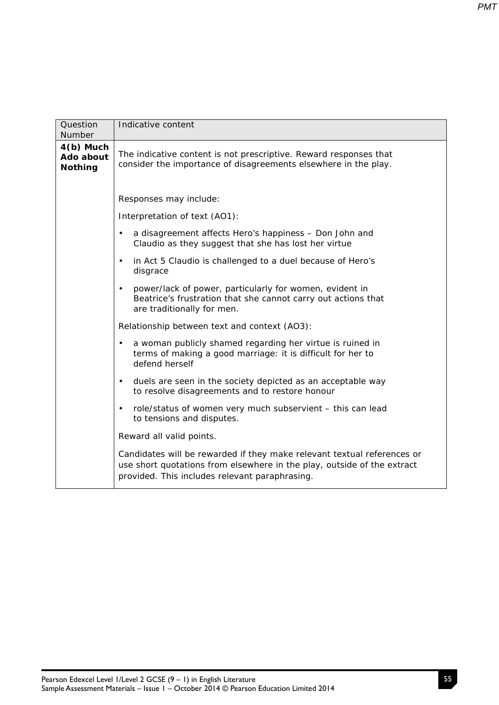| Question<br>Number                         | Indicative content                                                                                                                                                                                   |  |  |  |  |
|--------------------------------------------|------------------------------------------------------------------------------------------------------------------------------------------------------------------------------------------------------|--|--|--|--|
| $4(b)$ Much<br>Ado about<br><b>Nothing</b> | The indicative content is not prescriptive. Reward responses that<br>consider the importance of disagreements elsewhere in the play.                                                                 |  |  |  |  |
|                                            | Responses may include:                                                                                                                                                                               |  |  |  |  |
|                                            | Interpretation of text (AO1):                                                                                                                                                                        |  |  |  |  |
|                                            | a disagreement affects Hero's happiness - Don John and<br>$\bullet$<br>Claudio as they suggest that she has lost her virtue                                                                          |  |  |  |  |
|                                            | in Act 5 Claudio is challenged to a duel because of Hero's<br>$\bullet$<br>disgrace                                                                                                                  |  |  |  |  |
|                                            | power/lack of power, particularly for women, evident in<br>$\bullet$<br>Beatrice's frustration that she cannot carry out actions that<br>are traditionally for men.                                  |  |  |  |  |
|                                            | Relationship between text and context (AO3):                                                                                                                                                         |  |  |  |  |
|                                            | a woman publicly shamed regarding her virtue is ruined in<br>$\bullet$<br>terms of making a good marriage: it is difficult for her to<br>defend herself                                              |  |  |  |  |
|                                            | duels are seen in the society depicted as an acceptable way<br>$\bullet$<br>to resolve disagreements and to restore honour                                                                           |  |  |  |  |
|                                            | role/status of women very much subservient - this can lead<br>$\bullet$<br>to tensions and disputes.                                                                                                 |  |  |  |  |
|                                            | Reward all valid points.                                                                                                                                                                             |  |  |  |  |
|                                            | Candidates will be rewarded if they make relevant textual references or<br>use short quotations from elsewhere in the play, outside of the extract<br>provided. This includes relevant paraphrasing. |  |  |  |  |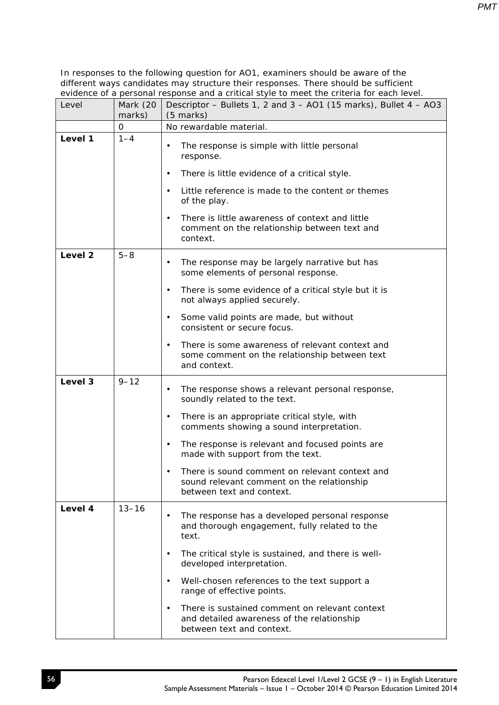| Level              | Mark (20<br>marks) | Descriptor - Bullets 1, 2 and 3 - AO1 (15 marks), Bullet 4 - AO3<br>(5 marks)                                                          |
|--------------------|--------------------|----------------------------------------------------------------------------------------------------------------------------------------|
|                    | 0                  | No rewardable material.                                                                                                                |
| Level 1            | $1 - 4$            | The response is simple with little personal<br>$\bullet$<br>response.                                                                  |
|                    |                    | There is little evidence of a critical style.<br>$\bullet$                                                                             |
|                    |                    | Little reference is made to the content or themes<br>$\bullet$<br>of the play.                                                         |
|                    |                    | There is little awareness of context and little<br>$\bullet$<br>comment on the relationship between text and<br>context.               |
| Level <sub>2</sub> | $5 - 8$            | The response may be largely narrative but has<br>$\bullet$<br>some elements of personal response.                                      |
|                    |                    | There is some evidence of a critical style but it is<br>٠<br>not always applied securely.                                              |
|                    |                    | Some valid points are made, but without<br>$\bullet$<br>consistent or secure focus.                                                    |
|                    |                    | There is some awareness of relevant context and<br>٠<br>some comment on the relationship between text<br>and context.                  |
| Level 3            | $9 - 12$           | The response shows a relevant personal response,<br>$\bullet$<br>soundly related to the text.                                          |
|                    |                    | There is an appropriate critical style, with<br>$\bullet$<br>comments showing a sound interpretation.                                  |
|                    |                    | The response is relevant and focused points are<br>$\bullet$<br>made with support from the text.                                       |
|                    |                    | There is sound comment on relevant context and<br>sound relevant comment on the relationship<br>between text and context.              |
| Level 4            | $13 - 16$          | The response has a developed personal response<br>$\bullet$<br>and thorough engagement, fully related to the<br>text.                  |
|                    |                    | The critical style is sustained, and there is well-<br>$\bullet$<br>developed interpretation.                                          |
|                    |                    | Well-chosen references to the text support a<br>٠<br>range of effective points.                                                        |
|                    |                    | There is sustained comment on relevant context<br>$\bullet$<br>and detailed awareness of the relationship<br>between text and context. |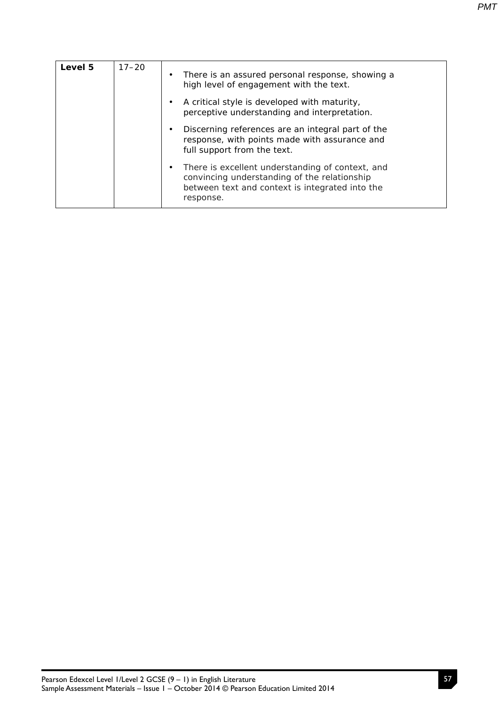| Level 5 | $17 - 20$ | $\bullet$ | There is an assured personal response, showing a<br>high level of engagement with the text.                                                                      |
|---------|-----------|-----------|------------------------------------------------------------------------------------------------------------------------------------------------------------------|
|         |           |           | A critical style is developed with maturity,<br>perceptive understanding and interpretation.                                                                     |
|         |           |           | Discerning references are an integral part of the<br>response, with points made with assurance and<br>full support from the text.                                |
|         |           |           | There is excellent understanding of context, and<br>convincing understanding of the relationship<br>between text and context is integrated into the<br>response. |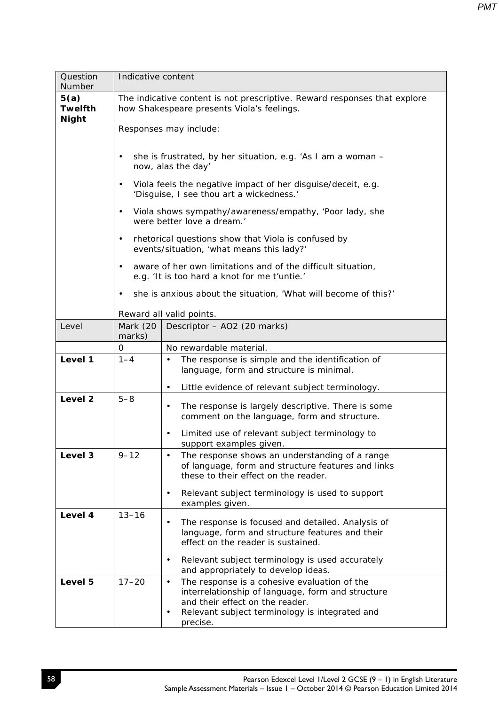| Question<br>Number                     | Indicative content |                                                                                                                                                                                                                      |  |  |  |  |
|----------------------------------------|--------------------|----------------------------------------------------------------------------------------------------------------------------------------------------------------------------------------------------------------------|--|--|--|--|
| 5(a)<br><b>Twelfth</b><br><b>Night</b> |                    | The indicative content is not prescriptive. Reward responses that explore<br>how Shakespeare presents Viola's feelings.<br>Responses may include:                                                                    |  |  |  |  |
|                                        | $\bullet$          | she is frustrated, by her situation, e.g. 'As I am a woman -<br>now, alas the day'                                                                                                                                   |  |  |  |  |
|                                        | $\bullet$          | Viola feels the negative impact of her disguise/deceit, e.g.<br>'Disguise, I see thou art a wickedness.'                                                                                                             |  |  |  |  |
|                                        | $\bullet$          | Viola shows sympathy/awareness/empathy, 'Poor lady, she<br>were better love a dream.'                                                                                                                                |  |  |  |  |
|                                        | $\bullet$          | rhetorical questions show that Viola is confused by<br>events/situation, 'what means this lady?'                                                                                                                     |  |  |  |  |
|                                        | $\bullet$          | aware of her own limitations and of the difficult situation,<br>e.g. 'It is too hard a knot for me t'untie.'                                                                                                         |  |  |  |  |
|                                        |                    | she is anxious about the situation, 'What will become of this?'                                                                                                                                                      |  |  |  |  |
|                                        |                    | Reward all valid points.                                                                                                                                                                                             |  |  |  |  |
| Level                                  | Mark (20<br>marks) | Descriptor - AO2 (20 marks)                                                                                                                                                                                          |  |  |  |  |
|                                        | 0                  | No rewardable material.                                                                                                                                                                                              |  |  |  |  |
| Level 1                                | $1 - 4$            | The response is simple and the identification of<br>language, form and structure is minimal.                                                                                                                         |  |  |  |  |
|                                        |                    | Little evidence of relevant subject terminology.<br>$\bullet$                                                                                                                                                        |  |  |  |  |
| Level <sub>2</sub>                     | $5 - 8$            | The response is largely descriptive. There is some<br>$\bullet$<br>comment on the language, form and structure.<br>Limited use of relevant subject terminology to<br>$\bullet$<br>support examples given.            |  |  |  |  |
| Level 3                                | $9 - 12$           | The response shows an understanding of a range<br>$\bullet$                                                                                                                                                          |  |  |  |  |
|                                        |                    | of language, form and structure features and links                                                                                                                                                                   |  |  |  |  |
|                                        |                    | these to their effect on the reader.                                                                                                                                                                                 |  |  |  |  |
|                                        |                    | Relevant subject terminology is used to support<br>$\bullet$<br>examples given.                                                                                                                                      |  |  |  |  |
| Level 4                                | $13 - 16$          | The response is focused and detailed. Analysis of<br>$\bullet$<br>language, form and structure features and their<br>effect on the reader is sustained.                                                              |  |  |  |  |
|                                        |                    | Relevant subject terminology is used accurately<br>٠<br>and appropriately to develop ideas.                                                                                                                          |  |  |  |  |
| Level 5                                | $17 - 20$          | The response is a cohesive evaluation of the<br>٠<br>interrelationship of language, form and structure<br>and their effect on the reader.<br>Relevant subject terminology is integrated and<br>$\bullet$<br>precise. |  |  |  |  |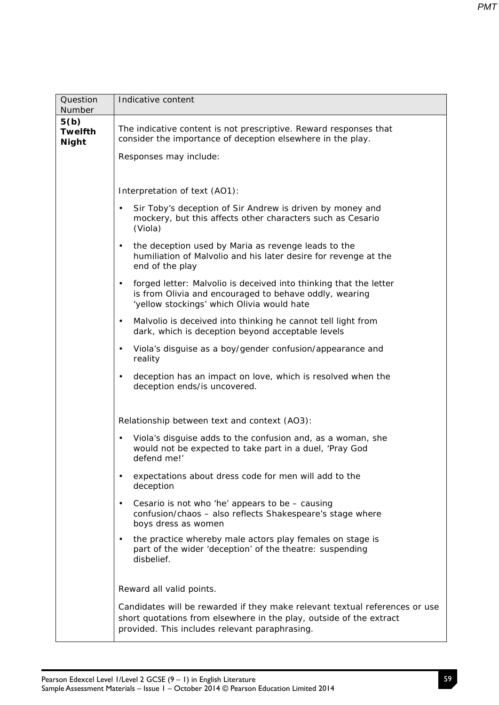| Question<br>Number                     | Indicative content                                                                                                                                                                                   |  |  |  |  |  |  |
|----------------------------------------|------------------------------------------------------------------------------------------------------------------------------------------------------------------------------------------------------|--|--|--|--|--|--|
| 5(b)<br><b>Twelfth</b><br><b>Night</b> | The indicative content is not prescriptive. Reward responses that<br>consider the importance of deception elsewhere in the play.<br>Responses may include:                                           |  |  |  |  |  |  |
|                                        |                                                                                                                                                                                                      |  |  |  |  |  |  |
|                                        | Interpretation of text (AO1):<br>Sir Toby's deception of Sir Andrew is driven by money and<br>$\bullet$                                                                                              |  |  |  |  |  |  |
|                                        | mockery, but this affects other characters such as Cesario<br>(Viola)                                                                                                                                |  |  |  |  |  |  |
|                                        | the deception used by Maria as revenge leads to the<br>$\bullet$<br>humiliation of Malvolio and his later desire for revenge at the<br>end of the play                                               |  |  |  |  |  |  |
|                                        | forged letter: Malvolio is deceived into thinking that the letter<br>$\bullet$<br>is from Olivia and encouraged to behave oddly, wearing<br>'yellow stockings' which Olivia would hate               |  |  |  |  |  |  |
|                                        | Malvolio is deceived into thinking he cannot tell light from<br>$\bullet$<br>dark, which is deception beyond acceptable levels                                                                       |  |  |  |  |  |  |
|                                        | Viola's disguise as a boy/gender confusion/appearance and<br>$\bullet$<br>reality                                                                                                                    |  |  |  |  |  |  |
|                                        | deception has an impact on love, which is resolved when the<br>$\bullet$<br>deception ends/is uncovered.                                                                                             |  |  |  |  |  |  |
|                                        | Relationship between text and context (AO3):                                                                                                                                                         |  |  |  |  |  |  |
|                                        | Viola's disguise adds to the confusion and, as a woman, she<br>$\bullet$<br>would not be expected to take part in a duel, 'Pray God<br>defend me!'                                                   |  |  |  |  |  |  |
|                                        | expectations about dress code for men will add to the<br>$\bullet$<br>deception                                                                                                                      |  |  |  |  |  |  |
|                                        | Cesario is not who 'he' appears to be - causing<br>$\bullet$<br>confusion/chaos - also reflects Shakespeare's stage where<br>boys dress as women                                                     |  |  |  |  |  |  |
|                                        | the practice whereby male actors play females on stage is<br>$\bullet$<br>part of the wider 'deception' of the theatre: suspending<br>disbelief.                                                     |  |  |  |  |  |  |
|                                        | Reward all valid points.                                                                                                                                                                             |  |  |  |  |  |  |
|                                        | Candidates will be rewarded if they make relevant textual references or use<br>short quotations from elsewhere in the play, outside of the extract<br>provided. This includes relevant paraphrasing. |  |  |  |  |  |  |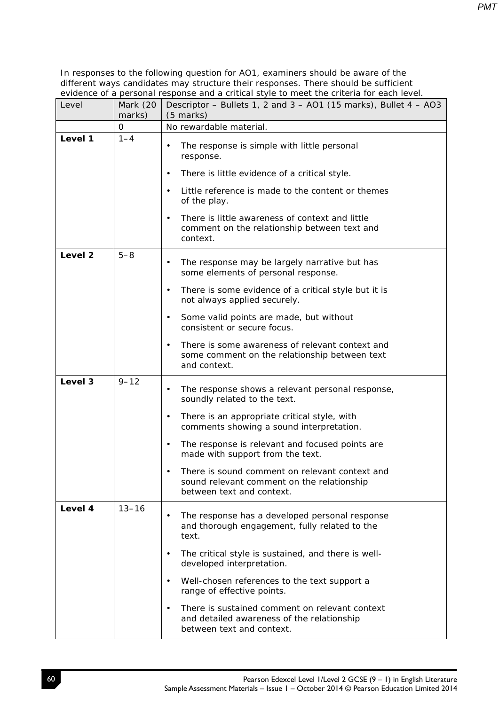| Level              | Mark (20<br>marks) | Descriptor – Bullets 1, 2 and 3 – AO1 (15 marks), Bullet 4 – AO3<br>$(5$ marks)                                                        |
|--------------------|--------------------|----------------------------------------------------------------------------------------------------------------------------------------|
|                    | 0                  | No rewardable material.                                                                                                                |
| Level 1            | $1 - 4$            | The response is simple with little personal<br>$\bullet$<br>response.                                                                  |
|                    |                    | There is little evidence of a critical style.<br>$\bullet$                                                                             |
|                    |                    | Little reference is made to the content or themes<br>$\bullet$<br>of the play.                                                         |
|                    |                    | There is little awareness of context and little<br>$\bullet$<br>comment on the relationship between text and<br>context.               |
| Level <sub>2</sub> | $5 - 8$            | The response may be largely narrative but has<br>$\bullet$<br>some elements of personal response.                                      |
|                    |                    | There is some evidence of a critical style but it is<br>$\bullet$<br>not always applied securely.                                      |
|                    |                    | Some valid points are made, but without<br>$\bullet$<br>consistent or secure focus.                                                    |
|                    |                    | There is some awareness of relevant context and<br>$\bullet$<br>some comment on the relationship between text<br>and context.          |
| Level 3            | $9 - 12$           | The response shows a relevant personal response,<br>$\bullet$<br>soundly related to the text.                                          |
|                    |                    | There is an appropriate critical style, with<br>$\bullet$<br>comments showing a sound interpretation.                                  |
|                    |                    | The response is relevant and focused points are<br>$\bullet$<br>made with support from the text.                                       |
|                    |                    | There is sound comment on relevant context and<br>sound relevant comment on the relationship<br>between text and context.              |
| Level 4            | $13 - 16$          | The response has a developed personal response<br>$\bullet$<br>and thorough engagement, fully related to the<br>text.                  |
|                    |                    | The critical style is sustained, and there is well-<br>$\bullet$<br>developed interpretation.                                          |
|                    |                    | Well-chosen references to the text support a<br>$\bullet$<br>range of effective points.                                                |
|                    |                    | There is sustained comment on relevant context<br>$\bullet$<br>and detailed awareness of the relationship<br>between text and context. |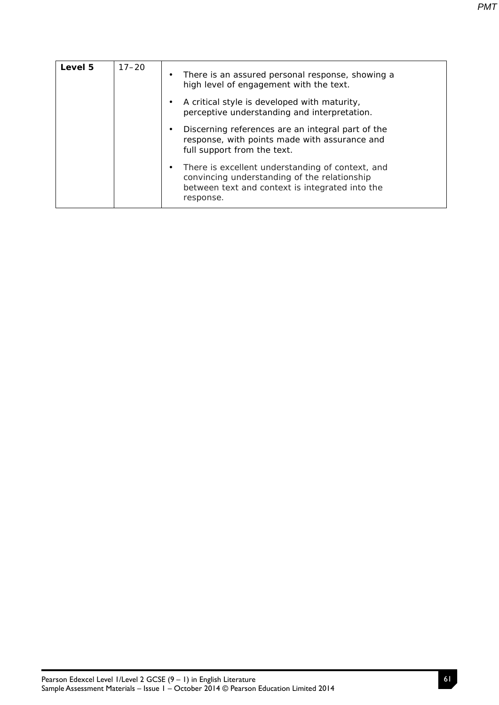| Level 5 | $17 - 20$ | $\bullet$ | There is an assured personal response, showing a<br>high level of engagement with the text.                                                                      |
|---------|-----------|-----------|------------------------------------------------------------------------------------------------------------------------------------------------------------------|
|         |           |           | A critical style is developed with maturity,<br>perceptive understanding and interpretation.                                                                     |
|         |           |           | Discerning references are an integral part of the<br>response, with points made with assurance and<br>full support from the text.                                |
|         |           |           | There is excellent understanding of context, and<br>convincing understanding of the relationship<br>between text and context is integrated into the<br>response. |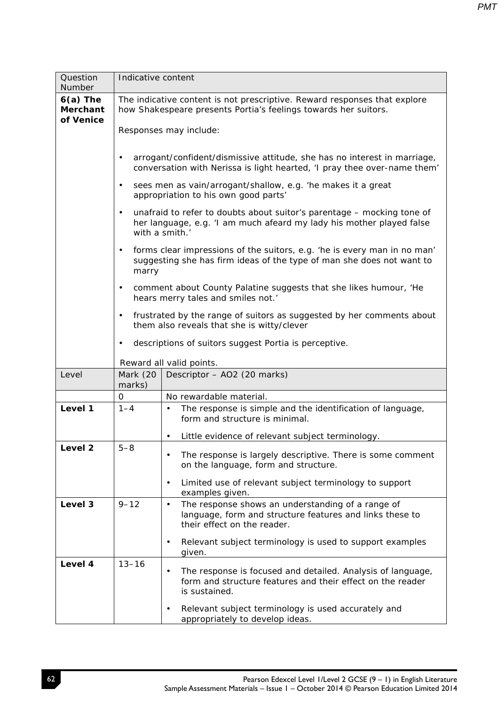| Question<br><b>Number</b>                  | Indicative content |                                                                                                                                                                  |  |  |  |
|--------------------------------------------|--------------------|------------------------------------------------------------------------------------------------------------------------------------------------------------------|--|--|--|
| $6(a)$ The<br><b>Merchant</b><br>of Venice |                    | The indicative content is not prescriptive. Reward responses that explore<br>how Shakespeare presents Portia's feelings towards her suitors.                     |  |  |  |
|                                            |                    | Responses may include:                                                                                                                                           |  |  |  |
|                                            | $\bullet$          | arrogant/confident/dismissive attitude, she has no interest in marriage,<br>conversation with Nerissa is light hearted, 'I pray thee over-name them'             |  |  |  |
|                                            | $\bullet$          | sees men as vain/arrogant/shallow, e.g. 'he makes it a great<br>appropriation to his own good parts'                                                             |  |  |  |
|                                            | $\bullet$          | unafraid to refer to doubts about suitor's parentage - mocking tone of<br>her language, e.g. 'I am much afeard my lady his mother played false<br>with a smith.' |  |  |  |
|                                            | $\bullet$<br>marry | forms clear impressions of the suitors, e.g. 'he is every man in no man'<br>suggesting she has firm ideas of the type of man she does not want to                |  |  |  |
|                                            | $\bullet$          | comment about County Palatine suggests that she likes humour, 'He<br>hears merry tales and smiles not.'                                                          |  |  |  |
|                                            | $\bullet$          | frustrated by the range of suitors as suggested by her comments about<br>them also reveals that she is witty/clever                                              |  |  |  |
|                                            | $\bullet$          | descriptions of suitors suggest Portia is perceptive.                                                                                                            |  |  |  |
|                                            |                    | Reward all valid points.                                                                                                                                         |  |  |  |
| Level                                      | Mark (20<br>marks) | Descriptor - AO2 (20 marks)                                                                                                                                      |  |  |  |
|                                            | 0                  | No rewardable material.                                                                                                                                          |  |  |  |
| Level 1                                    | $1 - 4$            | The response is simple and the identification of language,<br>form and structure is minimal.                                                                     |  |  |  |
|                                            |                    | Little evidence of relevant subject terminology.<br>$\bullet$                                                                                                    |  |  |  |
| Level <sub>2</sub>                         | $5 - 8$            | The response is largely descriptive. There is some comment<br>on the language, form and structure.                                                               |  |  |  |
|                                            |                    | Limited use of relevant subject terminology to support<br>$\bullet$<br>examples given.                                                                           |  |  |  |
| Level 3                                    | $9 - 12$           | The response shows an understanding of a range of<br>$\bullet$<br>language, form and structure features and links these to<br>their effect on the reader.        |  |  |  |
|                                            |                    | Relevant subject terminology is used to support examples<br>$\bullet$<br>given.                                                                                  |  |  |  |
| Level 4                                    | $13 - 16$          | The response is focused and detailed. Analysis of language,<br>form and structure features and their effect on the reader<br>is sustained.                       |  |  |  |
|                                            |                    | Relevant subject terminology is used accurately and<br>$\bullet$<br>appropriately to develop ideas.                                                              |  |  |  |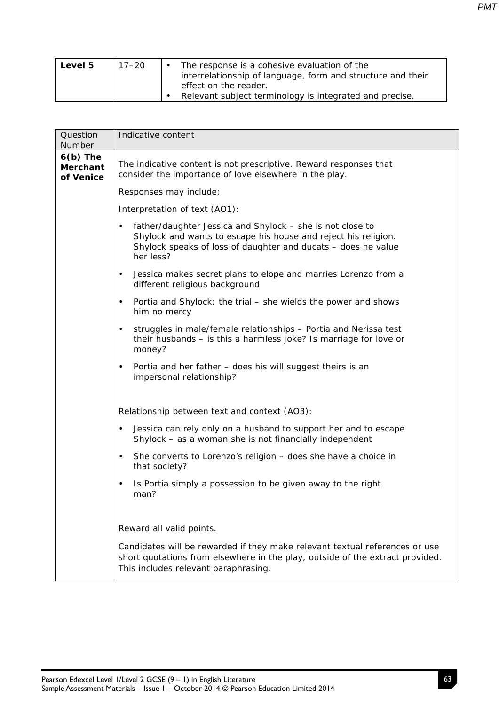| Level 5 | 17–20 | The response is a cohesive evaluation of the                |
|---------|-------|-------------------------------------------------------------|
|         |       | interrelationship of language, form and structure and their |
|         |       | effect on the reader.                                       |
|         |       | Relevant subject terminology is integrated and precise.     |

| Question<br>Number                         | Indicative content                                                                                                                                                                                                     |
|--------------------------------------------|------------------------------------------------------------------------------------------------------------------------------------------------------------------------------------------------------------------------|
| $6(b)$ The<br><b>Merchant</b><br>of Venice | The indicative content is not prescriptive. Reward responses that<br>consider the importance of love elsewhere in the play.                                                                                            |
|                                            | Responses may include:                                                                                                                                                                                                 |
|                                            | Interpretation of text (AO1):                                                                                                                                                                                          |
|                                            | father/daughter Jessica and Shylock - she is not close to<br>$\bullet$<br>Shylock and wants to escape his house and reject his religion.<br>Shylock speaks of loss of daughter and ducats - does he value<br>her less? |
|                                            | Jessica makes secret plans to elope and marries Lorenzo from a<br>$\bullet$<br>different religious background                                                                                                          |
|                                            | Portia and Shylock: the trial – she wields the power and shows<br>$\bullet$<br>him no mercy                                                                                                                            |
|                                            | struggles in male/female relationships - Portia and Nerissa test<br>$\bullet$<br>their husbands - is this a harmless joke? Is marriage for love or<br>money?                                                           |
|                                            | Portia and her father - does his will suggest theirs is an<br>$\bullet$<br>impersonal relationship?                                                                                                                    |
|                                            | Relationship between text and context (AO3):                                                                                                                                                                           |
|                                            | Jessica can rely only on a husband to support her and to escape<br>$\bullet$<br>Shylock - as a woman she is not financially independent                                                                                |
|                                            | She converts to Lorenzo's religion - does she have a choice in<br>$\bullet$<br>that society?                                                                                                                           |
|                                            | Is Portia simply a possession to be given away to the right<br>$\bullet$<br>man?                                                                                                                                       |
|                                            | Reward all valid points.                                                                                                                                                                                               |
|                                            | Candidates will be rewarded if they make relevant textual references or use<br>short quotations from elsewhere in the play, outside of the extract provided.<br>This includes relevant paraphrasing.                   |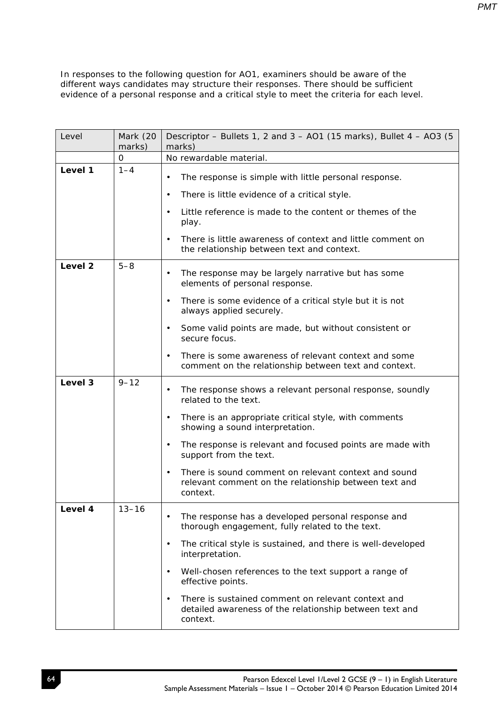| Level   | Mark (20<br>marks) | Descriptor – Bullets 1, 2 and 3 – AO1 (15 marks), Bullet $4 - AO3$ (5<br>marks)                                                        |  |
|---------|--------------------|----------------------------------------------------------------------------------------------------------------------------------------|--|
|         | 0                  | No rewardable material.                                                                                                                |  |
| Level 1 | $1 - 4$            | The response is simple with little personal response.<br>$\bullet$                                                                     |  |
|         |                    | There is little evidence of a critical style.<br>$\bullet$                                                                             |  |
|         |                    | Little reference is made to the content or themes of the<br>$\bullet$<br>play.                                                         |  |
|         |                    | There is little awareness of context and little comment on<br>$\bullet$<br>the relationship between text and context.                  |  |
| Level 2 | $5 - 8$            | The response may be largely narrative but has some<br>elements of personal response.                                                   |  |
|         |                    | There is some evidence of a critical style but it is not<br>$\bullet$<br>always applied securely.                                      |  |
|         |                    | Some valid points are made, but without consistent or<br>$\bullet$<br>secure focus.                                                    |  |
|         |                    | There is some awareness of relevant context and some<br>$\bullet$<br>comment on the relationship between text and context.             |  |
| Level 3 | $9 - 12$           | The response shows a relevant personal response, soundly<br>$\bullet$<br>related to the text.                                          |  |
|         |                    | There is an appropriate critical style, with comments<br>$\bullet$<br>showing a sound interpretation.                                  |  |
|         |                    | The response is relevant and focused points are made with<br>$\bullet$<br>support from the text.                                       |  |
|         |                    | There is sound comment on relevant context and sound<br>$\bullet$<br>relevant comment on the relationship between text and<br>context. |  |
| Level 4 | $13 - 16$          | The response has a developed personal response and<br>thorough engagement, fully related to the text.                                  |  |
|         |                    | The critical style is sustained, and there is well-developed<br>$\bullet$<br>interpretation.                                           |  |
|         |                    | Well-chosen references to the text support a range of<br>$\bullet$<br>effective points.                                                |  |
|         |                    | There is sustained comment on relevant context and<br>$\bullet$<br>detailed awareness of the relationship between text and<br>context. |  |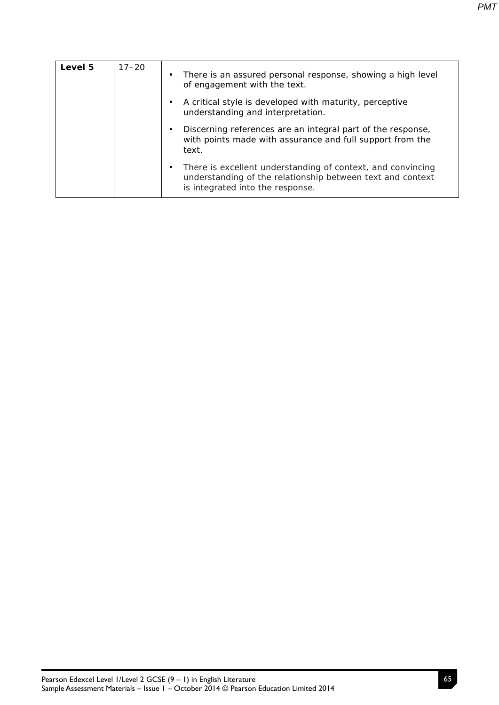| Level 5 | $17 - 20$ | $\bullet$ | There is an assured personal response, showing a high level<br>of engagement with the text.                                                                   |
|---------|-----------|-----------|---------------------------------------------------------------------------------------------------------------------------------------------------------------|
|         |           | $\bullet$ | A critical style is developed with maturity, perceptive<br>understanding and interpretation.                                                                  |
|         |           | ٠         | Discerning references are an integral part of the response,<br>with points made with assurance and full support from the<br>text.                             |
|         |           | $\bullet$ | There is excellent understanding of context, and convincing<br>understanding of the relationship between text and context<br>is integrated into the response. |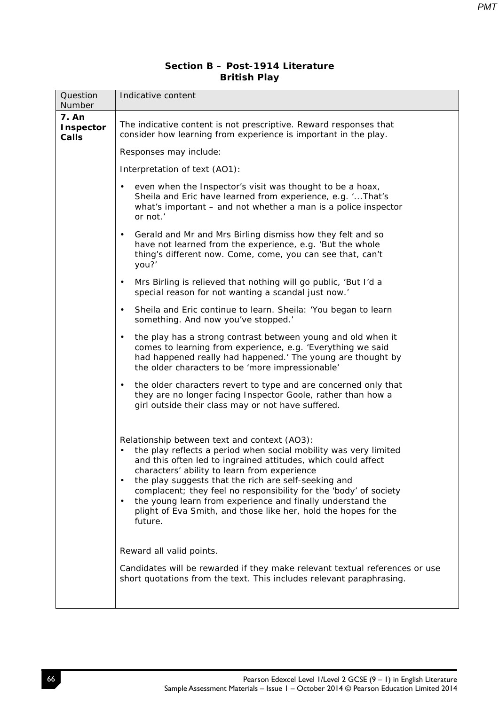## **Section B – Post-1914 Literature British Play**

| Question<br>Number                        | Indicative content                                                                                                                                                                                                                                                                                                                                                                                                                                                                                                      |
|-------------------------------------------|-------------------------------------------------------------------------------------------------------------------------------------------------------------------------------------------------------------------------------------------------------------------------------------------------------------------------------------------------------------------------------------------------------------------------------------------------------------------------------------------------------------------------|
| <b>7. An</b><br><b>Inspector</b><br>Calls | The indicative content is not prescriptive. Reward responses that<br>consider how learning from experience is important in the play.                                                                                                                                                                                                                                                                                                                                                                                    |
|                                           | Responses may include:                                                                                                                                                                                                                                                                                                                                                                                                                                                                                                  |
|                                           | Interpretation of text (AO1):                                                                                                                                                                                                                                                                                                                                                                                                                                                                                           |
|                                           | even when the Inspector's visit was thought to be a hoax,<br>$\bullet$<br>Sheila and Eric have learned from experience, e.g. 'That's<br>what's important - and not whether a man is a police inspector<br>or not.'                                                                                                                                                                                                                                                                                                      |
|                                           | Gerald and Mr and Mrs Birling dismiss how they felt and so<br>$\bullet$<br>have not learned from the experience, e.g. 'But the whole<br>thing's different now. Come, come, you can see that, can't<br>you?'                                                                                                                                                                                                                                                                                                             |
|                                           | Mrs Birling is relieved that nothing will go public, 'But I'd a<br>$\bullet$<br>special reason for not wanting a scandal just now.'                                                                                                                                                                                                                                                                                                                                                                                     |
|                                           | Sheila and Eric continue to learn. Sheila: 'You began to learn<br>$\bullet$<br>something. And now you've stopped.'                                                                                                                                                                                                                                                                                                                                                                                                      |
|                                           | the play has a strong contrast between young and old when it<br>$\bullet$<br>comes to learning from experience, e.g. 'Everything we said<br>had happened really had happened.' The young are thought by<br>the older characters to be 'more impressionable'                                                                                                                                                                                                                                                             |
|                                           | the older characters revert to type and are concerned only that<br>$\bullet$<br>they are no longer facing Inspector Goole, rather than how a<br>girl outside their class may or not have suffered.                                                                                                                                                                                                                                                                                                                      |
|                                           | Relationship between text and context (AO3):<br>the play reflects a period when social mobility was very limited<br>and this often led to ingrained attitudes, which could affect<br>characters' ability to learn from experience<br>the play suggests that the rich are self-seeking and<br>$\bullet$<br>complacent; they feel no responsibility for the 'body' of society<br>the young learn from experience and finally understand the<br>plight of Eva Smith, and those like her, hold the hopes for the<br>future. |
|                                           | Reward all valid points.<br>Candidates will be rewarded if they make relevant textual references or use<br>short quotations from the text. This includes relevant paraphrasing.                                                                                                                                                                                                                                                                                                                                         |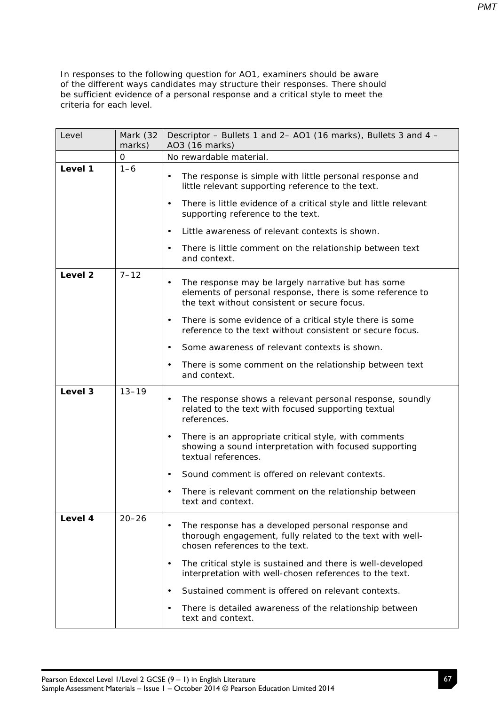| Level              | Mark (32<br>marks) | Descriptor - Bullets 1 and 2- AO1 (16 marks), Bullets 3 and 4 -<br>AO3 (16 marks)                                                                                                                                                                                                                                |
|--------------------|--------------------|------------------------------------------------------------------------------------------------------------------------------------------------------------------------------------------------------------------------------------------------------------------------------------------------------------------|
|                    | $\mathbf 0$        | No rewardable material.                                                                                                                                                                                                                                                                                          |
| Level 1            | $1 - 6$            | The response is simple with little personal response and<br>$\bullet$<br>little relevant supporting reference to the text.<br>There is little evidence of a critical style and little relevant<br>$\bullet$<br>supporting reference to the text.<br>Little awareness of relevant contexts is shown.<br>$\bullet$ |
|                    |                    | There is little comment on the relationship between text<br>$\bullet$<br>and context.                                                                                                                                                                                                                            |
| Level <sub>2</sub> | $7 - 12$           | The response may be largely narrative but has some<br>elements of personal response, there is some reference to<br>the text without consistent or secure focus.<br>There is some evidence of a critical style there is some<br>$\bullet$                                                                         |
|                    |                    | reference to the text without consistent or secure focus.                                                                                                                                                                                                                                                        |
|                    |                    | Some awareness of relevant contexts is shown.<br>$\bullet$                                                                                                                                                                                                                                                       |
|                    |                    | There is some comment on the relationship between text<br>$\bullet$<br>and context.                                                                                                                                                                                                                              |
| Level 3            | $13 - 19$          | The response shows a relevant personal response, soundly<br>$\bullet$<br>related to the text with focused supporting textual<br>references.                                                                                                                                                                      |
|                    |                    | There is an appropriate critical style, with comments<br>$\bullet$<br>showing a sound interpretation with focused supporting<br>textual references.                                                                                                                                                              |
|                    |                    | Sound comment is offered on relevant contexts.<br>$\bullet$                                                                                                                                                                                                                                                      |
|                    |                    | There is relevant comment on the relationship between<br>text and context.                                                                                                                                                                                                                                       |
| Level 4            | $20 - 26$          | The response has a developed personal response and<br>thorough engagement, fully related to the text with well-<br>chosen references to the text.                                                                                                                                                                |
|                    |                    | The critical style is sustained and there is well-developed<br>$\bullet$<br>interpretation with well-chosen references to the text.                                                                                                                                                                              |
|                    |                    | Sustained comment is offered on relevant contexts.<br>$\bullet$                                                                                                                                                                                                                                                  |
|                    |                    | There is detailed awareness of the relationship between<br>$\bullet$<br>text and context.                                                                                                                                                                                                                        |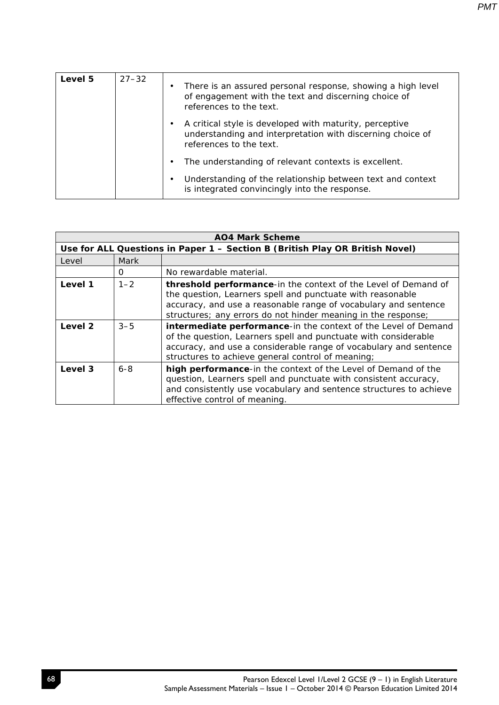| Level 5 | $27 - 32$ | There is an assured personal response, showing a high level<br>of engagement with the text and discerning choice of<br>references to the text.   |
|---------|-----------|--------------------------------------------------------------------------------------------------------------------------------------------------|
|         |           | A critical style is developed with maturity, perceptive<br>understanding and interpretation with discerning choice of<br>references to the text. |
|         |           | The understanding of relevant contexts is excellent.                                                                                             |
|         |           | Understanding of the relationship between text and context<br>is integrated convincingly into the response.                                      |

| <b>AO4 Mark Scheme</b> |         |                                                                                                                                                                                                                                                                  |  |  |
|------------------------|---------|------------------------------------------------------------------------------------------------------------------------------------------------------------------------------------------------------------------------------------------------------------------|--|--|
|                        |         | Use for ALL Questions in Paper 1 - Section B (British Play OR British Novel)                                                                                                                                                                                     |  |  |
| Level                  | Mark    |                                                                                                                                                                                                                                                                  |  |  |
|                        | 0       | No rewardable material.                                                                                                                                                                                                                                          |  |  |
| Level 1                | $1 - 2$ | threshold performance-in the context of the Level of Demand of<br>the question, Learners spell and punctuate with reasonable<br>accuracy, and use a reasonable range of vocabulary and sentence<br>structures; any errors do not hinder meaning in the response; |  |  |
| Level 2                | $3 - 5$ | intermediate performance-in the context of the Level of Demand<br>of the question, Learners spell and punctuate with considerable<br>accuracy, and use a considerable range of vocabulary and sentence<br>structures to achieve general control of meaning;      |  |  |
| Level 3                | $6 - 8$ | high performance-in the context of the Level of Demand of the<br>question, Learners spell and punctuate with consistent accuracy,<br>and consistently use vocabulary and sentence structures to achieve<br>effective control of meaning.                         |  |  |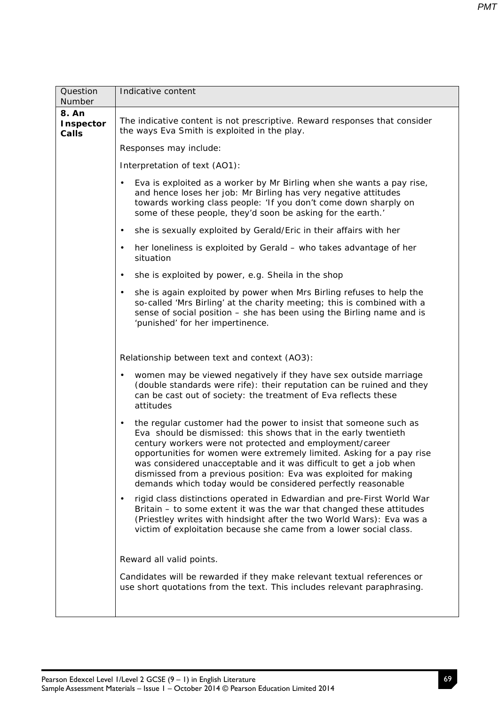| Question<br>Number                 | Indicative content                                                                                                                                                                                                                                                                                                                                                                                                                                                                               |
|------------------------------------|--------------------------------------------------------------------------------------------------------------------------------------------------------------------------------------------------------------------------------------------------------------------------------------------------------------------------------------------------------------------------------------------------------------------------------------------------------------------------------------------------|
| 8. An<br><b>Inspector</b><br>Calls | The indicative content is not prescriptive. Reward responses that consider<br>the ways Eva Smith is exploited in the play.                                                                                                                                                                                                                                                                                                                                                                       |
|                                    | Responses may include:                                                                                                                                                                                                                                                                                                                                                                                                                                                                           |
|                                    | Interpretation of text (AO1):                                                                                                                                                                                                                                                                                                                                                                                                                                                                    |
|                                    | Eva is exploited as a worker by Mr Birling when she wants a pay rise,<br>$\bullet$<br>and hence loses her job: Mr Birling has very negative attitudes<br>towards working class people: 'If you don't come down sharply on<br>some of these people, they'd soon be asking for the earth.'                                                                                                                                                                                                         |
|                                    | she is sexually exploited by Gerald/Eric in their affairs with her<br>$\bullet$                                                                                                                                                                                                                                                                                                                                                                                                                  |
|                                    | her loneliness is exploited by Gerald - who takes advantage of her<br>$\bullet$<br>situation                                                                                                                                                                                                                                                                                                                                                                                                     |
|                                    | she is exploited by power, e.g. Sheila in the shop<br>$\bullet$                                                                                                                                                                                                                                                                                                                                                                                                                                  |
|                                    | she is again exploited by power when Mrs Birling refuses to help the<br>$\bullet$<br>so-called 'Mrs Birling' at the charity meeting; this is combined with a<br>sense of social position - she has been using the Birling name and is<br>'punished' for her impertinence.                                                                                                                                                                                                                        |
|                                    | Relationship between text and context (AO3):                                                                                                                                                                                                                                                                                                                                                                                                                                                     |
|                                    | women may be viewed negatively if they have sex outside marriage<br>$\bullet$<br>(double standards were rife): their reputation can be ruined and they<br>can be cast out of society: the treatment of Eva reflects these<br>attitudes                                                                                                                                                                                                                                                           |
|                                    | the regular customer had the power to insist that someone such as<br>$\bullet$<br>Eva should be dismissed: this shows that in the early twentieth<br>century workers were not protected and employment/career<br>opportunities for women were extremely limited. Asking for a pay rise<br>was considered unacceptable and it was difficult to get a job when<br>dismissed from a previous position: Eva was exploited for making<br>demands which today would be considered perfectly reasonable |
|                                    | rigid class distinctions operated in Edwardian and pre-First World War<br>$\bullet$<br>Britain - to some extent it was the war that changed these attitudes<br>(Priestley writes with hindsight after the two World Wars): Eva was a<br>victim of exploitation because she came from a lower social class.                                                                                                                                                                                       |
|                                    | Reward all valid points.                                                                                                                                                                                                                                                                                                                                                                                                                                                                         |
|                                    | Candidates will be rewarded if they make relevant textual references or<br>use short quotations from the text. This includes relevant paraphrasing.                                                                                                                                                                                                                                                                                                                                              |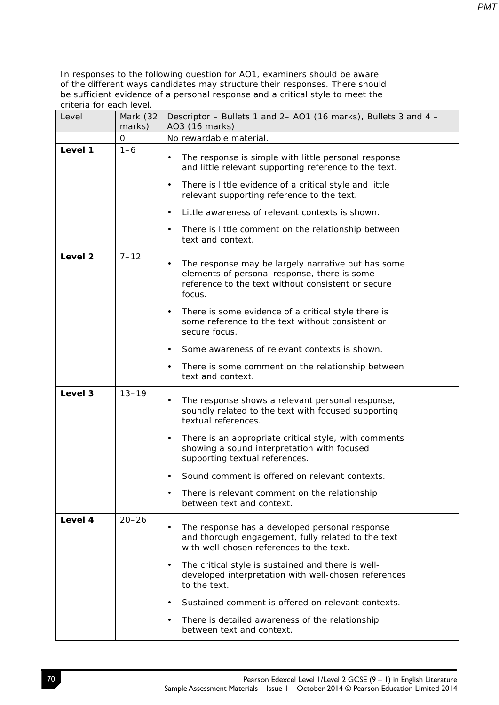| Level              | Mark (32<br>marks) | Descriptor – Bullets 1 and 2– AO1 (16 marks), Bullets 3 and 4 –<br>AO3 (16 marks)                                                                                                                                                                |
|--------------------|--------------------|--------------------------------------------------------------------------------------------------------------------------------------------------------------------------------------------------------------------------------------------------|
|                    | 0                  | No rewardable material.                                                                                                                                                                                                                          |
| Level 1            | $1 - 6$            | The response is simple with little personal response<br>$\bullet$<br>and little relevant supporting reference to the text.<br>There is little evidence of a critical style and little<br>$\bullet$<br>relevant supporting reference to the text. |
|                    |                    | Little awareness of relevant contexts is shown.<br>$\bullet$                                                                                                                                                                                     |
|                    |                    | There is little comment on the relationship between<br>$\bullet$<br>text and context.                                                                                                                                                            |
| Level <sub>2</sub> | $7 - 12$           | The response may be largely narrative but has some<br>$\bullet$<br>elements of personal response, there is some<br>reference to the text without consistent or secure<br>focus.                                                                  |
|                    |                    | There is some evidence of a critical style there is<br>٠<br>some reference to the text without consistent or<br>secure focus.                                                                                                                    |
|                    |                    | Some awareness of relevant contexts is shown.<br>$\bullet$                                                                                                                                                                                       |
|                    |                    | There is some comment on the relationship between<br>$\bullet$<br>text and context.                                                                                                                                                              |
| Level 3            | $13 - 19$          | The response shows a relevant personal response,<br>$\bullet$<br>soundly related to the text with focused supporting<br>textual references.                                                                                                      |
|                    |                    | There is an appropriate critical style, with comments<br>$\bullet$<br>showing a sound interpretation with focused<br>supporting textual references.                                                                                              |
|                    |                    | Sound comment is offered on relevant contexts.<br>$\bullet$                                                                                                                                                                                      |
|                    |                    | There is relevant comment on the relationship<br>$\bullet$<br>between text and context.                                                                                                                                                          |
| Level 4            | $20 - 26$          | The response has a developed personal response<br>$\bullet$<br>and thorough engagement, fully related to the text<br>with well-chosen references to the text.                                                                                    |
|                    |                    | The critical style is sustained and there is well-<br>$\bullet$<br>developed interpretation with well-chosen references<br>to the text.                                                                                                          |
|                    |                    | Sustained comment is offered on relevant contexts.<br>$\bullet$                                                                                                                                                                                  |
|                    |                    | There is detailed awareness of the relationship<br>$\bullet$<br>between text and context.                                                                                                                                                        |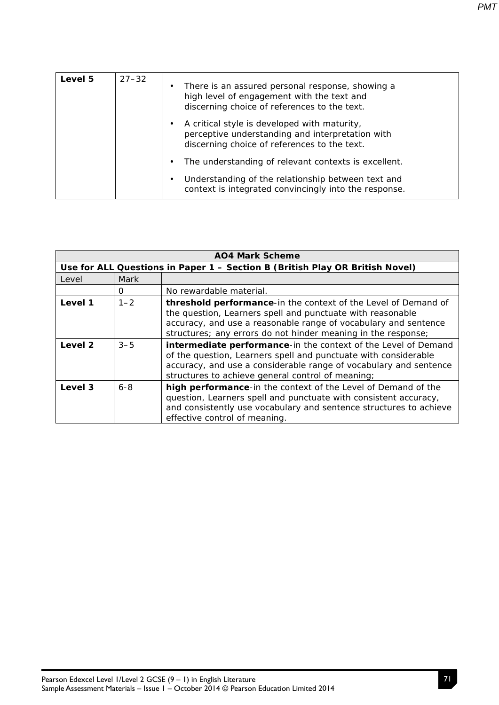| Level 5 | $27 - 32$ | There is an assured personal response, showing a<br>high level of engagement with the text and<br>discerning choice of references to the text.   |
|---------|-----------|--------------------------------------------------------------------------------------------------------------------------------------------------|
|         |           | A critical style is developed with maturity,<br>perceptive understanding and interpretation with<br>discerning choice of references to the text. |
|         |           | The understanding of relevant contexts is excellent.                                                                                             |
|         |           | Understanding of the relationship between text and<br>context is integrated convincingly into the response.                                      |

| <b>AO4 Mark Scheme</b> |         |                                                                                                                                                                                                                                                                  |  |  |
|------------------------|---------|------------------------------------------------------------------------------------------------------------------------------------------------------------------------------------------------------------------------------------------------------------------|--|--|
|                        |         | Use for ALL Questions in Paper 1 - Section B (British Play OR British Novel)                                                                                                                                                                                     |  |  |
| Level                  | Mark    |                                                                                                                                                                                                                                                                  |  |  |
|                        | 0       | No rewardable material.                                                                                                                                                                                                                                          |  |  |
| Level 1                | $1 - 2$ | threshold performance-in the context of the Level of Demand of<br>the question, Learners spell and punctuate with reasonable<br>accuracy, and use a reasonable range of vocabulary and sentence<br>structures; any errors do not hinder meaning in the response; |  |  |
| Level 2                | $3 - 5$ | intermediate performance-in the context of the Level of Demand<br>of the question, Learners spell and punctuate with considerable<br>accuracy, and use a considerable range of vocabulary and sentence<br>structures to achieve general control of meaning;      |  |  |
| Level 3                | $6 - 8$ | high performance-in the context of the Level of Demand of the<br>question, Learners spell and punctuate with consistent accuracy,<br>and consistently use vocabulary and sentence structures to achieve<br>effective control of meaning.                         |  |  |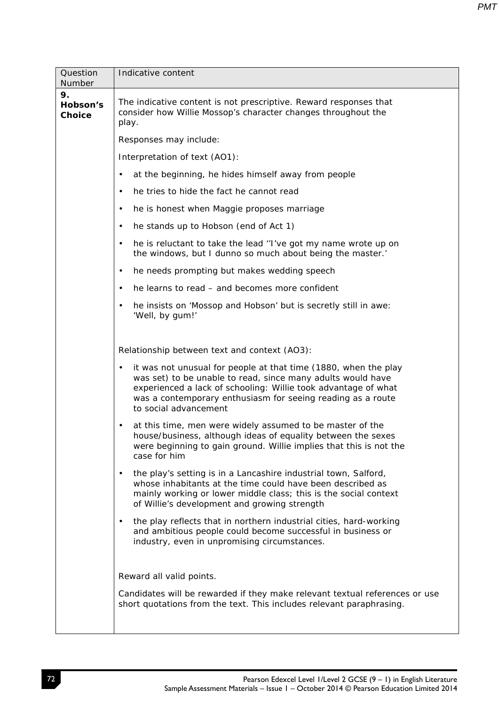| Question<br>Number              | Indicative content                                                                                                                                                                                                                                                                                    |
|---------------------------------|-------------------------------------------------------------------------------------------------------------------------------------------------------------------------------------------------------------------------------------------------------------------------------------------------------|
| 9.<br>Hobson's<br><b>Choice</b> | The indicative content is not prescriptive. Reward responses that<br>consider how Willie Mossop's character changes throughout the<br>play.                                                                                                                                                           |
|                                 | Responses may include:                                                                                                                                                                                                                                                                                |
|                                 | Interpretation of text (AO1):                                                                                                                                                                                                                                                                         |
|                                 | at the beginning, he hides himself away from people<br>$\bullet$                                                                                                                                                                                                                                      |
|                                 | he tries to hide the fact he cannot read<br>$\bullet$                                                                                                                                                                                                                                                 |
|                                 | he is honest when Maggie proposes marriage<br>$\bullet$                                                                                                                                                                                                                                               |
|                                 | he stands up to Hobson (end of Act 1)<br>$\bullet$                                                                                                                                                                                                                                                    |
|                                 | he is reluctant to take the lead "I've got my name wrote up on<br>$\bullet$<br>the windows, but I dunno so much about being the master.'                                                                                                                                                              |
|                                 | he needs prompting but makes wedding speech<br>$\bullet$                                                                                                                                                                                                                                              |
|                                 | he learns to read – and becomes more confident<br>$\bullet$                                                                                                                                                                                                                                           |
|                                 | he insists on 'Mossop and Hobson' but is secretly still in awe:<br>$\bullet$<br>'Well, by gum!'                                                                                                                                                                                                       |
|                                 | Relationship between text and context (AO3):                                                                                                                                                                                                                                                          |
|                                 | it was not unusual for people at that time (1880, when the play<br>$\bullet$<br>was set) to be unable to read, since many adults would have<br>experienced a lack of schooling: Willie took advantage of what<br>was a contemporary enthusiasm for seeing reading as a route<br>to social advancement |
|                                 | at this time, men were widely assumed to be master of the<br>$\bullet$<br>house/business, although ideas of equality between the sexes<br>were beginning to gain ground. Willie implies that this is not the<br>case for him                                                                          |
|                                 | the play's setting is in a Lancashire industrial town, Salford,<br>$\bullet$<br>whose inhabitants at the time could have been described as<br>mainly working or lower middle class; this is the social context<br>of Willie's development and growing strength                                        |
|                                 | the play reflects that in northern industrial cities, hard-working<br>$\bullet$<br>and ambitious people could become successful in business or<br>industry, even in unpromising circumstances.                                                                                                        |
|                                 | Reward all valid points.                                                                                                                                                                                                                                                                              |
|                                 | Candidates will be rewarded if they make relevant textual references or use<br>short quotations from the text. This includes relevant paraphrasing.                                                                                                                                                   |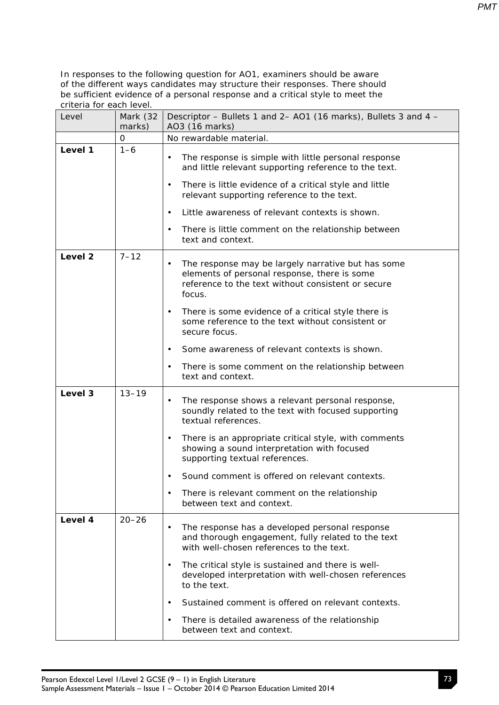| Level              | Mark (32<br>marks) | Descriptor - Bullets 1 and 2- AO1 (16 marks), Bullets 3 and 4 -<br>AO3 (16 marks)                                                                                               |
|--------------------|--------------------|---------------------------------------------------------------------------------------------------------------------------------------------------------------------------------|
|                    | 0                  | No rewardable material.                                                                                                                                                         |
| Level 1            | $1 - 6$            | The response is simple with little personal response<br>$\bullet$<br>and little relevant supporting reference to the text.                                                      |
|                    |                    | There is little evidence of a critical style and little<br>$\bullet$<br>relevant supporting reference to the text.                                                              |
|                    |                    | Little awareness of relevant contexts is shown.<br>$\bullet$                                                                                                                    |
|                    |                    | There is little comment on the relationship between<br>$\bullet$<br>text and context.                                                                                           |
| Level <sub>2</sub> | $7 - 12$           | The response may be largely narrative but has some<br>$\bullet$<br>elements of personal response, there is some<br>reference to the text without consistent or secure<br>focus. |
|                    |                    | There is some evidence of a critical style there is<br>٠<br>some reference to the text without consistent or<br>secure focus.                                                   |
|                    |                    | Some awareness of relevant contexts is shown.<br>$\bullet$                                                                                                                      |
|                    |                    | There is some comment on the relationship between<br>$\bullet$<br>text and context.                                                                                             |
| Level 3            | $13 - 19$          | The response shows a relevant personal response,<br>$\bullet$<br>soundly related to the text with focused supporting<br>textual references.                                     |
|                    |                    | There is an appropriate critical style, with comments<br>$\bullet$<br>showing a sound interpretation with focused<br>supporting textual references.                             |
|                    |                    | Sound comment is offered on relevant contexts.<br>$\bullet$                                                                                                                     |
|                    |                    | There is relevant comment on the relationship<br>between text and context.                                                                                                      |
| Level 4            | $20 - 26$          | The response has a developed personal response<br>$\bullet$<br>and thorough engagement, fully related to the text<br>with well-chosen references to the text.                   |
|                    |                    | The critical style is sustained and there is well-<br>$\bullet$<br>developed interpretation with well-chosen references<br>to the text.                                         |
|                    |                    | Sustained comment is offered on relevant contexts.<br>$\bullet$                                                                                                                 |
|                    |                    | There is detailed awareness of the relationship<br>$\bullet$<br>between text and context.                                                                                       |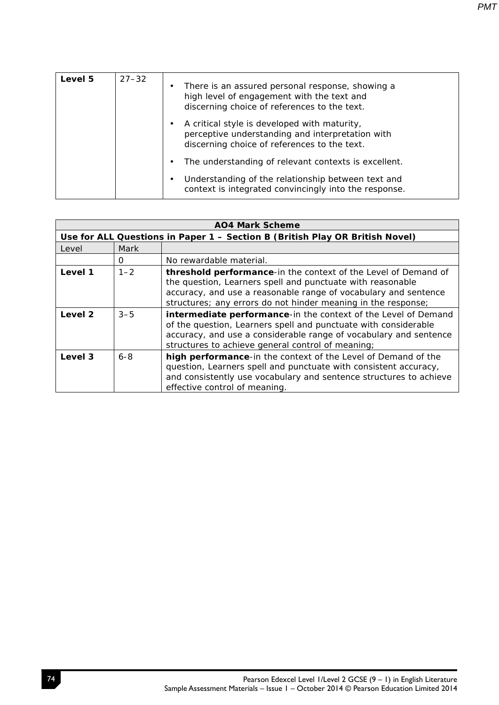| Level 5 | $27 - 32$ | $\bullet$ | There is an assured personal response, showing a<br>high level of engagement with the text and<br>discerning choice of references to the text.   |
|---------|-----------|-----------|--------------------------------------------------------------------------------------------------------------------------------------------------|
|         |           | ٠         | A critical style is developed with maturity,<br>perceptive understanding and interpretation with<br>discerning choice of references to the text. |
|         |           | ٠         | The understanding of relevant contexts is excellent.                                                                                             |
|         |           | ٠         | Understanding of the relationship between text and<br>context is integrated convincingly into the response.                                      |

| <b>AO4 Mark Scheme</b>                                                       |             |                                                                                                                                                                                                                                                                  |  |
|------------------------------------------------------------------------------|-------------|------------------------------------------------------------------------------------------------------------------------------------------------------------------------------------------------------------------------------------------------------------------|--|
| Use for ALL Questions in Paper 1 - Section B (British Play OR British Novel) |             |                                                                                                                                                                                                                                                                  |  |
| Level                                                                        | <b>Mark</b> |                                                                                                                                                                                                                                                                  |  |
|                                                                              | $\Omega$    | No rewardable material.                                                                                                                                                                                                                                          |  |
| Level 1                                                                      | $1 - 2$     | threshold performance-in the context of the Level of Demand of<br>the question, Learners spell and punctuate with reasonable<br>accuracy, and use a reasonable range of vocabulary and sentence<br>structures; any errors do not hinder meaning in the response; |  |
| Level 2                                                                      | $3 - 5$     | intermediate performance-in the context of the Level of Demand<br>of the question, Learners spell and punctuate with considerable<br>accuracy, and use a considerable range of vocabulary and sentence<br>structures to achieve general control of meaning;      |  |
| Level 3                                                                      | $6 - 8$     | high performance-in the context of the Level of Demand of the<br>question, Learners spell and punctuate with consistent accuracy,<br>and consistently use vocabulary and sentence structures to achieve<br>effective control of meaning.                         |  |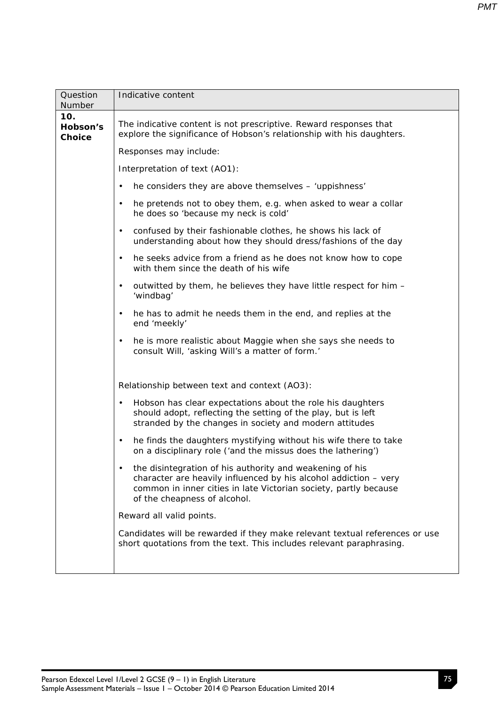| Question                         | Indicative content                                                                                                                                                                                                               |  |  |  |  |  |
|----------------------------------|----------------------------------------------------------------------------------------------------------------------------------------------------------------------------------------------------------------------------------|--|--|--|--|--|
| Number                           |                                                                                                                                                                                                                                  |  |  |  |  |  |
| 10.<br>Hobson's<br><b>Choice</b> | The indicative content is not prescriptive. Reward responses that<br>explore the significance of Hobson's relationship with his daughters.                                                                                       |  |  |  |  |  |
|                                  | Responses may include:                                                                                                                                                                                                           |  |  |  |  |  |
|                                  | Interpretation of text (AO1):                                                                                                                                                                                                    |  |  |  |  |  |
|                                  | he considers they are above themselves - 'uppishness'<br>$\bullet$                                                                                                                                                               |  |  |  |  |  |
|                                  | he pretends not to obey them, e.g. when asked to wear a collar<br>$\bullet$<br>he does so 'because my neck is cold'                                                                                                              |  |  |  |  |  |
|                                  | confused by their fashionable clothes, he shows his lack of<br>$\bullet$<br>understanding about how they should dress/fashions of the day                                                                                        |  |  |  |  |  |
|                                  | he seeks advice from a friend as he does not know how to cope<br>$\bullet$<br>with them since the death of his wife                                                                                                              |  |  |  |  |  |
|                                  | outwitted by them, he believes they have little respect for him -<br>$\bullet$<br>'windbag'                                                                                                                                      |  |  |  |  |  |
|                                  | he has to admit he needs them in the end, and replies at the<br>$\bullet$<br>end 'meekly'                                                                                                                                        |  |  |  |  |  |
|                                  | he is more realistic about Maggie when she says she needs to<br>$\bullet$<br>consult Will, 'asking Will's a matter of form.'                                                                                                     |  |  |  |  |  |
|                                  | Relationship between text and context (AO3):                                                                                                                                                                                     |  |  |  |  |  |
|                                  | Hobson has clear expectations about the role his daughters<br>$\bullet$<br>should adopt, reflecting the setting of the play, but is left<br>stranded by the changes in society and modern attitudes                              |  |  |  |  |  |
|                                  | he finds the daughters mystifying without his wife there to take<br>$\bullet$<br>on a disciplinary role ('and the missus does the lathering')                                                                                    |  |  |  |  |  |
|                                  | the disintegration of his authority and weakening of his<br>character are heavily influenced by his alcohol addiction - very<br>common in inner cities in late Victorian society, partly because<br>of the cheapness of alcohol. |  |  |  |  |  |
|                                  | Reward all valid points.                                                                                                                                                                                                         |  |  |  |  |  |
|                                  | Candidates will be rewarded if they make relevant textual references or use<br>short quotations from the text. This includes relevant paraphrasing.                                                                              |  |  |  |  |  |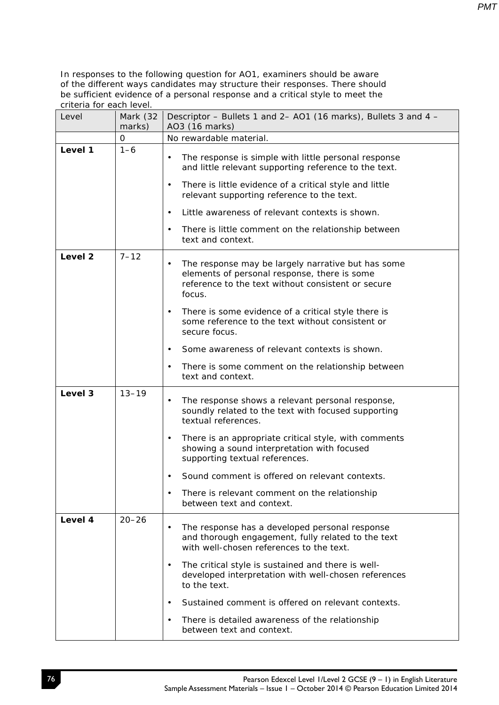| Level   | Mark (32<br>marks) | Descriptor - Bullets 1 and 2- AO1 (16 marks), Bullets 3 and 4 -<br>AO3 (16 marks)                                                                                               |
|---------|--------------------|---------------------------------------------------------------------------------------------------------------------------------------------------------------------------------|
|         | 0                  | No rewardable material.                                                                                                                                                         |
| Level 1 | $1 - 6$            | The response is simple with little personal response<br>$\bullet$<br>and little relevant supporting reference to the text.                                                      |
|         |                    | There is little evidence of a critical style and little<br>$\bullet$<br>relevant supporting reference to the text.                                                              |
|         |                    | Little awareness of relevant contexts is shown.<br>$\bullet$                                                                                                                    |
|         |                    | There is little comment on the relationship between<br>$\bullet$<br>text and context.                                                                                           |
| Level 2 | $7 - 12$           | The response may be largely narrative but has some<br>$\bullet$<br>elements of personal response, there is some<br>reference to the text without consistent or secure<br>focus. |
|         |                    | There is some evidence of a critical style there is<br>$\bullet$<br>some reference to the text without consistent or<br>secure focus.                                           |
|         |                    | Some awareness of relevant contexts is shown.<br>$\bullet$                                                                                                                      |
|         |                    | There is some comment on the relationship between<br>$\bullet$<br>text and context.                                                                                             |
| Level 3 | $13 - 19$          | The response shows a relevant personal response,<br>$\bullet$<br>soundly related to the text with focused supporting<br>textual references.                                     |
|         |                    | There is an appropriate critical style, with comments<br>$\bullet$<br>showing a sound interpretation with focused<br>supporting textual references.                             |
|         |                    | Sound comment is offered on relevant contexts.<br>$\bullet$                                                                                                                     |
|         |                    | There is relevant comment on the relationship<br>between text and context.                                                                                                      |
| Level 4 | $20 - 26$          | The response has a developed personal response<br>and thorough engagement, fully related to the text<br>with well-chosen references to the text.                                |
|         |                    | The critical style is sustained and there is well-<br>$\bullet$<br>developed interpretation with well-chosen references<br>to the text.                                         |
|         |                    | Sustained comment is offered on relevant contexts.<br>$\bullet$                                                                                                                 |
|         |                    | There is detailed awareness of the relationship<br>$\bullet$<br>between text and context.                                                                                       |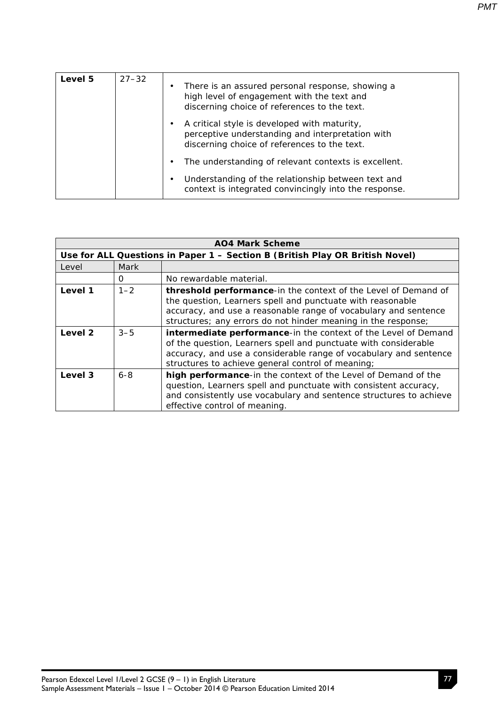| Level 5 | $27 - 32$ | ٠ | There is an assured personal response, showing a<br>high level of engagement with the text and<br>discerning choice of references to the text.   |
|---------|-----------|---|--------------------------------------------------------------------------------------------------------------------------------------------------|
|         |           |   | A critical style is developed with maturity,<br>perceptive understanding and interpretation with<br>discerning choice of references to the text. |
|         |           |   | The understanding of relevant contexts is excellent.                                                                                             |
|         |           | ٠ | Understanding of the relationship between text and<br>context is integrated convincingly into the response.                                      |

| <b>AO4 Mark Scheme</b> |         |                                                                                                                                                                                                                                                                  |  |
|------------------------|---------|------------------------------------------------------------------------------------------------------------------------------------------------------------------------------------------------------------------------------------------------------------------|--|
|                        |         | Use for ALL Questions in Paper 1 - Section B (British Play OR British Novel)                                                                                                                                                                                     |  |
| Level                  | Mark    |                                                                                                                                                                                                                                                                  |  |
|                        | 0       | No rewardable material.                                                                                                                                                                                                                                          |  |
| Level 1                | $1 - 2$ | threshold performance-in the context of the Level of Demand of<br>the question, Learners spell and punctuate with reasonable<br>accuracy, and use a reasonable range of vocabulary and sentence<br>structures; any errors do not hinder meaning in the response; |  |
| Level 2                | $3 - 5$ | intermediate performance-in the context of the Level of Demand<br>of the question, Learners spell and punctuate with considerable<br>accuracy, and use a considerable range of vocabulary and sentence<br>structures to achieve general control of meaning;      |  |
| Level 3                | $6 - 8$ | high performance-in the context of the Level of Demand of the<br>question, Learners spell and punctuate with consistent accuracy,<br>and consistently use vocabulary and sentence structures to achieve<br>effective control of meaning.                         |  |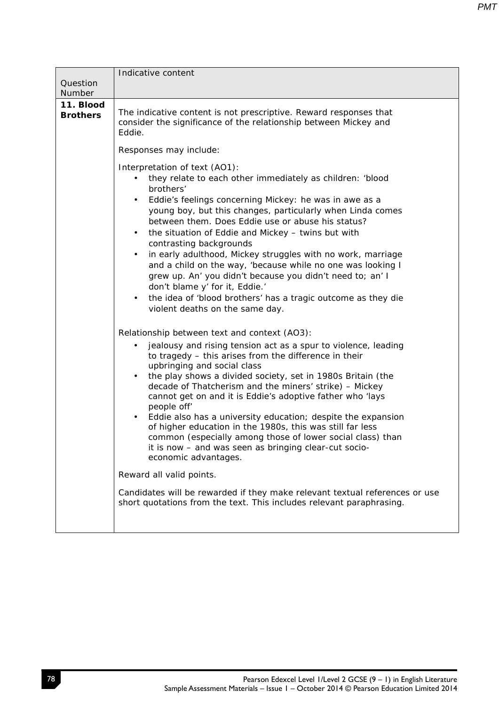|                              | Indicative content                                                                                                                                                                                                                                                                                                                                                                                                                                                                                                                                                                                                                                                                                                                                                                                                                                                                                                                                                                                                                                                                                                                                                                                                                                                                                                                                                                                                                                                                                  |
|------------------------------|-----------------------------------------------------------------------------------------------------------------------------------------------------------------------------------------------------------------------------------------------------------------------------------------------------------------------------------------------------------------------------------------------------------------------------------------------------------------------------------------------------------------------------------------------------------------------------------------------------------------------------------------------------------------------------------------------------------------------------------------------------------------------------------------------------------------------------------------------------------------------------------------------------------------------------------------------------------------------------------------------------------------------------------------------------------------------------------------------------------------------------------------------------------------------------------------------------------------------------------------------------------------------------------------------------------------------------------------------------------------------------------------------------------------------------------------------------------------------------------------------------|
| Question<br>Number           |                                                                                                                                                                                                                                                                                                                                                                                                                                                                                                                                                                                                                                                                                                                                                                                                                                                                                                                                                                                                                                                                                                                                                                                                                                                                                                                                                                                                                                                                                                     |
| 11. Blood<br><b>Brothers</b> | The indicative content is not prescriptive. Reward responses that<br>consider the significance of the relationship between Mickey and<br>Eddie.                                                                                                                                                                                                                                                                                                                                                                                                                                                                                                                                                                                                                                                                                                                                                                                                                                                                                                                                                                                                                                                                                                                                                                                                                                                                                                                                                     |
|                              | Responses may include:                                                                                                                                                                                                                                                                                                                                                                                                                                                                                                                                                                                                                                                                                                                                                                                                                                                                                                                                                                                                                                                                                                                                                                                                                                                                                                                                                                                                                                                                              |
|                              | Interpretation of text (AO1):<br>they relate to each other immediately as children: 'blood<br>brothers'<br>Eddie's feelings concerning Mickey: he was in awe as a<br>young boy, but this changes, particularly when Linda comes<br>between them. Does Eddie use or abuse his status?<br>the situation of Eddie and Mickey - twins but with<br>٠<br>contrasting backgrounds<br>in early adulthood, Mickey struggles with no work, marriage<br>$\bullet$<br>and a child on the way, 'because while no one was looking I<br>grew up. An' you didn't because you didn't need to; an' I<br>don't blame y' for it, Eddie.'<br>the idea of 'blood brothers' has a tragic outcome as they die<br>$\bullet$<br>violent deaths on the same day.<br>Relationship between text and context (AO3):<br>jealousy and rising tension act as a spur to violence, leading<br>$\bullet$<br>to tragedy - this arises from the difference in their<br>upbringing and social class<br>the play shows a divided society, set in 1980s Britain (the<br>$\bullet$<br>decade of Thatcherism and the miners' strike) - Mickey<br>cannot get on and it is Eddie's adoptive father who 'lays<br>people off'<br>Eddie also has a university education; despite the expansion<br>$\bullet$<br>of higher education in the 1980s, this was still far less<br>common (especially among those of lower social class) than<br>it is now - and was seen as bringing clear-cut socio-<br>economic advantages.<br>Reward all valid points. |
|                              | Candidates will be rewarded if they make relevant textual references or use<br>short quotations from the text. This includes relevant paraphrasing.                                                                                                                                                                                                                                                                                                                                                                                                                                                                                                                                                                                                                                                                                                                                                                                                                                                                                                                                                                                                                                                                                                                                                                                                                                                                                                                                                 |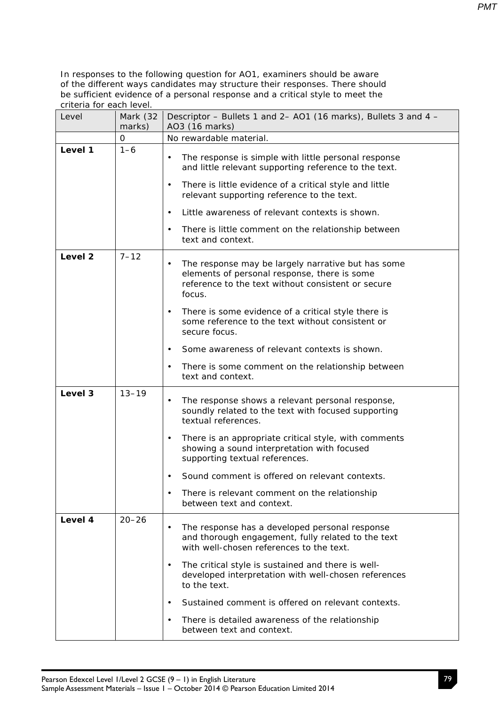| Level              | Mark (32<br>marks) | Descriptor - Bullets 1 and 2- AO1 (16 marks), Bullets 3 and 4 -<br>AO3 (16 marks)                                                                                               |
|--------------------|--------------------|---------------------------------------------------------------------------------------------------------------------------------------------------------------------------------|
|                    | 0                  | No rewardable material.                                                                                                                                                         |
| Level 1            | $1 - 6$            | The response is simple with little personal response<br>$\bullet$<br>and little relevant supporting reference to the text.                                                      |
|                    |                    | There is little evidence of a critical style and little<br>$\bullet$<br>relevant supporting reference to the text.                                                              |
|                    |                    | Little awareness of relevant contexts is shown.<br>$\bullet$                                                                                                                    |
|                    |                    | There is little comment on the relationship between<br>$\bullet$<br>text and context.                                                                                           |
| Level <sub>2</sub> | $7 - 12$           | The response may be largely narrative but has some<br>$\bullet$<br>elements of personal response, there is some<br>reference to the text without consistent or secure<br>focus. |
|                    |                    | There is some evidence of a critical style there is<br>$\bullet$<br>some reference to the text without consistent or<br>secure focus.                                           |
|                    |                    | Some awareness of relevant contexts is shown.<br>$\bullet$                                                                                                                      |
|                    |                    | There is some comment on the relationship between<br>$\bullet$<br>text and context.                                                                                             |
| Level 3            | $13 - 19$          | The response shows a relevant personal response,<br>$\bullet$<br>soundly related to the text with focused supporting<br>textual references.                                     |
|                    |                    | There is an appropriate critical style, with comments<br>$\bullet$<br>showing a sound interpretation with focused<br>supporting textual references.                             |
|                    |                    | Sound comment is offered on relevant contexts.<br>$\bullet$                                                                                                                     |
|                    |                    | There is relevant comment on the relationship<br>between text and context.                                                                                                      |
| Level 4            | $20 - 26$          | The response has a developed personal response<br>$\bullet$<br>and thorough engagement, fully related to the text<br>with well-chosen references to the text.                   |
|                    |                    | The critical style is sustained and there is well-<br>$\bullet$<br>developed interpretation with well-chosen references<br>to the text.                                         |
|                    |                    | Sustained comment is offered on relevant contexts.<br>$\bullet$                                                                                                                 |
|                    |                    | There is detailed awareness of the relationship<br>$\bullet$<br>between text and context.                                                                                       |

79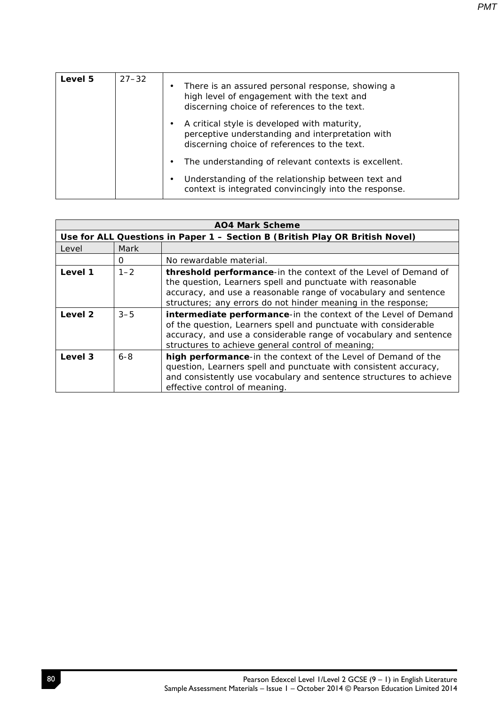| Level 5 | $27 - 32$ | $\bullet$ | There is an assured personal response, showing a<br>high level of engagement with the text and<br>discerning choice of references to the text.   |
|---------|-----------|-----------|--------------------------------------------------------------------------------------------------------------------------------------------------|
|         |           |           | A critical style is developed with maturity,<br>perceptive understanding and interpretation with<br>discerning choice of references to the text. |
|         |           | ٠         | The understanding of relevant contexts is excellent.                                                                                             |
|         |           | ٠         | Understanding of the relationship between text and<br>context is integrated convincingly into the response.                                      |

| <b>AO4 Mark Scheme</b> |         |                                                                                                                                                                                                                                                                  |
|------------------------|---------|------------------------------------------------------------------------------------------------------------------------------------------------------------------------------------------------------------------------------------------------------------------|
|                        |         | Use for ALL Questions in Paper 1 - Section B (British Play OR British Novel)                                                                                                                                                                                     |
| Level                  | Mark    |                                                                                                                                                                                                                                                                  |
|                        | 0       | No rewardable material.                                                                                                                                                                                                                                          |
| Level 1                | $1 - 2$ | threshold performance-in the context of the Level of Demand of<br>the question, Learners spell and punctuate with reasonable<br>accuracy, and use a reasonable range of vocabulary and sentence<br>structures; any errors do not hinder meaning in the response; |
| Level 2                | $3 - 5$ | intermediate performance-in the context of the Level of Demand<br>of the question, Learners spell and punctuate with considerable<br>accuracy, and use a considerable range of vocabulary and sentence<br>structures to achieve general control of meaning;      |
| Level 3                | $6 - 8$ | high performance-in the context of the Level of Demand of the<br>question, Learners spell and punctuate with consistent accuracy,<br>and consistently use vocabulary and sentence structures to achieve<br>effective control of meaning.                         |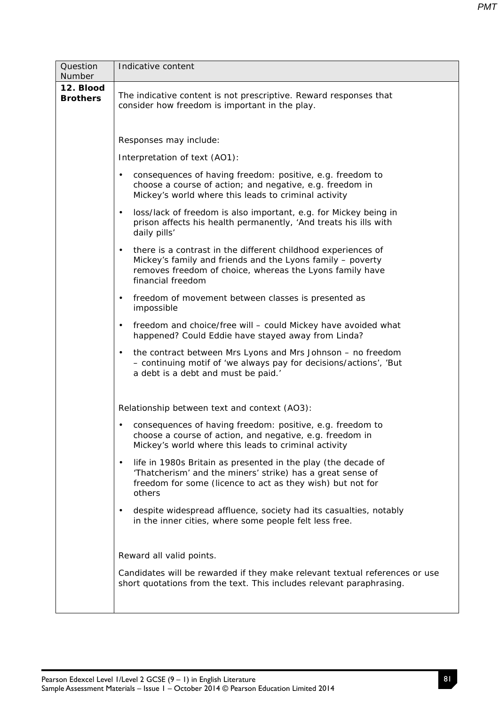| Question                     | Indicative content                                                                                                                                                                                                        |
|------------------------------|---------------------------------------------------------------------------------------------------------------------------------------------------------------------------------------------------------------------------|
| Number                       |                                                                                                                                                                                                                           |
| 12. Blood<br><b>Brothers</b> | The indicative content is not prescriptive. Reward responses that<br>consider how freedom is important in the play.                                                                                                       |
|                              | Responses may include:                                                                                                                                                                                                    |
|                              | Interpretation of text (AO1):                                                                                                                                                                                             |
|                              | consequences of having freedom: positive, e.g. freedom to<br>$\bullet$<br>choose a course of action; and negative, e.g. freedom in<br>Mickey's world where this leads to criminal activity                                |
|                              | loss/lack of freedom is also important, e.g. for Mickey being in<br>$\bullet$<br>prison affects his health permanently, 'And treats his ills with<br>daily pills'                                                         |
|                              | there is a contrast in the different childhood experiences of<br>$\bullet$<br>Mickey's family and friends and the Lyons family - poverty<br>removes freedom of choice, whereas the Lyons family have<br>financial freedom |
|                              | freedom of movement between classes is presented as<br>$\bullet$<br>impossible                                                                                                                                            |
|                              | freedom and choice/free will - could Mickey have avoided what<br>$\bullet$<br>happened? Could Eddie have stayed away from Linda?                                                                                          |
|                              | the contract between Mrs Lyons and Mrs Johnson - no freedom<br>$\bullet$<br>- continuing motif of 'we always pay for decisions/actions', 'But<br>a debt is a debt and must be paid.'                                      |
|                              | Relationship between text and context (AO3):                                                                                                                                                                              |
|                              | consequences of having freedom: positive, e.g. freedom to<br>$\bullet$<br>choose a course of action, and negative, e.g. freedom in<br>Mickey's world where this leads to criminal activity                                |
|                              | life in 1980s Britain as presented in the play (the decade of<br>$\bullet$<br>'Thatcherism' and the miners' strike) has a great sense of<br>freedom for some (licence to act as they wish) but not for<br>others          |
|                              | despite widespread affluence, society had its casualties, notably<br>$\bullet$<br>in the inner cities, where some people felt less free.                                                                                  |
|                              | Reward all valid points.                                                                                                                                                                                                  |
|                              | Candidates will be rewarded if they make relevant textual references or use<br>short quotations from the text. This includes relevant paraphrasing.                                                                       |
|                              |                                                                                                                                                                                                                           |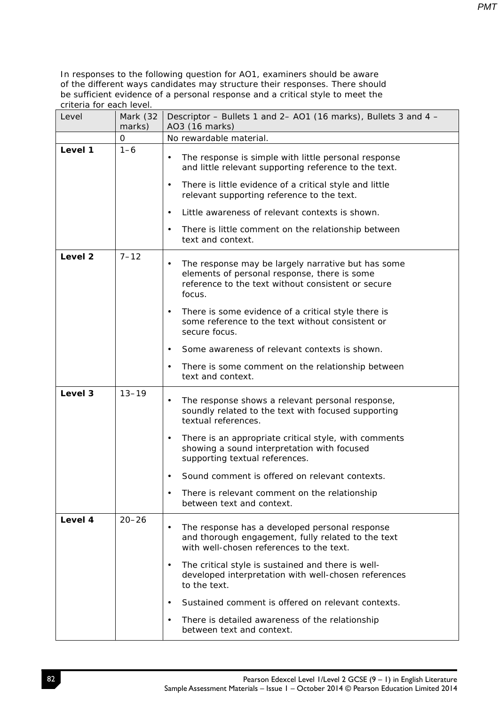| Level   | Mark (32<br>marks) | Descriptor - Bullets 1 and 2- AO1 (16 marks), Bullets 3 and 4 -<br>AO3 (16 marks)                                                                                               |  |
|---------|--------------------|---------------------------------------------------------------------------------------------------------------------------------------------------------------------------------|--|
|         | 0                  | No rewardable material.                                                                                                                                                         |  |
| Level 1 | $1 - 6$            | The response is simple with little personal response<br>$\bullet$<br>and little relevant supporting reference to the text.                                                      |  |
|         |                    | There is little evidence of a critical style and little<br>$\bullet$<br>relevant supporting reference to the text.                                                              |  |
|         |                    | Little awareness of relevant contexts is shown.<br>$\bullet$                                                                                                                    |  |
|         |                    | There is little comment on the relationship between<br>$\bullet$<br>text and context.                                                                                           |  |
| Level 2 | $7 - 12$           | The response may be largely narrative but has some<br>$\bullet$<br>elements of personal response, there is some<br>reference to the text without consistent or secure<br>focus. |  |
|         |                    | There is some evidence of a critical style there is<br>٠<br>some reference to the text without consistent or<br>secure focus.                                                   |  |
|         |                    | Some awareness of relevant contexts is shown.<br>$\bullet$                                                                                                                      |  |
|         |                    | There is some comment on the relationship between<br>$\bullet$<br>text and context.                                                                                             |  |
| Level 3 | $13 - 19$          | The response shows a relevant personal response,<br>$\bullet$<br>soundly related to the text with focused supporting<br>textual references.                                     |  |
|         |                    | There is an appropriate critical style, with comments<br>$\bullet$<br>showing a sound interpretation with focused<br>supporting textual references.                             |  |
|         |                    | Sound comment is offered on relevant contexts.<br>$\bullet$                                                                                                                     |  |
|         |                    | There is relevant comment on the relationship<br>between text and context.                                                                                                      |  |
| Level 4 | $20 - 26$          | The response has a developed personal response<br>and thorough engagement, fully related to the text<br>with well-chosen references to the text.                                |  |
|         |                    | The critical style is sustained and there is well-<br>$\bullet$<br>developed interpretation with well-chosen references<br>to the text.                                         |  |
|         |                    | Sustained comment is offered on relevant contexts.<br>$\bullet$                                                                                                                 |  |
|         |                    | There is detailed awareness of the relationship<br>$\bullet$<br>between text and context.                                                                                       |  |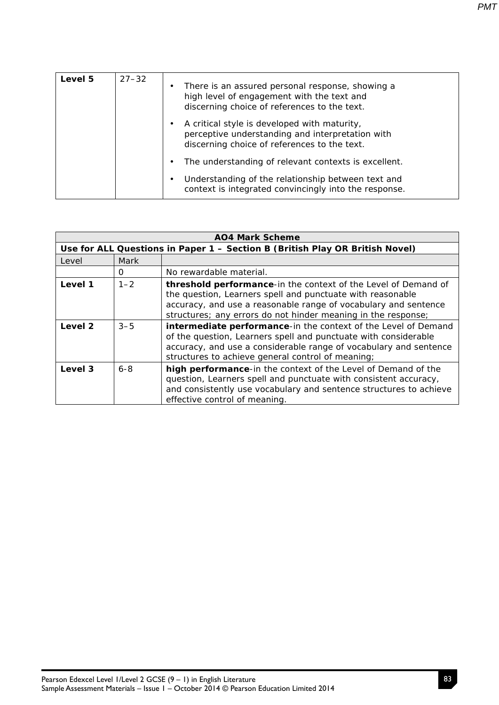| Level 5 | $27 - 32$ | $\bullet$ | There is an assured personal response, showing a<br>high level of engagement with the text and<br>discerning choice of references to the text.   |
|---------|-----------|-----------|--------------------------------------------------------------------------------------------------------------------------------------------------|
|         |           |           | A critical style is developed with maturity,<br>perceptive understanding and interpretation with<br>discerning choice of references to the text. |
|         |           |           | The understanding of relevant contexts is excellent.                                                                                             |
|         |           | $\bullet$ | Understanding of the relationship between text and<br>context is integrated convincingly into the response.                                      |

| <b>AO4 Mark Scheme</b> |         |                                                                                                                                                                                                                                                                  |  |
|------------------------|---------|------------------------------------------------------------------------------------------------------------------------------------------------------------------------------------------------------------------------------------------------------------------|--|
|                        |         | Use for ALL Questions in Paper 1 - Section B (British Play OR British Novel)                                                                                                                                                                                     |  |
| Level                  | Mark    |                                                                                                                                                                                                                                                                  |  |
|                        | 0       | No rewardable material.                                                                                                                                                                                                                                          |  |
| Level 1                | $1 - 2$ | threshold performance-in the context of the Level of Demand of<br>the question, Learners spell and punctuate with reasonable<br>accuracy, and use a reasonable range of vocabulary and sentence<br>structures; any errors do not hinder meaning in the response; |  |
| Level 2                | $3 - 5$ | intermediate performance-in the context of the Level of Demand<br>of the question, Learners spell and punctuate with considerable<br>accuracy, and use a considerable range of vocabulary and sentence<br>structures to achieve general control of meaning;      |  |
| Level 3                | $6 - 8$ | high performance-in the context of the Level of Demand of the<br>question, Learners spell and punctuate with consistent accuracy,<br>and consistently use vocabulary and sentence structures to achieve<br>effective control of meaning.                         |  |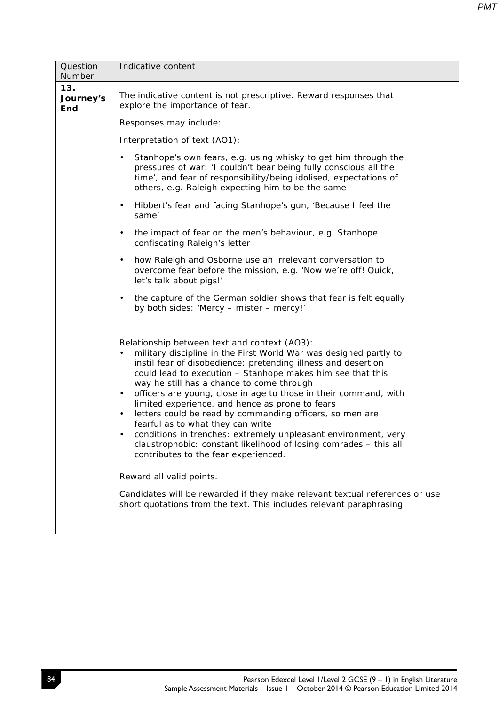| Question<br>Number             | Indicative content                                                                                                                                                                                                                                                                                                                                                                                                                                                                                                                                                                                                                                                                                                                                                      |
|--------------------------------|-------------------------------------------------------------------------------------------------------------------------------------------------------------------------------------------------------------------------------------------------------------------------------------------------------------------------------------------------------------------------------------------------------------------------------------------------------------------------------------------------------------------------------------------------------------------------------------------------------------------------------------------------------------------------------------------------------------------------------------------------------------------------|
| 13.<br>Journey's<br><b>End</b> | The indicative content is not prescriptive. Reward responses that<br>explore the importance of fear.                                                                                                                                                                                                                                                                                                                                                                                                                                                                                                                                                                                                                                                                    |
|                                | Responses may include:                                                                                                                                                                                                                                                                                                                                                                                                                                                                                                                                                                                                                                                                                                                                                  |
|                                | Interpretation of text (AO1):                                                                                                                                                                                                                                                                                                                                                                                                                                                                                                                                                                                                                                                                                                                                           |
|                                | Stanhope's own fears, e.g. using whisky to get him through the<br>$\bullet$<br>pressures of war: 'I couldn't bear being fully conscious all the<br>time', and fear of responsibility/being idolised, expectations of<br>others, e.g. Raleigh expecting him to be the same                                                                                                                                                                                                                                                                                                                                                                                                                                                                                               |
|                                | Hibbert's fear and facing Stanhope's gun, 'Because I feel the<br>$\bullet$<br>same'                                                                                                                                                                                                                                                                                                                                                                                                                                                                                                                                                                                                                                                                                     |
|                                | $\bullet$<br>the impact of fear on the men's behaviour, e.g. Stanhope<br>confiscating Raleigh's letter                                                                                                                                                                                                                                                                                                                                                                                                                                                                                                                                                                                                                                                                  |
|                                | how Raleigh and Osborne use an irrelevant conversation to<br>$\bullet$<br>overcome fear before the mission, e.g. 'Now we're off! Quick,<br>let's talk about pigs!'                                                                                                                                                                                                                                                                                                                                                                                                                                                                                                                                                                                                      |
|                                | the capture of the German soldier shows that fear is felt equally<br>$\bullet$<br>by both sides: 'Mercy - mister - mercy!'                                                                                                                                                                                                                                                                                                                                                                                                                                                                                                                                                                                                                                              |
|                                | Relationship between text and context (AO3):<br>military discipline in the First World War was designed partly to<br>$\bullet$<br>instil fear of disobedience: pretending illness and desertion<br>could lead to execution - Stanhope makes him see that this<br>way he still has a chance to come through<br>officers are young, close in age to those in their command, with<br>$\bullet$<br>limited experience, and hence as prone to fears<br>letters could be read by commanding officers, so men are<br>$\bullet$<br>fearful as to what they can write<br>conditions in trenches: extremely unpleasant environment, very<br>claustrophobic: constant likelihood of losing comrades - this all<br>contributes to the fear experienced.<br>Reward all valid points. |
|                                | Candidates will be rewarded if they make relevant textual references or use<br>short quotations from the text. This includes relevant paraphrasing.                                                                                                                                                                                                                                                                                                                                                                                                                                                                                                                                                                                                                     |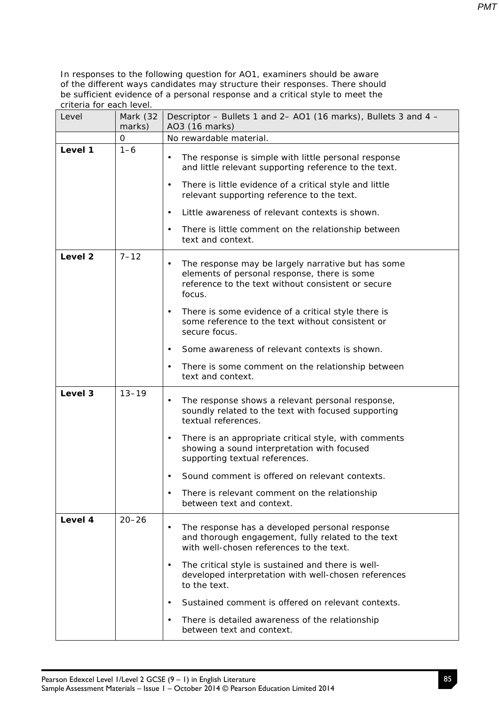| Level              | Mark (32<br>marks) | Descriptor - Bullets 1 and 2- AO1 (16 marks), Bullets 3 and 4 -<br>AO3 (16 marks)                                                                                               |  |
|--------------------|--------------------|---------------------------------------------------------------------------------------------------------------------------------------------------------------------------------|--|
|                    | 0                  | No rewardable material.                                                                                                                                                         |  |
| Level 1            | $1 - 6$            | The response is simple with little personal response<br>$\bullet$<br>and little relevant supporting reference to the text.                                                      |  |
|                    |                    | There is little evidence of a critical style and little<br>$\bullet$<br>relevant supporting reference to the text.                                                              |  |
|                    |                    | Little awareness of relevant contexts is shown.<br>$\bullet$                                                                                                                    |  |
|                    |                    | There is little comment on the relationship between<br>$\bullet$<br>text and context.                                                                                           |  |
| Level <sub>2</sub> | $7 - 12$           | The response may be largely narrative but has some<br>$\bullet$<br>elements of personal response, there is some<br>reference to the text without consistent or secure<br>focus. |  |
|                    |                    | There is some evidence of a critical style there is<br>$\bullet$<br>some reference to the text without consistent or<br>secure focus.                                           |  |
|                    |                    | Some awareness of relevant contexts is shown.<br>$\bullet$                                                                                                                      |  |
|                    |                    | There is some comment on the relationship between<br>$\bullet$<br>text and context.                                                                                             |  |
| Level 3            | $13 - 19$          | The response shows a relevant personal response,<br>$\bullet$<br>soundly related to the text with focused supporting<br>textual references.                                     |  |
|                    |                    | There is an appropriate critical style, with comments<br>$\bullet$<br>showing a sound interpretation with focused<br>supporting textual references.                             |  |
|                    |                    | Sound comment is offered on relevant contexts.<br>$\bullet$                                                                                                                     |  |
|                    |                    | There is relevant comment on the relationship<br>between text and context.                                                                                                      |  |
| Level 4            | $20 - 26$          | The response has a developed personal response<br>$\bullet$<br>and thorough engagement, fully related to the text<br>with well-chosen references to the text.                   |  |
|                    |                    | The critical style is sustained and there is well-<br>$\bullet$<br>developed interpretation with well-chosen references<br>to the text.                                         |  |
|                    |                    | Sustained comment is offered on relevant contexts.<br>$\bullet$                                                                                                                 |  |
|                    |                    | There is detailed awareness of the relationship<br>$\bullet$<br>between text and context.                                                                                       |  |

85

*PMT*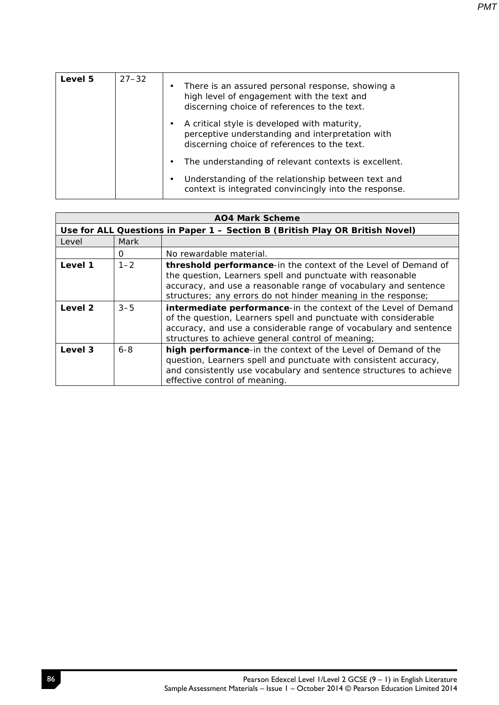| Level 5 | $27 - 32$ | ٠ | There is an assured personal response, showing a<br>high level of engagement with the text and<br>discerning choice of references to the text.   |
|---------|-----------|---|--------------------------------------------------------------------------------------------------------------------------------------------------|
|         |           | ٠ | A critical style is developed with maturity,<br>perceptive understanding and interpretation with<br>discerning choice of references to the text. |
|         |           | ٠ | The understanding of relevant contexts is excellent.                                                                                             |
|         |           | ٠ | Understanding of the relationship between text and<br>context is integrated convincingly into the response.                                      |

| <b>AO4 Mark Scheme</b> |         |                                                                                                                                                                                                                                                                  |  |
|------------------------|---------|------------------------------------------------------------------------------------------------------------------------------------------------------------------------------------------------------------------------------------------------------------------|--|
|                        |         | Use for ALL Questions in Paper 1 - Section B (British Play OR British Novel)                                                                                                                                                                                     |  |
| Level                  | Mark    |                                                                                                                                                                                                                                                                  |  |
|                        | 0       | No rewardable material.                                                                                                                                                                                                                                          |  |
| Level 1                | $1 - 2$ | threshold performance-in the context of the Level of Demand of<br>the question, Learners spell and punctuate with reasonable<br>accuracy, and use a reasonable range of vocabulary and sentence<br>structures; any errors do not hinder meaning in the response; |  |
| Level 2                | $3 - 5$ | intermediate performance-in the context of the Level of Demand<br>of the question, Learners spell and punctuate with considerable<br>accuracy, and use a considerable range of vocabulary and sentence<br>structures to achieve general control of meaning;      |  |
| Level 3                | $6 - 8$ | high performance-in the context of the Level of Demand of the<br>question, Learners spell and punctuate with consistent accuracy,<br>and consistently use vocabulary and sentence structures to achieve<br>effective control of meaning.                         |  |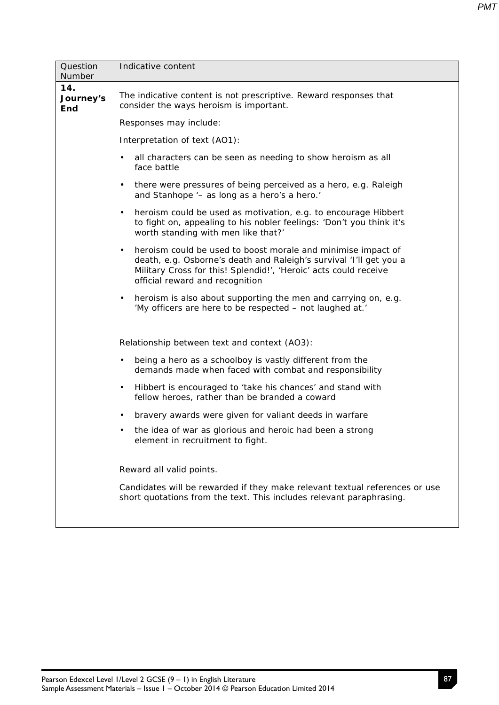| Question<br>Number             | Indicative content                                                                                                                                                                                                                                     |  |  |  |  |
|--------------------------------|--------------------------------------------------------------------------------------------------------------------------------------------------------------------------------------------------------------------------------------------------------|--|--|--|--|
| 14.<br>Journey's<br><b>End</b> | The indicative content is not prescriptive. Reward responses that<br>consider the ways heroism is important.                                                                                                                                           |  |  |  |  |
|                                | Responses may include:                                                                                                                                                                                                                                 |  |  |  |  |
|                                | Interpretation of text (AO1):                                                                                                                                                                                                                          |  |  |  |  |
|                                | all characters can be seen as needing to show heroism as all<br>$\bullet$<br>face battle                                                                                                                                                               |  |  |  |  |
|                                | there were pressures of being perceived as a hero, e.g. Raleigh<br>$\bullet$<br>and Stanhope '- as long as a hero's a hero.'                                                                                                                           |  |  |  |  |
|                                | heroism could be used as motivation, e.g. to encourage Hibbert<br>$\bullet$<br>to fight on, appealing to his nobler feelings: 'Don't you think it's<br>worth standing with men like that?'                                                             |  |  |  |  |
|                                | heroism could be used to boost morale and minimise impact of<br>$\bullet$<br>death, e.g. Osborne's death and Raleigh's survival 'I'll get you a<br>Military Cross for this! Splendid!', 'Heroic' acts could receive<br>official reward and recognition |  |  |  |  |
|                                | heroism is also about supporting the men and carrying on, e.g.<br>$\bullet$<br>'My officers are here to be respected - not laughed at.'                                                                                                                |  |  |  |  |
|                                | Relationship between text and context (AO3):                                                                                                                                                                                                           |  |  |  |  |
|                                | being a hero as a schoolboy is vastly different from the<br>$\bullet$<br>demands made when faced with combat and responsibility                                                                                                                        |  |  |  |  |
|                                | Hibbert is encouraged to 'take his chances' and stand with<br>$\bullet$<br>fellow heroes, rather than be branded a coward                                                                                                                              |  |  |  |  |
|                                | bravery awards were given for valiant deeds in warfare<br>$\bullet$                                                                                                                                                                                    |  |  |  |  |
|                                | the idea of war as glorious and heroic had been a strong<br>$\bullet$<br>element in recruitment to fight.                                                                                                                                              |  |  |  |  |
|                                | Reward all valid points.                                                                                                                                                                                                                               |  |  |  |  |
|                                | Candidates will be rewarded if they make relevant textual references or use<br>short quotations from the text. This includes relevant paraphrasing.                                                                                                    |  |  |  |  |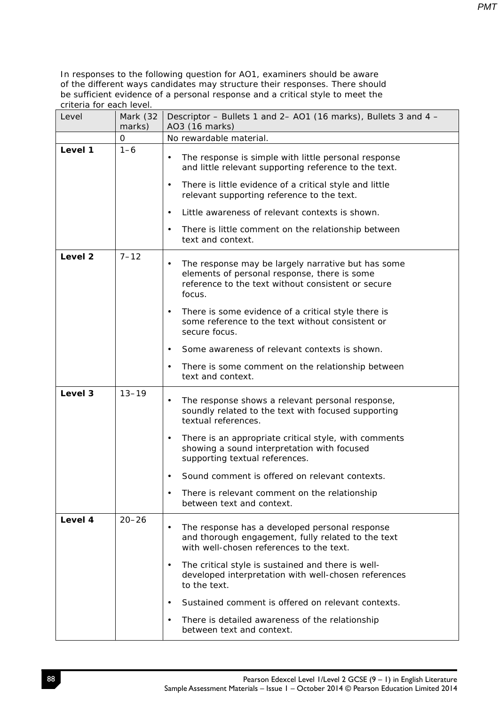| Level              | Mark (32<br>marks) | Descriptor – Bullets 1 and 2– AO1 (16 marks), Bullets 3 and 4 –<br>AO3 (16 marks)                                                                                                                                                                |  |
|--------------------|--------------------|--------------------------------------------------------------------------------------------------------------------------------------------------------------------------------------------------------------------------------------------------|--|
|                    | 0                  | No rewardable material.                                                                                                                                                                                                                          |  |
| Level 1            | $1 - 6$            | The response is simple with little personal response<br>$\bullet$<br>and little relevant supporting reference to the text.<br>There is little evidence of a critical style and little<br>$\bullet$<br>relevant supporting reference to the text. |  |
|                    |                    | Little awareness of relevant contexts is shown.<br>$\bullet$                                                                                                                                                                                     |  |
|                    |                    | There is little comment on the relationship between<br>$\bullet$<br>text and context.                                                                                                                                                            |  |
| Level <sub>2</sub> | $7 - 12$           | The response may be largely narrative but has some<br>$\bullet$<br>elements of personal response, there is some<br>reference to the text without consistent or secure<br>focus.                                                                  |  |
|                    |                    | There is some evidence of a critical style there is<br>$\bullet$<br>some reference to the text without consistent or<br>secure focus.                                                                                                            |  |
|                    |                    | Some awareness of relevant contexts is shown.<br>$\bullet$                                                                                                                                                                                       |  |
|                    |                    | There is some comment on the relationship between<br>$\bullet$<br>text and context.                                                                                                                                                              |  |
| Level 3            | $13 - 19$          | The response shows a relevant personal response,<br>$\bullet$<br>soundly related to the text with focused supporting<br>textual references.                                                                                                      |  |
|                    |                    | There is an appropriate critical style, with comments<br>$\bullet$<br>showing a sound interpretation with focused<br>supporting textual references.                                                                                              |  |
|                    |                    | Sound comment is offered on relevant contexts.<br>$\bullet$                                                                                                                                                                                      |  |
|                    |                    | There is relevant comment on the relationship<br>$\bullet$<br>between text and context.                                                                                                                                                          |  |
| Level 4            | $20 - 26$          | The response has a developed personal response<br>$\bullet$<br>and thorough engagement, fully related to the text<br>with well-chosen references to the text.                                                                                    |  |
|                    |                    | The critical style is sustained and there is well-<br>$\bullet$<br>developed interpretation with well-chosen references<br>to the text.                                                                                                          |  |
|                    |                    | Sustained comment is offered on relevant contexts.<br>$\bullet$                                                                                                                                                                                  |  |
|                    |                    | There is detailed awareness of the relationship<br>$\bullet$<br>between text and context.                                                                                                                                                        |  |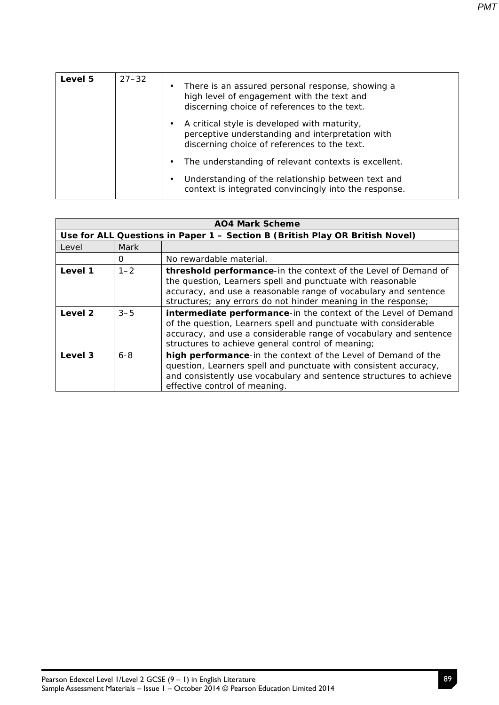| Level 5 | $27 - 32$ | $\bullet$ | There is an assured personal response, showing a<br>high level of engagement with the text and<br>discerning choice of references to the text.   |
|---------|-----------|-----------|--------------------------------------------------------------------------------------------------------------------------------------------------|
|         |           |           | A critical style is developed with maturity,<br>perceptive understanding and interpretation with<br>discerning choice of references to the text. |
|         |           | $\bullet$ | The understanding of relevant contexts is excellent.                                                                                             |
|         |           | $\bullet$ | Understanding of the relationship between text and<br>context is integrated convincingly into the response.                                      |

| <b>AO4 Mark Scheme</b> |         |                                                                                                                                                                                                                                                                  |  |
|------------------------|---------|------------------------------------------------------------------------------------------------------------------------------------------------------------------------------------------------------------------------------------------------------------------|--|
|                        |         | Use for ALL Questions in Paper 1 - Section B (British Play OR British Novel)                                                                                                                                                                                     |  |
| Level                  | Mark    |                                                                                                                                                                                                                                                                  |  |
|                        | 0       | No rewardable material.                                                                                                                                                                                                                                          |  |
| Level 1                | $1 - 2$ | threshold performance-in the context of the Level of Demand of<br>the question, Learners spell and punctuate with reasonable<br>accuracy, and use a reasonable range of vocabulary and sentence<br>structures; any errors do not hinder meaning in the response; |  |
| Level 2                | $3 - 5$ | intermediate performance-in the context of the Level of Demand<br>of the question, Learners spell and punctuate with considerable<br>accuracy, and use a considerable range of vocabulary and sentence<br>structures to achieve general control of meaning;      |  |
| Level 3                | $6 - 8$ | high performance-in the context of the Level of Demand of the<br>question, Learners spell and punctuate with consistent accuracy,<br>and consistently use vocabulary and sentence structures to achieve<br>effective control of meaning.                         |  |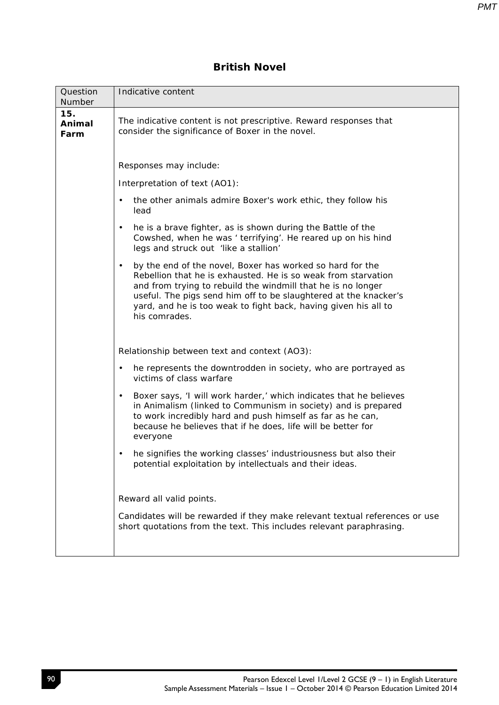## **British Novel**

| Question<br>Number    | Indicative content                                                                                                                                                                                                                                                                                                                                      |  |  |  |
|-----------------------|---------------------------------------------------------------------------------------------------------------------------------------------------------------------------------------------------------------------------------------------------------------------------------------------------------------------------------------------------------|--|--|--|
| 15.<br>Animal<br>Farm | The indicative content is not prescriptive. Reward responses that<br>consider the significance of Boxer in the novel.                                                                                                                                                                                                                                   |  |  |  |
|                       | Responses may include:                                                                                                                                                                                                                                                                                                                                  |  |  |  |
|                       | Interpretation of text (AO1):                                                                                                                                                                                                                                                                                                                           |  |  |  |
|                       | the other animals admire Boxer's work ethic, they follow his<br>lead                                                                                                                                                                                                                                                                                    |  |  |  |
|                       | he is a brave fighter, as is shown during the Battle of the<br>$\bullet$<br>Cowshed, when he was ' terrifying'. He reared up on his hind<br>legs and struck out 'like a stallion'                                                                                                                                                                       |  |  |  |
|                       | by the end of the novel, Boxer has worked so hard for the<br>٠<br>Rebellion that he is exhausted. He is so weak from starvation<br>and from trying to rebuild the windmill that he is no longer<br>useful. The pigs send him off to be slaughtered at the knacker's<br>yard, and he is too weak to fight back, having given his all to<br>his comrades. |  |  |  |
|                       | Relationship between text and context (AO3):                                                                                                                                                                                                                                                                                                            |  |  |  |
|                       | he represents the downtrodden in society, who are portrayed as<br>$\bullet$<br>victims of class warfare                                                                                                                                                                                                                                                 |  |  |  |
|                       | Boxer says, 'I will work harder,' which indicates that he believes<br>$\bullet$<br>in Animalism (linked to Communism in society) and is prepared<br>to work incredibly hard and push himself as far as he can,<br>because he believes that if he does, life will be better for<br>everyone                                                              |  |  |  |
|                       | he signifies the working classes' industriousness but also their<br>potential exploitation by intellectuals and their ideas.                                                                                                                                                                                                                            |  |  |  |
|                       | Reward all valid points.                                                                                                                                                                                                                                                                                                                                |  |  |  |
|                       | Candidates will be rewarded if they make relevant textual references or use<br>short quotations from the text. This includes relevant paraphrasing.                                                                                                                                                                                                     |  |  |  |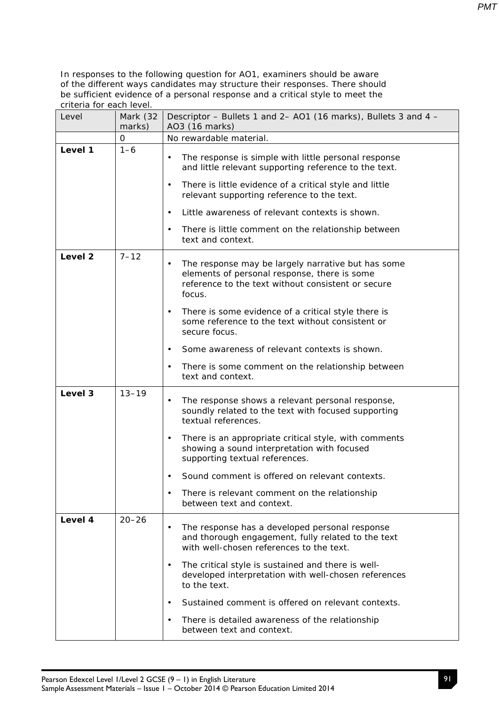| Level              | Mark (32<br>marks) | Descriptor - Bullets 1 and 2- AO1 (16 marks), Bullets 3 and 4 -<br>AO3 (16 marks)                                                                                               |
|--------------------|--------------------|---------------------------------------------------------------------------------------------------------------------------------------------------------------------------------|
|                    | 0                  | No rewardable material.                                                                                                                                                         |
| Level 1            | $1 - 6$            | The response is simple with little personal response<br>$\bullet$<br>and little relevant supporting reference to the text.                                                      |
|                    |                    | There is little evidence of a critical style and little<br>$\bullet$<br>relevant supporting reference to the text.                                                              |
|                    |                    | Little awareness of relevant contexts is shown.<br>$\bullet$                                                                                                                    |
|                    |                    | There is little comment on the relationship between<br>$\bullet$<br>text and context.                                                                                           |
| Level <sub>2</sub> | $7 - 12$           | The response may be largely narrative but has some<br>$\bullet$<br>elements of personal response, there is some<br>reference to the text without consistent or secure<br>focus. |
|                    |                    | There is some evidence of a critical style there is<br>$\bullet$<br>some reference to the text without consistent or<br>secure focus.                                           |
|                    |                    | Some awareness of relevant contexts is shown.<br>$\bullet$                                                                                                                      |
|                    |                    | There is some comment on the relationship between<br>$\bullet$<br>text and context.                                                                                             |
| Level 3            | $13 - 19$          | The response shows a relevant personal response,<br>$\bullet$<br>soundly related to the text with focused supporting<br>textual references.                                     |
|                    |                    | There is an appropriate critical style, with comments<br>$\bullet$<br>showing a sound interpretation with focused<br>supporting textual references.                             |
|                    |                    | Sound comment is offered on relevant contexts.<br>$\bullet$                                                                                                                     |
|                    |                    | There is relevant comment on the relationship<br>between text and context.                                                                                                      |
| Level 4            | $20 - 26$          | The response has a developed personal response<br>$\bullet$<br>and thorough engagement, fully related to the text<br>with well-chosen references to the text.                   |
|                    |                    | The critical style is sustained and there is well-<br>$\bullet$<br>developed interpretation with well-chosen references<br>to the text.                                         |
|                    |                    | Sustained comment is offered on relevant contexts.<br>$\bullet$                                                                                                                 |
|                    |                    | There is detailed awareness of the relationship<br>$\bullet$<br>between text and context.                                                                                       |

Sample Assessment Materials – Issue 1 – October 2014 © Pearson Education Limited 2014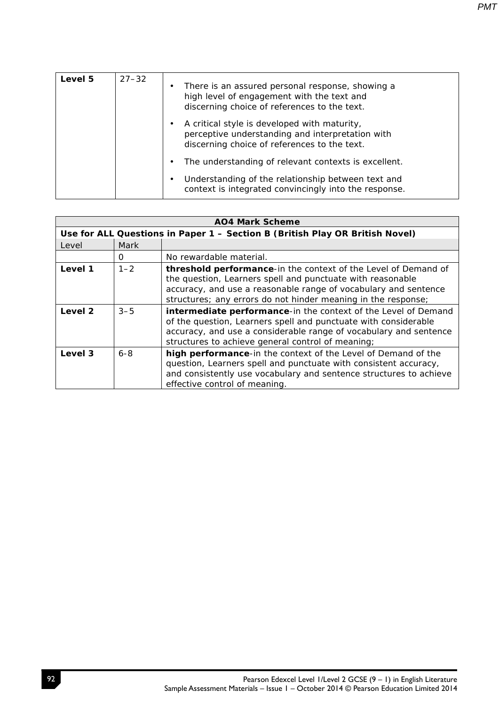| Level 5 | $27 - 32$ | ٠ | There is an assured personal response, showing a<br>high level of engagement with the text and<br>discerning choice of references to the text.   |
|---------|-----------|---|--------------------------------------------------------------------------------------------------------------------------------------------------|
|         |           |   | A critical style is developed with maturity,<br>perceptive understanding and interpretation with<br>discerning choice of references to the text. |
|         |           |   | The understanding of relevant contexts is excellent.                                                                                             |
|         |           | ٠ | Understanding of the relationship between text and<br>context is integrated convincingly into the response.                                      |

| AO4 Mark Scheme |         |                                                                                                                                                                                                                                                                         |  |
|-----------------|---------|-------------------------------------------------------------------------------------------------------------------------------------------------------------------------------------------------------------------------------------------------------------------------|--|
|                 |         | Use for ALL Questions in Paper 1 - Section B (British Play OR British Novel)                                                                                                                                                                                            |  |
| Level           | Mark    |                                                                                                                                                                                                                                                                         |  |
|                 | 0       | No rewardable material.                                                                                                                                                                                                                                                 |  |
| Level 1         | $1 - 2$ | <b>threshold performance-in the context of the Level of Demand of</b><br>the question, Learners spell and punctuate with reasonable<br>accuracy, and use a reasonable range of vocabulary and sentence<br>structures; any errors do not hinder meaning in the response; |  |
| Level 2         | $3 - 5$ | intermediate performance-in the context of the Level of Demand<br>of the question, Learners spell and punctuate with considerable<br>accuracy, and use a considerable range of vocabulary and sentence<br>structures to achieve general control of meaning;             |  |
| Level 3         | $6 - 8$ | high performance-in the context of the Level of Demand of the<br>question, Learners spell and punctuate with consistent accuracy,<br>and consistently use vocabulary and sentence structures to achieve<br>effective control of meaning.                                |  |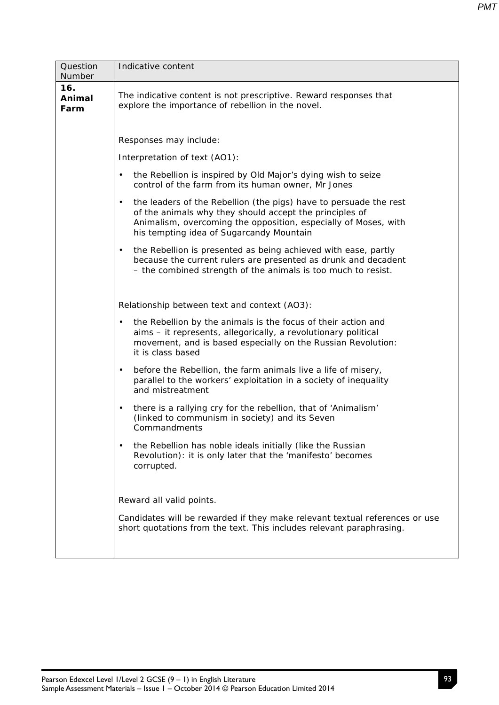| Question<br>Number    | Indicative content                                                                                                                                                                                                                                       |  |  |  |  |  |  |
|-----------------------|----------------------------------------------------------------------------------------------------------------------------------------------------------------------------------------------------------------------------------------------------------|--|--|--|--|--|--|
| 16.<br>Animal<br>Farm | The indicative content is not prescriptive. Reward responses that<br>explore the importance of rebellion in the novel.                                                                                                                                   |  |  |  |  |  |  |
|                       | Responses may include:                                                                                                                                                                                                                                   |  |  |  |  |  |  |
|                       | Interpretation of text (AO1):                                                                                                                                                                                                                            |  |  |  |  |  |  |
|                       | the Rebellion is inspired by Old Major's dying wish to seize<br>$\bullet$<br>control of the farm from its human owner, Mr Jones                                                                                                                          |  |  |  |  |  |  |
|                       | the leaders of the Rebellion (the pigs) have to persuade the rest<br>$\bullet$<br>of the animals why they should accept the principles of<br>Animalism, overcoming the opposition, especially of Moses, with<br>his tempting idea of Sugarcandy Mountain |  |  |  |  |  |  |
|                       | the Rebellion is presented as being achieved with ease, partly<br>$\bullet$<br>because the current rulers are presented as drunk and decadent<br>- the combined strength of the animals is too much to resist.                                           |  |  |  |  |  |  |
|                       | Relationship between text and context (AO3):                                                                                                                                                                                                             |  |  |  |  |  |  |
|                       | the Rebellion by the animals is the focus of their action and<br>$\bullet$<br>aims - it represents, allegorically, a revolutionary political<br>movement, and is based especially on the Russian Revolution:<br>it is class based                        |  |  |  |  |  |  |
|                       | before the Rebellion, the farm animals live a life of misery,<br>$\bullet$<br>parallel to the workers' exploitation in a society of inequality<br>and mistreatment                                                                                       |  |  |  |  |  |  |
|                       | there is a rallying cry for the rebellion, that of 'Animalism'<br>$\bullet$<br>(linked to communism in society) and its Seven<br>Commandments                                                                                                            |  |  |  |  |  |  |
|                       | the Rebellion has noble ideals initially (like the Russian<br>$\bullet$<br>Revolution): it is only later that the 'manifesto' becomes<br>corrupted.                                                                                                      |  |  |  |  |  |  |
|                       | Reward all valid points.                                                                                                                                                                                                                                 |  |  |  |  |  |  |
|                       | Candidates will be rewarded if they make relevant textual references or use<br>short quotations from the text. This includes relevant paraphrasing.                                                                                                      |  |  |  |  |  |  |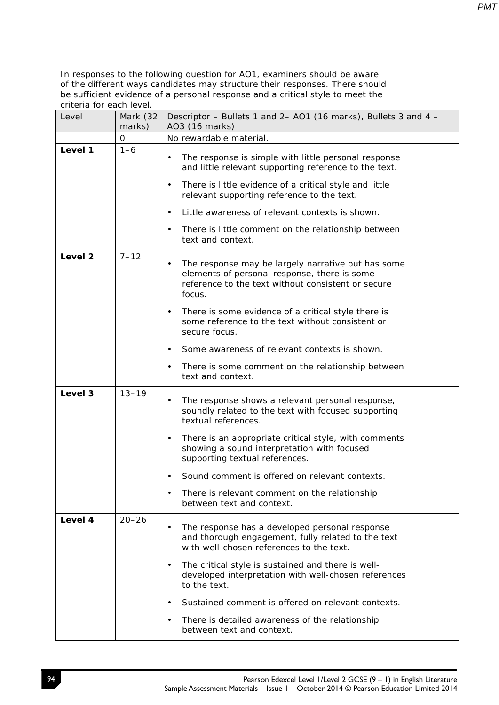| Level   | Mark (32<br>marks) | Descriptor - Bullets 1 and 2- AO1 (16 marks), Bullets 3 and 4 -<br>AO3 (16 marks)                                                                                               |
|---------|--------------------|---------------------------------------------------------------------------------------------------------------------------------------------------------------------------------|
|         | 0                  | No rewardable material.                                                                                                                                                         |
| Level 1 | $1 - 6$            | The response is simple with little personal response<br>$\bullet$<br>and little relevant supporting reference to the text.                                                      |
|         |                    | There is little evidence of a critical style and little<br>$\bullet$<br>relevant supporting reference to the text.                                                              |
|         |                    | Little awareness of relevant contexts is shown.<br>$\bullet$                                                                                                                    |
|         |                    | There is little comment on the relationship between<br>$\bullet$<br>text and context.                                                                                           |
| Level 2 | $7 - 12$           | The response may be largely narrative but has some<br>$\bullet$<br>elements of personal response, there is some<br>reference to the text without consistent or secure<br>focus. |
|         |                    | There is some evidence of a critical style there is<br>$\bullet$<br>some reference to the text without consistent or<br>secure focus.                                           |
|         |                    | Some awareness of relevant contexts is shown.<br>$\bullet$                                                                                                                      |
|         |                    | There is some comment on the relationship between<br>$\bullet$<br>text and context.                                                                                             |
| Level 3 | $13 - 19$          | The response shows a relevant personal response,<br>$\bullet$<br>soundly related to the text with focused supporting<br>textual references.                                     |
|         |                    | There is an appropriate critical style, with comments<br>$\bullet$<br>showing a sound interpretation with focused<br>supporting textual references.                             |
|         |                    | Sound comment is offered on relevant contexts.<br>$\bullet$                                                                                                                     |
|         |                    | There is relevant comment on the relationship<br>between text and context.                                                                                                      |
| Level 4 | $20 - 26$          | The response has a developed personal response<br>and thorough engagement, fully related to the text<br>with well-chosen references to the text.                                |
|         |                    | The critical style is sustained and there is well-<br>$\bullet$<br>developed interpretation with well-chosen references<br>to the text.                                         |
|         |                    | Sustained comment is offered on relevant contexts.<br>$\bullet$                                                                                                                 |
|         |                    | There is detailed awareness of the relationship<br>$\bullet$<br>between text and context.                                                                                       |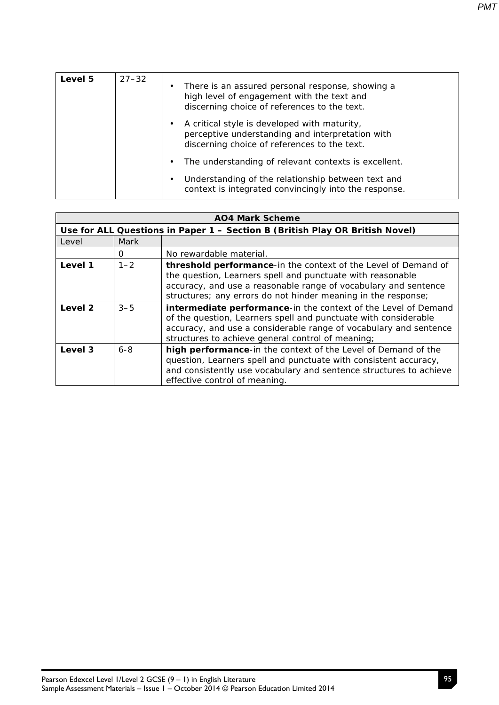| Level 5 | $27 - 32$ | ٠ | There is an assured personal response, showing a<br>high level of engagement with the text and<br>discerning choice of references to the text.   |
|---------|-----------|---|--------------------------------------------------------------------------------------------------------------------------------------------------|
|         |           | ٠ | A critical style is developed with maturity,<br>perceptive understanding and interpretation with<br>discerning choice of references to the text. |
|         |           | ٠ | The understanding of relevant contexts is excellent.                                                                                             |
|         |           | ٠ | Understanding of the relationship between text and<br>context is integrated convincingly into the response.                                      |

| <b>AO4 Mark Scheme</b> |         |                                                                                                                                                                                                                                                                  |  |
|------------------------|---------|------------------------------------------------------------------------------------------------------------------------------------------------------------------------------------------------------------------------------------------------------------------|--|
|                        |         | Use for ALL Questions in Paper 1 - Section B (British Play OR British Novel)                                                                                                                                                                                     |  |
| Level                  | Mark    |                                                                                                                                                                                                                                                                  |  |
|                        | 0       | No rewardable material.                                                                                                                                                                                                                                          |  |
| Level 1                | $1 - 2$ | threshold performance-in the context of the Level of Demand of<br>the question, Learners spell and punctuate with reasonable<br>accuracy, and use a reasonable range of vocabulary and sentence<br>structures; any errors do not hinder meaning in the response; |  |
| Level 2                | $3 - 5$ | intermediate performance-in the context of the Level of Demand<br>of the question, Learners spell and punctuate with considerable<br>accuracy, and use a considerable range of vocabulary and sentence<br>structures to achieve general control of meaning;      |  |
| Level 3                | $6 - 8$ | high performance-in the context of the Level of Demand of the<br>question, Learners spell and punctuate with consistent accuracy,<br>and consistently use vocabulary and sentence structures to achieve<br>effective control of meaning.                         |  |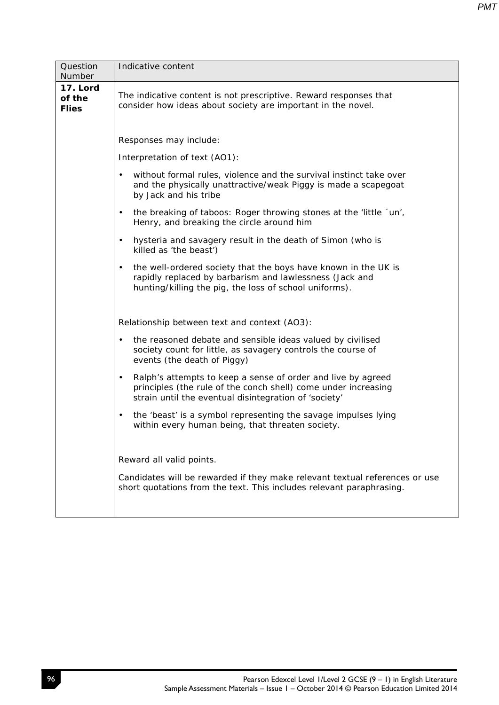| Question<br>Number                 | Indicative content                                                                                                                                                                                   |
|------------------------------------|------------------------------------------------------------------------------------------------------------------------------------------------------------------------------------------------------|
| 17. Lord<br>of the<br><b>Flies</b> | The indicative content is not prescriptive. Reward responses that<br>consider how ideas about society are important in the novel.                                                                    |
|                                    | Responses may include:                                                                                                                                                                               |
|                                    | Interpretation of text (AO1):                                                                                                                                                                        |
|                                    | without formal rules, violence and the survival instinct take over<br>$\bullet$<br>and the physically unattractive/weak Piggy is made a scapegoat<br>by Jack and his tribe                           |
|                                    | the breaking of taboos: Roger throwing stones at the 'little 'un',<br>$\bullet$<br>Henry, and breaking the circle around him                                                                         |
|                                    | hysteria and savagery result in the death of Simon (who is<br>$\bullet$<br>killed as 'the beast')                                                                                                    |
|                                    | the well-ordered society that the boys have known in the UK is<br>$\bullet$<br>rapidly replaced by barbarism and lawlessness (Jack and<br>hunting/killing the pig, the loss of school uniforms).     |
|                                    | Relationship between text and context (AO3):                                                                                                                                                         |
|                                    | the reasoned debate and sensible ideas valued by civilised<br>$\bullet$<br>society count for little, as savagery controls the course of<br>events (the death of Piggy)                               |
|                                    | Ralph's attempts to keep a sense of order and live by agreed<br>$\bullet$<br>principles (the rule of the conch shell) come under increasing<br>strain until the eventual disintegration of 'society' |
|                                    | the 'beast' is a symbol representing the savage impulses lying<br>$\bullet$<br>within every human being, that threaten society.                                                                      |
|                                    | Reward all valid points.                                                                                                                                                                             |
|                                    | Candidates will be rewarded if they make relevant textual references or use<br>short quotations from the text. This includes relevant paraphrasing.                                                  |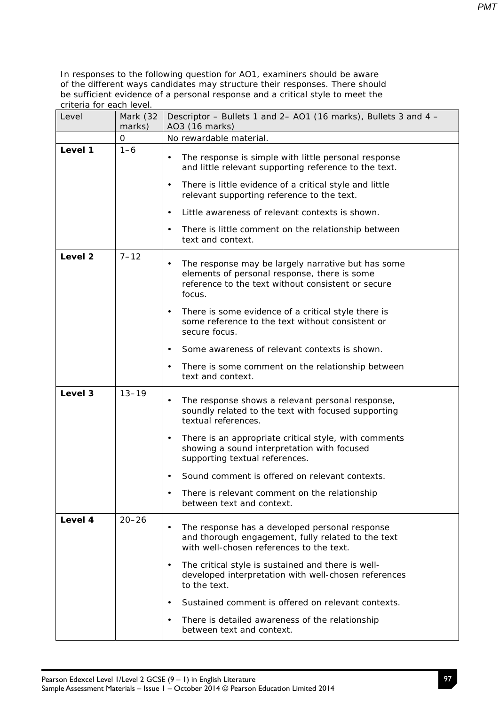| Level              | Mark (32<br>marks) | Descriptor - Bullets 1 and 2- AO1 (16 marks), Bullets 3 and 4 -<br>AO3 (16 marks)                                                                                               |
|--------------------|--------------------|---------------------------------------------------------------------------------------------------------------------------------------------------------------------------------|
|                    | 0                  | No rewardable material.                                                                                                                                                         |
| Level 1            | $1 - 6$            | The response is simple with little personal response<br>$\bullet$<br>and little relevant supporting reference to the text.                                                      |
|                    |                    | There is little evidence of a critical style and little<br>$\bullet$<br>relevant supporting reference to the text.                                                              |
|                    |                    | Little awareness of relevant contexts is shown.<br>$\bullet$                                                                                                                    |
|                    |                    | There is little comment on the relationship between<br>$\bullet$<br>text and context.                                                                                           |
| Level <sub>2</sub> | $7 - 12$           | The response may be largely narrative but has some<br>$\bullet$<br>elements of personal response, there is some<br>reference to the text without consistent or secure<br>focus. |
|                    |                    | There is some evidence of a critical style there is<br>$\bullet$<br>some reference to the text without consistent or<br>secure focus.                                           |
|                    |                    | Some awareness of relevant contexts is shown.<br>$\bullet$                                                                                                                      |
|                    |                    | There is some comment on the relationship between<br>$\bullet$<br>text and context.                                                                                             |
| Level 3            | $13 - 19$          | The response shows a relevant personal response,<br>$\bullet$<br>soundly related to the text with focused supporting<br>textual references.                                     |
|                    |                    | There is an appropriate critical style, with comments<br>$\bullet$<br>showing a sound interpretation with focused<br>supporting textual references.                             |
|                    |                    | Sound comment is offered on relevant contexts.<br>$\bullet$                                                                                                                     |
|                    |                    | There is relevant comment on the relationship<br>between text and context.                                                                                                      |
| Level 4            | $20 - 26$          | The response has a developed personal response<br>$\bullet$<br>and thorough engagement, fully related to the text<br>with well-chosen references to the text.                   |
|                    |                    | The critical style is sustained and there is well-<br>$\bullet$<br>developed interpretation with well-chosen references<br>to the text.                                         |
|                    |                    | Sustained comment is offered on relevant contexts.<br>$\bullet$                                                                                                                 |
|                    |                    | There is detailed awareness of the relationship<br>$\bullet$<br>between text and context.                                                                                       |

97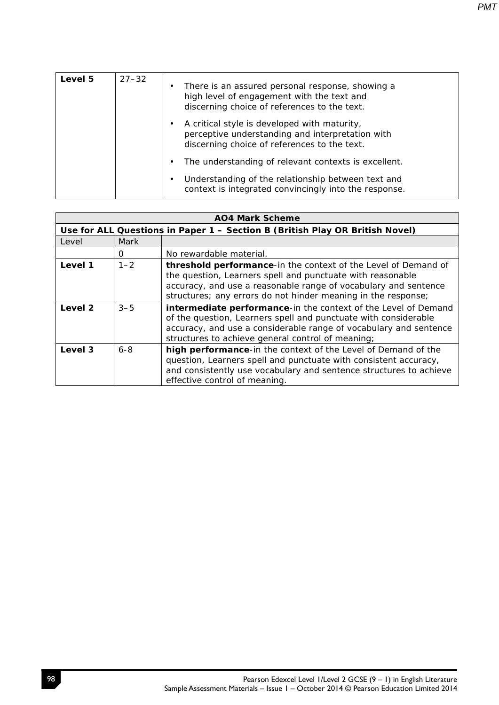| Level 5 | $27 - 32$ | ٠ | There is an assured personal response, showing a<br>high level of engagement with the text and<br>discerning choice of references to the text.   |
|---------|-----------|---|--------------------------------------------------------------------------------------------------------------------------------------------------|
|         |           | ٠ | A critical style is developed with maturity,<br>perceptive understanding and interpretation with<br>discerning choice of references to the text. |
|         |           | ٠ | The understanding of relevant contexts is excellent.                                                                                             |
|         |           | ٠ | Understanding of the relationship between text and<br>context is integrated convincingly into the response.                                      |

| <b>AO4 Mark Scheme</b> |         |                                                                                                                                                                                                                                                                  |  |
|------------------------|---------|------------------------------------------------------------------------------------------------------------------------------------------------------------------------------------------------------------------------------------------------------------------|--|
|                        |         | Use for ALL Questions in Paper 1 - Section B (British Play OR British Novel)                                                                                                                                                                                     |  |
| Level                  | Mark    |                                                                                                                                                                                                                                                                  |  |
|                        | 0       | No rewardable material.                                                                                                                                                                                                                                          |  |
| Level 1                | $1 - 2$ | threshold performance-in the context of the Level of Demand of<br>the question, Learners spell and punctuate with reasonable<br>accuracy, and use a reasonable range of vocabulary and sentence<br>structures; any errors do not hinder meaning in the response; |  |
| Level 2                | $3 - 5$ | intermediate performance-in the context of the Level of Demand<br>of the question, Learners spell and punctuate with considerable<br>accuracy, and use a considerable range of vocabulary and sentence<br>structures to achieve general control of meaning;      |  |
| Level 3                | $6 - 8$ | high performance-in the context of the Level of Demand of the<br>question, Learners spell and punctuate with consistent accuracy,<br>and consistently use vocabulary and sentence structures to achieve<br>effective control of meaning.                         |  |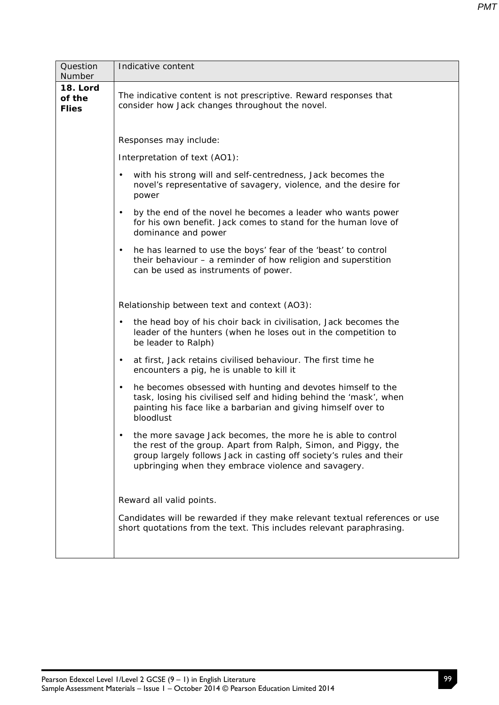| Question<br>Number                 | Indicative content                                                                                                                                                                                                                                           |  |  |  |  |
|------------------------------------|--------------------------------------------------------------------------------------------------------------------------------------------------------------------------------------------------------------------------------------------------------------|--|--|--|--|
| 18. Lord<br>of the<br><b>Flies</b> | The indicative content is not prescriptive. Reward responses that<br>consider how Jack changes throughout the novel.                                                                                                                                         |  |  |  |  |
|                                    | Responses may include:                                                                                                                                                                                                                                       |  |  |  |  |
|                                    | Interpretation of text (AO1):                                                                                                                                                                                                                                |  |  |  |  |
|                                    | with his strong will and self-centredness, Jack becomes the<br>$\bullet$<br>novel's representative of savagery, violence, and the desire for<br>power                                                                                                        |  |  |  |  |
|                                    | by the end of the novel he becomes a leader who wants power<br>$\bullet$<br>for his own benefit. Jack comes to stand for the human love of<br>dominance and power                                                                                            |  |  |  |  |
|                                    | he has learned to use the boys' fear of the 'beast' to control<br>$\bullet$<br>their behaviour $-$ a reminder of how religion and superstition<br>can be used as instruments of power.                                                                       |  |  |  |  |
|                                    | Relationship between text and context (AO3):                                                                                                                                                                                                                 |  |  |  |  |
|                                    | the head boy of his choir back in civilisation, Jack becomes the<br>$\bullet$<br>leader of the hunters (when he loses out in the competition to<br>be leader to Ralph)                                                                                       |  |  |  |  |
|                                    | at first, Jack retains civilised behaviour. The first time he<br>$\bullet$<br>encounters a pig, he is unable to kill it                                                                                                                                      |  |  |  |  |
|                                    | he becomes obsessed with hunting and devotes himself to the<br>$\bullet$<br>task, losing his civilised self and hiding behind the 'mask', when<br>painting his face like a barbarian and giving himself over to<br>bloodlust                                 |  |  |  |  |
|                                    | the more savage Jack becomes, the more he is able to control<br>the rest of the group. Apart from Ralph, Simon, and Piggy, the<br>group largely follows Jack in casting off society's rules and their<br>upbringing when they embrace violence and savagery. |  |  |  |  |
|                                    | Reward all valid points.<br>Candidates will be rewarded if they make relevant textual references or use<br>short quotations from the text. This includes relevant paraphrasing.                                                                              |  |  |  |  |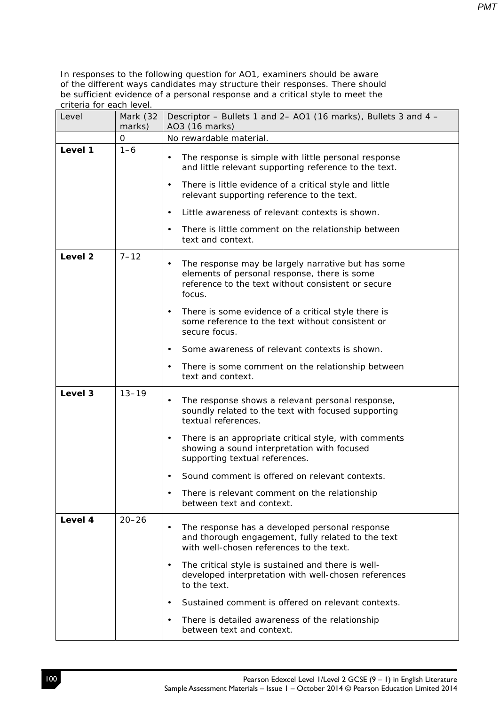| Level              | Mark (32<br>marks)                                                                                                                                                                          | Descriptor – Bullets 1 and 2– AO1 (16 marks), Bullets 3 and 4 –<br>AO3 (16 marks)                                                                                                                                                                |  |
|--------------------|---------------------------------------------------------------------------------------------------------------------------------------------------------------------------------------------|--------------------------------------------------------------------------------------------------------------------------------------------------------------------------------------------------------------------------------------------------|--|
|                    | 0                                                                                                                                                                                           | No rewardable material.                                                                                                                                                                                                                          |  |
| Level 1            | $1 - 6$                                                                                                                                                                                     | The response is simple with little personal response<br>$\bullet$<br>and little relevant supporting reference to the text.<br>There is little evidence of a critical style and little<br>$\bullet$<br>relevant supporting reference to the text. |  |
|                    |                                                                                                                                                                                             | Little awareness of relevant contexts is shown.<br>$\bullet$                                                                                                                                                                                     |  |
|                    |                                                                                                                                                                                             | There is little comment on the relationship between<br>$\bullet$<br>text and context.                                                                                                                                                            |  |
| Level <sub>2</sub> | $7 - 12$<br>The response may be largely narrative but has some<br>$\bullet$<br>elements of personal response, there is some<br>reference to the text without consistent or secure<br>focus. |                                                                                                                                                                                                                                                  |  |
|                    |                                                                                                                                                                                             | There is some evidence of a critical style there is<br>٠<br>some reference to the text without consistent or<br>secure focus.                                                                                                                    |  |
|                    |                                                                                                                                                                                             | Some awareness of relevant contexts is shown.<br>$\bullet$                                                                                                                                                                                       |  |
|                    |                                                                                                                                                                                             | There is some comment on the relationship between<br>$\bullet$<br>text and context.                                                                                                                                                              |  |
| Level 3            | $13 - 19$                                                                                                                                                                                   | The response shows a relevant personal response,<br>$\bullet$<br>soundly related to the text with focused supporting<br>textual references.                                                                                                      |  |
|                    |                                                                                                                                                                                             | There is an appropriate critical style, with comments<br>$\bullet$<br>showing a sound interpretation with focused<br>supporting textual references.                                                                                              |  |
|                    |                                                                                                                                                                                             | Sound comment is offered on relevant contexts.<br>$\bullet$                                                                                                                                                                                      |  |
|                    |                                                                                                                                                                                             | There is relevant comment on the relationship<br>$\bullet$<br>between text and context.                                                                                                                                                          |  |
| Level 4            | $20 - 26$                                                                                                                                                                                   | The response has a developed personal response<br>$\bullet$<br>and thorough engagement, fully related to the text<br>with well-chosen references to the text.                                                                                    |  |
|                    |                                                                                                                                                                                             | The critical style is sustained and there is well-<br>$\bullet$<br>developed interpretation with well-chosen references<br>to the text.                                                                                                          |  |
|                    |                                                                                                                                                                                             | Sustained comment is offered on relevant contexts.<br>$\bullet$                                                                                                                                                                                  |  |
|                    |                                                                                                                                                                                             | There is detailed awareness of the relationship<br>$\bullet$<br>between text and context.                                                                                                                                                        |  |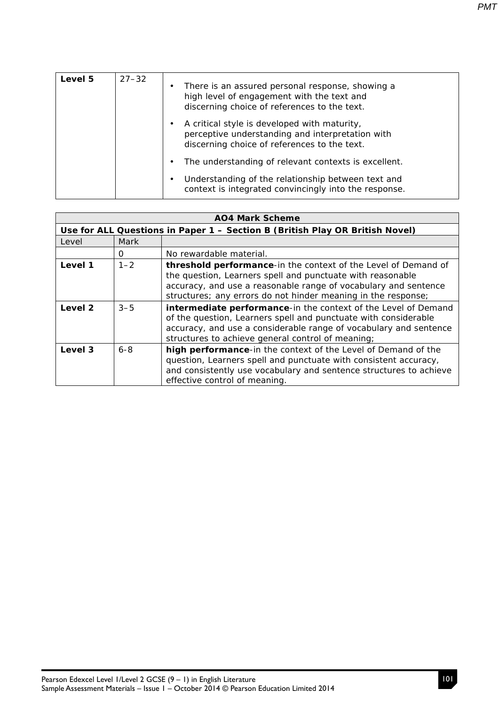| <b>Level 5</b> | $27 - 32$ | There is an assured personal response, showing a<br>high level of engagement with the text and<br>discerning choice of references to the text.   |
|----------------|-----------|--------------------------------------------------------------------------------------------------------------------------------------------------|
|                |           | A critical style is developed with maturity,<br>perceptive understanding and interpretation with<br>discerning choice of references to the text. |
|                |           | The understanding of relevant contexts is excellent.                                                                                             |

|  | Understanding of the relationship between text and    |
|--|-------------------------------------------------------|
|  | context is integrated convincingly into the response. |

| <b>AO4 Mark Scheme</b> |         |                                                                                                                                                                                                                                                                  |  |
|------------------------|---------|------------------------------------------------------------------------------------------------------------------------------------------------------------------------------------------------------------------------------------------------------------------|--|
|                        |         | Use for ALL Questions in Paper 1 - Section B (British Play OR British Novel)                                                                                                                                                                                     |  |
| Level                  | Mark    |                                                                                                                                                                                                                                                                  |  |
|                        | 0       | No rewardable material.                                                                                                                                                                                                                                          |  |
| Level 1                | $1 - 2$ | threshold performance-in the context of the Level of Demand of<br>the question, Learners spell and punctuate with reasonable<br>accuracy, and use a reasonable range of vocabulary and sentence<br>structures; any errors do not hinder meaning in the response; |  |
| Level 2                | $3 - 5$ | intermediate performance-in the context of the Level of Demand<br>of the question, Learners spell and punctuate with considerable<br>accuracy, and use a considerable range of vocabulary and sentence<br>structures to achieve general control of meaning;      |  |
| Level 3                | $6 - 8$ | high performance-in the context of the Level of Demand of the<br>question, Learners spell and punctuate with consistent accuracy,<br>and consistently use vocabulary and sentence structures to achieve<br>effective control of meaning.                         |  |

*PMT*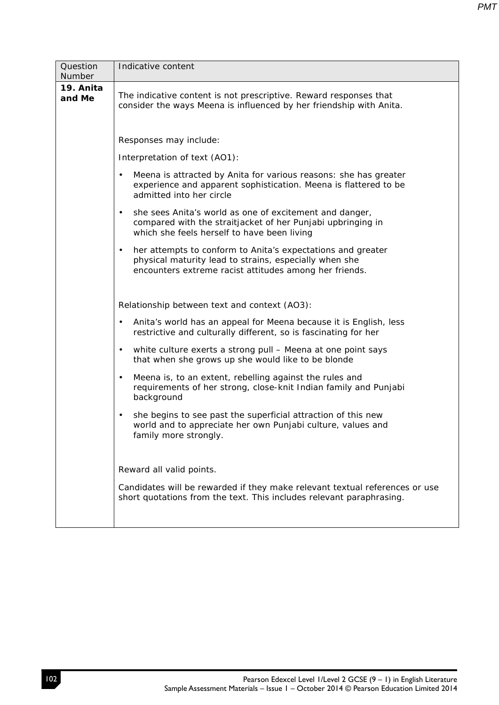| Question<br>Number  | Indicative content                                                                                                                                                                           |  |  |  |  |
|---------------------|----------------------------------------------------------------------------------------------------------------------------------------------------------------------------------------------|--|--|--|--|
| 19. Anita<br>and Me | The indicative content is not prescriptive. Reward responses that<br>consider the ways Meena is influenced by her friendship with Anita.                                                     |  |  |  |  |
|                     | Responses may include:                                                                                                                                                                       |  |  |  |  |
|                     | Interpretation of text (AO1):                                                                                                                                                                |  |  |  |  |
|                     | Meena is attracted by Anita for various reasons: she has greater<br>$\bullet$<br>experience and apparent sophistication. Meena is flattered to be<br>admitted into her circle                |  |  |  |  |
|                     | she sees Anita's world as one of excitement and danger,<br>$\bullet$<br>compared with the straitjacket of her Punjabi upbringing in<br>which she feels herself to have been living           |  |  |  |  |
|                     | her attempts to conform to Anita's expectations and greater<br>$\bullet$<br>physical maturity lead to strains, especially when she<br>encounters extreme racist attitudes among her friends. |  |  |  |  |
|                     | Relationship between text and context (AO3):                                                                                                                                                 |  |  |  |  |
|                     | Anita's world has an appeal for Meena because it is English, less<br>$\bullet$<br>restrictive and culturally different, so is fascinating for her                                            |  |  |  |  |
|                     | white culture exerts a strong pull - Meena at one point says<br>$\bullet$<br>that when she grows up she would like to be blonde                                                              |  |  |  |  |
|                     | Meena is, to an extent, rebelling against the rules and<br>$\bullet$<br>requirements of her strong, close-knit Indian family and Punjabi<br>background                                       |  |  |  |  |
|                     | she begins to see past the superficial attraction of this new<br>$\bullet$<br>world and to appreciate her own Punjabi culture, values and<br>family more strongly.                           |  |  |  |  |
|                     | Reward all valid points.                                                                                                                                                                     |  |  |  |  |
|                     | Candidates will be rewarded if they make relevant textual references or use<br>short quotations from the text. This includes relevant paraphrasing.                                          |  |  |  |  |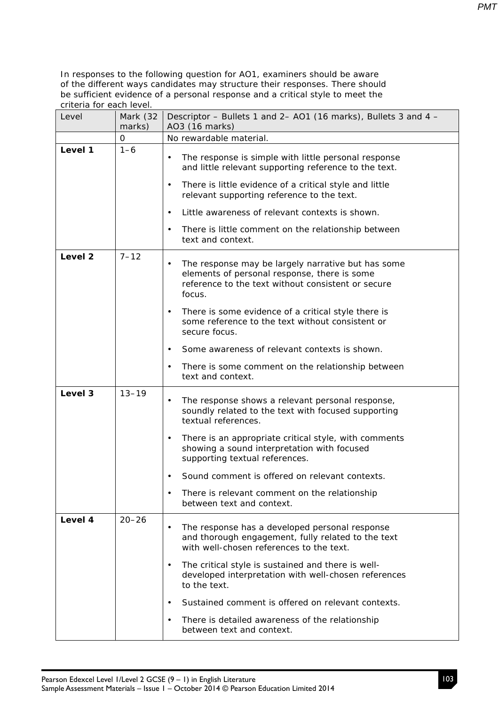| Level              | Mark (32<br>marks) | Descriptor - Bullets 1 and 2- AO1 (16 marks), Bullets 3 and 4 -<br>AO3 (16 marks)                                                                                               |  |
|--------------------|--------------------|---------------------------------------------------------------------------------------------------------------------------------------------------------------------------------|--|
|                    | 0                  | No rewardable material.                                                                                                                                                         |  |
| Level 1            | $1 - 6$            | The response is simple with little personal response<br>$\bullet$<br>and little relevant supporting reference to the text.                                                      |  |
|                    |                    | There is little evidence of a critical style and little<br>$\bullet$<br>relevant supporting reference to the text.                                                              |  |
|                    |                    | Little awareness of relevant contexts is shown.<br>$\bullet$                                                                                                                    |  |
|                    |                    | There is little comment on the relationship between<br>$\bullet$<br>text and context.                                                                                           |  |
| Level <sub>2</sub> | $7 - 12$           | The response may be largely narrative but has some<br>$\bullet$<br>elements of personal response, there is some<br>reference to the text without consistent or secure<br>focus. |  |
|                    |                    | There is some evidence of a critical style there is<br>$\bullet$<br>some reference to the text without consistent or<br>secure focus.                                           |  |
|                    |                    | Some awareness of relevant contexts is shown.<br>$\bullet$                                                                                                                      |  |
|                    |                    | There is some comment on the relationship between<br>$\bullet$<br>text and context.                                                                                             |  |
| Level 3            | $13 - 19$          | The response shows a relevant personal response,<br>$\bullet$<br>soundly related to the text with focused supporting<br>textual references.                                     |  |
|                    |                    | There is an appropriate critical style, with comments<br>$\bullet$<br>showing a sound interpretation with focused<br>supporting textual references.                             |  |
|                    |                    | Sound comment is offered on relevant contexts.<br>$\bullet$                                                                                                                     |  |
|                    |                    | There is relevant comment on the relationship<br>between text and context.                                                                                                      |  |
| Level 4            | $20 - 26$          | The response has a developed personal response<br>$\bullet$<br>and thorough engagement, fully related to the text<br>with well-chosen references to the text.                   |  |
|                    |                    | The critical style is sustained and there is well-<br>$\bullet$<br>developed interpretation with well-chosen references<br>to the text.                                         |  |
|                    |                    | Sustained comment is offered on relevant contexts.<br>$\bullet$                                                                                                                 |  |
|                    |                    | There is detailed awareness of the relationship<br>$\bullet$<br>between text and context.                                                                                       |  |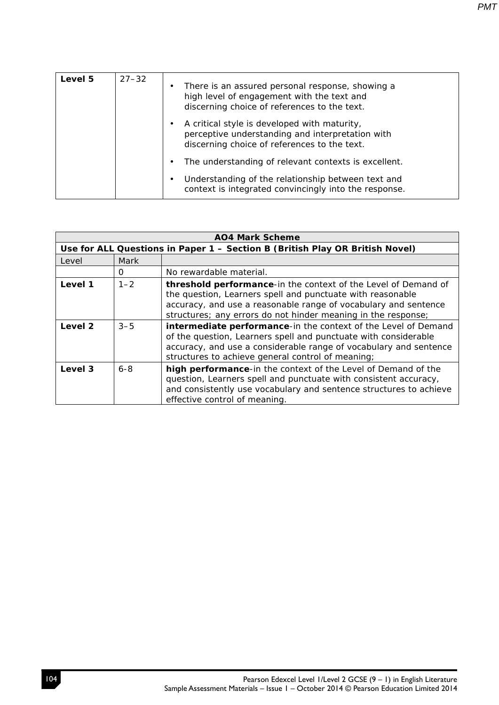| Level 5 | $27 - 32$ | ٠ | There is an assured personal response, showing a<br>high level of engagement with the text and<br>discerning choice of references to the text.   |
|---------|-----------|---|--------------------------------------------------------------------------------------------------------------------------------------------------|
|         |           |   | A critical style is developed with maturity,<br>perceptive understanding and interpretation with<br>discerning choice of references to the text. |
|         |           |   | The understanding of relevant contexts is excellent.                                                                                             |
|         |           |   | Understanding of the relationship between text and<br>context is integrated convincingly into the response.                                      |

| <b>AO4 Mark Scheme</b> |         |                                                                                                                                                                                                                                                                  |  |
|------------------------|---------|------------------------------------------------------------------------------------------------------------------------------------------------------------------------------------------------------------------------------------------------------------------|--|
|                        |         | Use for ALL Questions in Paper 1 - Section B (British Play OR British Novel)                                                                                                                                                                                     |  |
| Level                  | Mark    |                                                                                                                                                                                                                                                                  |  |
|                        | 0       | No rewardable material.                                                                                                                                                                                                                                          |  |
| Level 1                | $1 - 2$ | threshold performance-in the context of the Level of Demand of<br>the question, Learners spell and punctuate with reasonable<br>accuracy, and use a reasonable range of vocabulary and sentence<br>structures; any errors do not hinder meaning in the response; |  |
| Level 2                | $3 - 5$ | intermediate performance-in the context of the Level of Demand<br>of the question, Learners spell and punctuate with considerable<br>accuracy, and use a considerable range of vocabulary and sentence<br>structures to achieve general control of meaning;      |  |
| Level 3                | $6 - 8$ | high performance-in the context of the Level of Demand of the<br>question, Learners spell and punctuate with consistent accuracy,<br>and consistently use vocabulary and sentence structures to achieve<br>effective control of meaning.                         |  |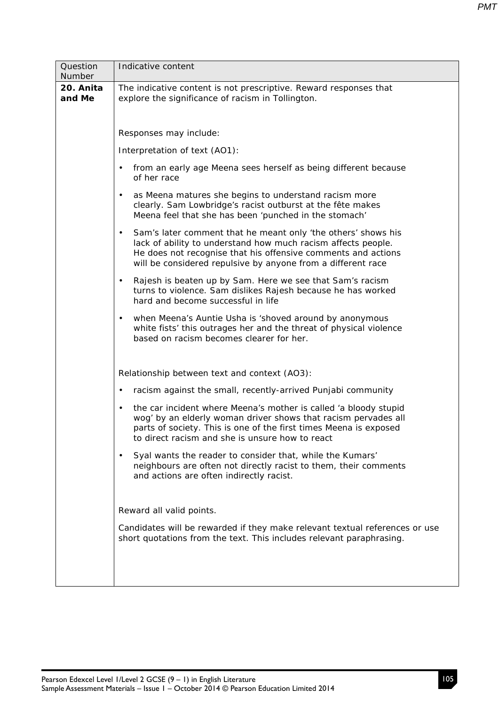| Question            | Indicative content                                                                                                                                                                                                                                                           |  |  |  |  |  |  |
|---------------------|------------------------------------------------------------------------------------------------------------------------------------------------------------------------------------------------------------------------------------------------------------------------------|--|--|--|--|--|--|
| Number              |                                                                                                                                                                                                                                                                              |  |  |  |  |  |  |
| 20. Anita<br>and Me | The indicative content is not prescriptive. Reward responses that<br>explore the significance of racism in Tollington.                                                                                                                                                       |  |  |  |  |  |  |
|                     | Responses may include:                                                                                                                                                                                                                                                       |  |  |  |  |  |  |
|                     | Interpretation of text (AO1):                                                                                                                                                                                                                                                |  |  |  |  |  |  |
|                     | from an early age Meena sees herself as being different because<br>$\bullet$<br>of her race                                                                                                                                                                                  |  |  |  |  |  |  |
|                     | as Meena matures she begins to understand racism more<br>$\bullet$<br>clearly. Sam Lowbridge's racist outburst at the fête makes<br>Meena feel that she has been 'punched in the stomach'                                                                                    |  |  |  |  |  |  |
|                     | Sam's later comment that he meant only 'the others' shows his<br>$\bullet$<br>lack of ability to understand how much racism affects people.<br>He does not recognise that his offensive comments and actions<br>will be considered repulsive by anyone from a different race |  |  |  |  |  |  |
|                     | Rajesh is beaten up by Sam. Here we see that Sam's racism<br>$\bullet$<br>turns to violence. Sam dislikes Rajesh because he has worked<br>hard and become successful in life                                                                                                 |  |  |  |  |  |  |
|                     | when Meena's Auntie Usha is 'shoved around by anonymous<br>$\bullet$<br>white fists' this outrages her and the threat of physical violence<br>based on racism becomes clearer for her.                                                                                       |  |  |  |  |  |  |
|                     | Relationship between text and context (AO3):                                                                                                                                                                                                                                 |  |  |  |  |  |  |
|                     | racism against the small, recently-arrived Punjabi community<br>$\bullet$                                                                                                                                                                                                    |  |  |  |  |  |  |
|                     | the car incident where Meena's mother is called 'a bloody stupid<br>$\bullet$<br>wog' by an elderly woman driver shows that racism pervades all<br>parts of society. This is one of the first times Meena is exposed<br>to direct racism and she is unsure how to react      |  |  |  |  |  |  |
|                     | Syal wants the reader to consider that, while the Kumars'<br>neighbours are often not directly racist to them, their comments<br>and actions are often indirectly racist.                                                                                                    |  |  |  |  |  |  |
|                     | Reward all valid points.                                                                                                                                                                                                                                                     |  |  |  |  |  |  |
|                     | Candidates will be rewarded if they make relevant textual references or use<br>short quotations from the text. This includes relevant paraphrasing.                                                                                                                          |  |  |  |  |  |  |
|                     |                                                                                                                                                                                                                                                                              |  |  |  |  |  |  |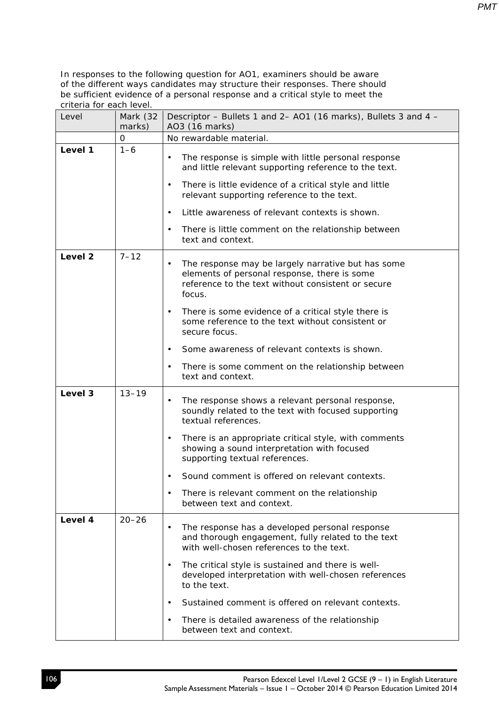| Level              | Mark (32<br>marks) | Descriptor – Bullets 1 and 2– AO1 (16 marks), Bullets 3 and 4 –<br>AO3 (16 marks)                                                                                                                                                                |  |
|--------------------|--------------------|--------------------------------------------------------------------------------------------------------------------------------------------------------------------------------------------------------------------------------------------------|--|
|                    | 0                  | No rewardable material.                                                                                                                                                                                                                          |  |
| Level 1            | $1 - 6$            | The response is simple with little personal response<br>$\bullet$<br>and little relevant supporting reference to the text.<br>There is little evidence of a critical style and little<br>$\bullet$<br>relevant supporting reference to the text. |  |
|                    |                    | Little awareness of relevant contexts is shown.<br>$\bullet$                                                                                                                                                                                     |  |
|                    |                    | There is little comment on the relationship between<br>$\bullet$<br>text and context.                                                                                                                                                            |  |
| Level <sub>2</sub> | $7 - 12$           | The response may be largely narrative but has some<br>$\bullet$<br>elements of personal response, there is some<br>reference to the text without consistent or secure<br>focus.                                                                  |  |
|                    |                    | There is some evidence of a critical style there is<br>٠<br>some reference to the text without consistent or<br>secure focus.                                                                                                                    |  |
|                    |                    | Some awareness of relevant contexts is shown.<br>$\bullet$                                                                                                                                                                                       |  |
|                    |                    | There is some comment on the relationship between<br>$\bullet$<br>text and context.                                                                                                                                                              |  |
| Level 3            | $13 - 19$          | The response shows a relevant personal response,<br>$\bullet$<br>soundly related to the text with focused supporting<br>textual references.                                                                                                      |  |
|                    |                    | There is an appropriate critical style, with comments<br>$\bullet$<br>showing a sound interpretation with focused<br>supporting textual references.                                                                                              |  |
|                    |                    | Sound comment is offered on relevant contexts.<br>$\bullet$                                                                                                                                                                                      |  |
|                    |                    | There is relevant comment on the relationship<br>$\bullet$<br>between text and context.                                                                                                                                                          |  |
| Level 4            | $20 - 26$          | The response has a developed personal response<br>$\bullet$<br>and thorough engagement, fully related to the text<br>with well-chosen references to the text.                                                                                    |  |
|                    |                    | The critical style is sustained and there is well-<br>$\bullet$<br>developed interpretation with well-chosen references<br>to the text.                                                                                                          |  |
|                    |                    | Sustained comment is offered on relevant contexts.<br>$\bullet$                                                                                                                                                                                  |  |
|                    |                    | There is detailed awareness of the relationship<br>$\bullet$<br>between text and context.                                                                                                                                                        |  |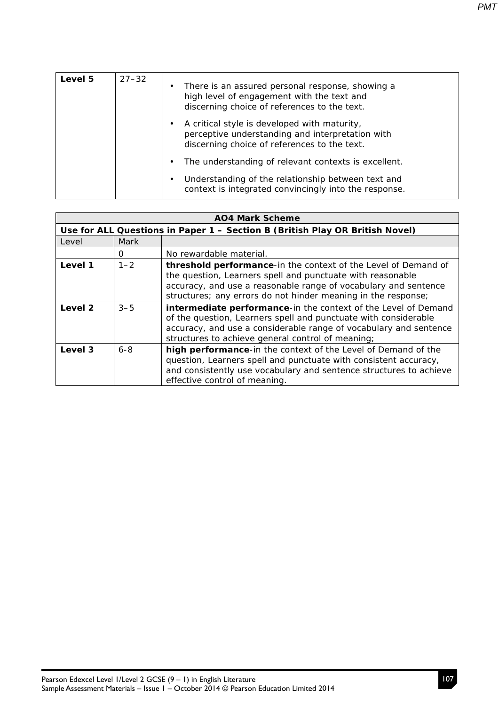| <b>Level 5</b> | $27 - 32$ | There is an assured personal response, showing a<br>٠<br>high level of engagement with the text and<br>discerning choice of references to the text.   |
|----------------|-----------|-------------------------------------------------------------------------------------------------------------------------------------------------------|
|                |           | A critical style is developed with maturity,<br>٠<br>perceptive understanding and interpretation with<br>discerning choice of references to the text. |
|                |           | The understanding of relevant contexts is excellent.                                                                                                  |
|                |           | Understanding of the relationship between text and                                                                                                    |

context is integrated convincingly into the response.

| <b>AO4 Mark Scheme</b>                                                       |         |                                                                                                                                                                                                                                                                  |
|------------------------------------------------------------------------------|---------|------------------------------------------------------------------------------------------------------------------------------------------------------------------------------------------------------------------------------------------------------------------|
| Use for ALL Questions in Paper 1 - Section B (British Play OR British Novel) |         |                                                                                                                                                                                                                                                                  |
| Level                                                                        | Mark    |                                                                                                                                                                                                                                                                  |
|                                                                              | 0       | No rewardable material.                                                                                                                                                                                                                                          |
| Level 1                                                                      | $1 - 2$ | threshold performance-in the context of the Level of Demand of<br>the question, Learners spell and punctuate with reasonable<br>accuracy, and use a reasonable range of vocabulary and sentence<br>structures; any errors do not hinder meaning in the response; |
| Level 2                                                                      | $3 - 5$ | intermediate performance-in the context of the Level of Demand<br>of the question, Learners spell and punctuate with considerable<br>accuracy, and use a considerable range of vocabulary and sentence<br>structures to achieve general control of meaning;      |
| Level 3                                                                      | $6 - 8$ | high performance-in the context of the Level of Demand of the<br>question, Learners spell and punctuate with consistent accuracy,<br>and consistently use vocabulary and sentence structures to achieve<br>effective control of meaning.                         |

*PMT*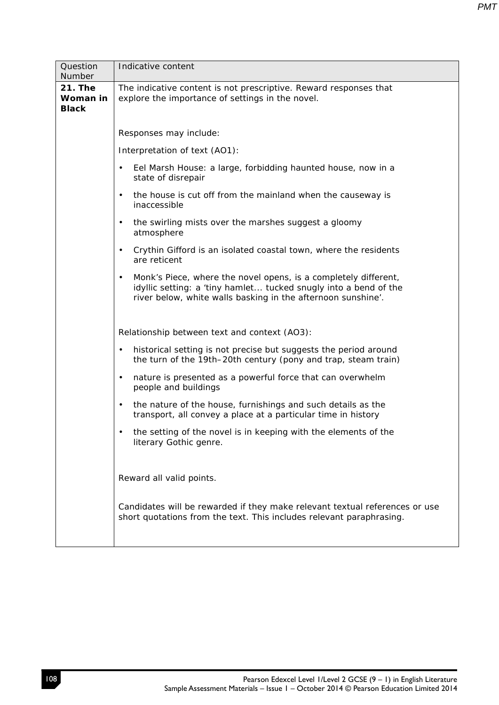| Question<br>Number                         | Indicative content                                                                                                                                                                                               |  |  |  |  |
|--------------------------------------------|------------------------------------------------------------------------------------------------------------------------------------------------------------------------------------------------------------------|--|--|--|--|
| <b>21. The</b><br>Woman in<br><b>Black</b> | The indicative content is not prescriptive. Reward responses that<br>explore the importance of settings in the novel.                                                                                            |  |  |  |  |
|                                            | Responses may include:                                                                                                                                                                                           |  |  |  |  |
|                                            | Interpretation of text (AO1):                                                                                                                                                                                    |  |  |  |  |
|                                            | Eel Marsh House: a large, forbidding haunted house, now in a<br>$\bullet$<br>state of disrepair                                                                                                                  |  |  |  |  |
|                                            | the house is cut off from the mainland when the causeway is<br>$\bullet$<br>inaccessible                                                                                                                         |  |  |  |  |
|                                            | the swirling mists over the marshes suggest a gloomy<br>$\bullet$<br>atmosphere                                                                                                                                  |  |  |  |  |
|                                            | Crythin Gifford is an isolated coastal town, where the residents<br>$\bullet$<br>are reticent                                                                                                                    |  |  |  |  |
|                                            | Monk's Piece, where the novel opens, is a completely different,<br>$\bullet$<br>idyllic setting: a 'tiny hamlet tucked snugly into a bend of the<br>river below, white walls basking in the afternoon sunshine'. |  |  |  |  |
|                                            | Relationship between text and context (AO3):                                                                                                                                                                     |  |  |  |  |
|                                            | historical setting is not precise but suggests the period around<br>$\bullet$<br>the turn of the 19th-20th century (pony and trap, steam train)                                                                  |  |  |  |  |
|                                            | nature is presented as a powerful force that can overwhelm<br>$\bullet$<br>people and buildings                                                                                                                  |  |  |  |  |
|                                            | the nature of the house, furnishings and such details as the<br>$\bullet$<br>transport, all convey a place at a particular time in history                                                                       |  |  |  |  |
|                                            | the setting of the novel is in keeping with the elements of the<br>literary Gothic genre.                                                                                                                        |  |  |  |  |
|                                            | Reward all valid points.                                                                                                                                                                                         |  |  |  |  |
|                                            | Candidates will be rewarded if they make relevant textual references or use<br>short quotations from the text. This includes relevant paraphrasing.                                                              |  |  |  |  |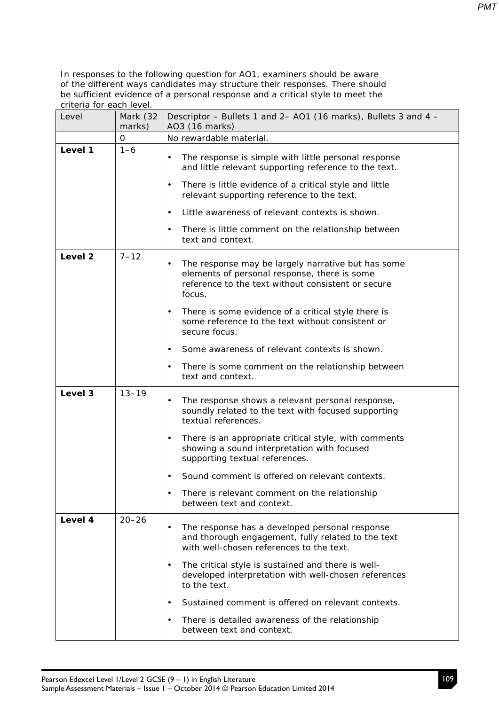| Level   | Mark (32<br>marks) | Descriptor - Bullets 1 and 2- AO1 (16 marks), Bullets 3 and 4 -<br>AO3 (16 marks)                                                                                               |  |
|---------|--------------------|---------------------------------------------------------------------------------------------------------------------------------------------------------------------------------|--|
|         | 0                  | No rewardable material.                                                                                                                                                         |  |
| Level 1 | $1 - 6$            | The response is simple with little personal response<br>$\bullet$<br>and little relevant supporting reference to the text.                                                      |  |
|         |                    | There is little evidence of a critical style and little<br>$\bullet$<br>relevant supporting reference to the text.                                                              |  |
|         |                    | Little awareness of relevant contexts is shown.<br>$\bullet$                                                                                                                    |  |
|         |                    | There is little comment on the relationship between<br>$\bullet$<br>text and context.                                                                                           |  |
| Level 2 | $7 - 12$           | The response may be largely narrative but has some<br>$\bullet$<br>elements of personal response, there is some<br>reference to the text without consistent or secure<br>focus. |  |
|         |                    | There is some evidence of a critical style there is<br>$\bullet$<br>some reference to the text without consistent or<br>secure focus.                                           |  |
|         |                    | Some awareness of relevant contexts is shown.<br>$\bullet$                                                                                                                      |  |
|         |                    | There is some comment on the relationship between<br>$\bullet$<br>text and context.                                                                                             |  |
| Level 3 | $13 - 19$          | The response shows a relevant personal response,<br>$\bullet$<br>soundly related to the text with focused supporting<br>textual references.                                     |  |
|         |                    | There is an appropriate critical style, with comments<br>$\bullet$<br>showing a sound interpretation with focused<br>supporting textual references.                             |  |
|         |                    | Sound comment is offered on relevant contexts.                                                                                                                                  |  |
|         |                    | There is relevant comment on the relationship<br>between text and context.                                                                                                      |  |
| Level 4 | $20 - 26$          | The response has a developed personal response<br>and thorough engagement, fully related to the text<br>with well-chosen references to the text.                                |  |
|         |                    | The critical style is sustained and there is well-<br>$\bullet$<br>developed interpretation with well-chosen references<br>to the text.                                         |  |
|         |                    | Sustained comment is offered on relevant contexts.<br>$\bullet$                                                                                                                 |  |
|         |                    | There is detailed awareness of the relationship<br>$\bullet$<br>between text and context.                                                                                       |  |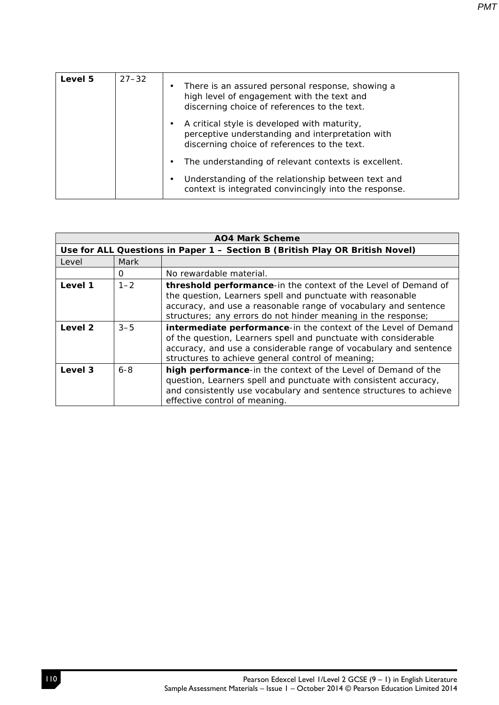| Level 5 | $27 - 32$ | ٠ | There is an assured personal response, showing a<br>high level of engagement with the text and<br>discerning choice of references to the text.   |
|---------|-----------|---|--------------------------------------------------------------------------------------------------------------------------------------------------|
|         |           |   | A critical style is developed with maturity,<br>perceptive understanding and interpretation with<br>discerning choice of references to the text. |
|         |           |   | The understanding of relevant contexts is excellent.                                                                                             |
|         |           |   | Understanding of the relationship between text and<br>context is integrated convincingly into the response.                                      |

| <b>AO4 Mark Scheme</b> |                                                                              |                                                                                                                                                                                                                                                                  |  |
|------------------------|------------------------------------------------------------------------------|------------------------------------------------------------------------------------------------------------------------------------------------------------------------------------------------------------------------------------------------------------------|--|
|                        | Use for ALL Questions in Paper 1 - Section B (British Play OR British Novel) |                                                                                                                                                                                                                                                                  |  |
| Level                  | Mark                                                                         |                                                                                                                                                                                                                                                                  |  |
|                        | 0                                                                            | No rewardable material.                                                                                                                                                                                                                                          |  |
| Level 1                | $1 - 2$                                                                      | threshold performance-in the context of the Level of Demand of<br>the question, Learners spell and punctuate with reasonable<br>accuracy, and use a reasonable range of vocabulary and sentence<br>structures; any errors do not hinder meaning in the response; |  |
| Level 2                | $3 - 5$                                                                      | intermediate performance-in the context of the Level of Demand<br>of the question, Learners spell and punctuate with considerable<br>accuracy, and use a considerable range of vocabulary and sentence<br>structures to achieve general control of meaning;      |  |
| Level 3                | $6 - 8$                                                                      | high performance-in the context of the Level of Demand of the<br>question, Learners spell and punctuate with consistent accuracy,<br>and consistently use vocabulary and sentence structures to achieve<br>effective control of meaning.                         |  |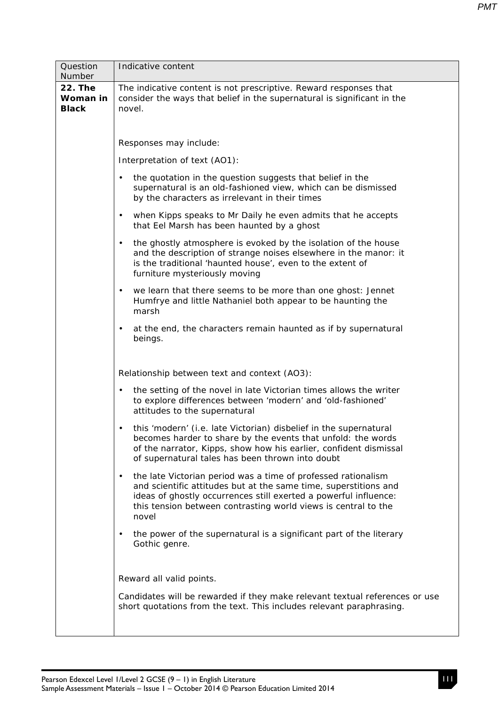| Question                                   | Indicative content                                                                                                                                                                                                                                                                            |  |  |  |  |
|--------------------------------------------|-----------------------------------------------------------------------------------------------------------------------------------------------------------------------------------------------------------------------------------------------------------------------------------------------|--|--|--|--|
| Number                                     |                                                                                                                                                                                                                                                                                               |  |  |  |  |
| <b>22. The</b><br>Woman in<br><b>Black</b> | The indicative content is not prescriptive. Reward responses that<br>consider the ways that belief in the supernatural is significant in the<br>novel.                                                                                                                                        |  |  |  |  |
|                                            | Responses may include:                                                                                                                                                                                                                                                                        |  |  |  |  |
|                                            | Interpretation of text (AO1):                                                                                                                                                                                                                                                                 |  |  |  |  |
|                                            | the quotation in the question suggests that belief in the<br>$\bullet$<br>supernatural is an old-fashioned view, which can be dismissed<br>by the characters as irrelevant in their times                                                                                                     |  |  |  |  |
|                                            | when Kipps speaks to Mr Daily he even admits that he accepts<br>$\bullet$<br>that Eel Marsh has been haunted by a ghost                                                                                                                                                                       |  |  |  |  |
|                                            | the ghostly atmosphere is evoked by the isolation of the house<br>$\bullet$<br>and the description of strange noises elsewhere in the manor: it<br>is the traditional 'haunted house', even to the extent of<br>furniture mysteriously moving                                                 |  |  |  |  |
|                                            | we learn that there seems to be more than one ghost: Jennet<br>$\bullet$<br>Humfrye and little Nathaniel both appear to be haunting the<br>marsh                                                                                                                                              |  |  |  |  |
|                                            | at the end, the characters remain haunted as if by supernatural<br>$\bullet$<br>beings.                                                                                                                                                                                                       |  |  |  |  |
|                                            | Relationship between text and context (AO3):                                                                                                                                                                                                                                                  |  |  |  |  |
|                                            | the setting of the novel in late Victorian times allows the writer<br>$\bullet$<br>to explore differences between 'modern' and 'old-fashioned'<br>attitudes to the supernatural                                                                                                               |  |  |  |  |
|                                            | this 'modern' (i.e. late Victorian) disbelief in the supernatural<br>$\bullet$<br>becomes harder to share by the events that unfold: the words<br>of the narrator, Kipps, show how his earlier, confident dismissal<br>of supernatural tales has been thrown into doubt                       |  |  |  |  |
|                                            | the late Victorian period was a time of professed rationalism<br>$\bullet$<br>and scientific attitudes but at the same time, superstitions and<br>ideas of ghostly occurrences still exerted a powerful influence:<br>this tension between contrasting world views is central to the<br>novel |  |  |  |  |
|                                            | the power of the supernatural is a significant part of the literary<br>$\bullet$<br>Gothic genre.                                                                                                                                                                                             |  |  |  |  |
|                                            | Reward all valid points.                                                                                                                                                                                                                                                                      |  |  |  |  |
|                                            | Candidates will be rewarded if they make relevant textual references or use<br>short quotations from the text. This includes relevant paraphrasing.                                                                                                                                           |  |  |  |  |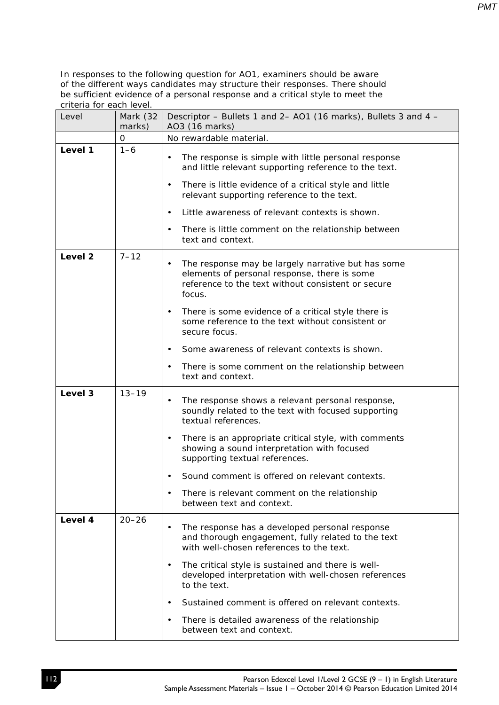| Level                          | Mark (32<br>marks)                                                                                                                                                              | Descriptor – Bullets 1 and 2– AO1 (16 marks), Bullets 3 and 4 –<br>AO3 (16 marks)                                                                                                                                                                |  |
|--------------------------------|---------------------------------------------------------------------------------------------------------------------------------------------------------------------------------|--------------------------------------------------------------------------------------------------------------------------------------------------------------------------------------------------------------------------------------------------|--|
|                                | 0                                                                                                                                                                               | No rewardable material.                                                                                                                                                                                                                          |  |
| Level 1                        | $1 - 6$                                                                                                                                                                         | The response is simple with little personal response<br>$\bullet$<br>and little relevant supporting reference to the text.<br>There is little evidence of a critical style and little<br>$\bullet$<br>relevant supporting reference to the text. |  |
|                                |                                                                                                                                                                                 | Little awareness of relevant contexts is shown.<br>$\bullet$                                                                                                                                                                                     |  |
|                                |                                                                                                                                                                                 | There is little comment on the relationship between<br>$\bullet$<br>text and context.                                                                                                                                                            |  |
| Level <sub>2</sub><br>$7 - 12$ | The response may be largely narrative but has some<br>$\bullet$<br>elements of personal response, there is some<br>reference to the text without consistent or secure<br>focus. |                                                                                                                                                                                                                                                  |  |
|                                |                                                                                                                                                                                 | There is some evidence of a critical style there is<br>$\bullet$<br>some reference to the text without consistent or<br>secure focus.                                                                                                            |  |
|                                |                                                                                                                                                                                 | Some awareness of relevant contexts is shown.<br>$\bullet$                                                                                                                                                                                       |  |
|                                |                                                                                                                                                                                 | There is some comment on the relationship between<br>$\bullet$<br>text and context.                                                                                                                                                              |  |
| Level 3                        | $13 - 19$                                                                                                                                                                       | The response shows a relevant personal response,<br>$\bullet$<br>soundly related to the text with focused supporting<br>textual references.                                                                                                      |  |
|                                |                                                                                                                                                                                 | There is an appropriate critical style, with comments<br>$\bullet$<br>showing a sound interpretation with focused<br>supporting textual references.                                                                                              |  |
|                                |                                                                                                                                                                                 | Sound comment is offered on relevant contexts.<br>$\bullet$                                                                                                                                                                                      |  |
|                                |                                                                                                                                                                                 | There is relevant comment on the relationship<br>$\bullet$<br>between text and context.                                                                                                                                                          |  |
| Level 4                        | $20 - 26$                                                                                                                                                                       | The response has a developed personal response<br>$\bullet$<br>and thorough engagement, fully related to the text<br>with well-chosen references to the text.                                                                                    |  |
|                                |                                                                                                                                                                                 | The critical style is sustained and there is well-<br>$\bullet$<br>developed interpretation with well-chosen references<br>to the text.                                                                                                          |  |
|                                |                                                                                                                                                                                 | Sustained comment is offered on relevant contexts.<br>$\bullet$                                                                                                                                                                                  |  |
|                                |                                                                                                                                                                                 | There is detailed awareness of the relationship<br>$\bullet$<br>between text and context.                                                                                                                                                        |  |